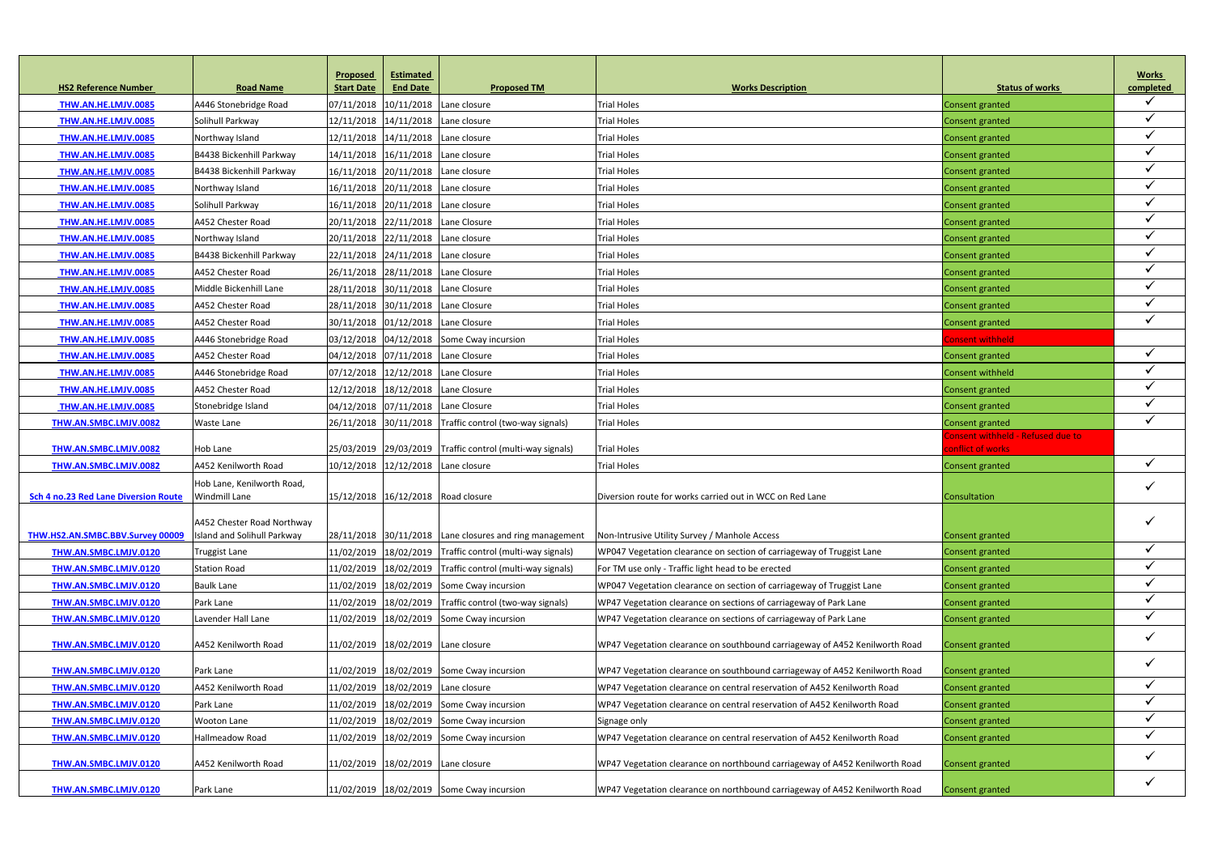|                                             |                                                    | <b>Proposed</b>   | <b>Estimated</b>                   |                                                           |                                                                             |                                   | <b>Works</b>              |
|---------------------------------------------|----------------------------------------------------|-------------------|------------------------------------|-----------------------------------------------------------|-----------------------------------------------------------------------------|-----------------------------------|---------------------------|
| <b>HS2 Reference Number</b>                 | <b>Road Name</b>                                   | <b>Start Date</b> | <b>End Date</b>                    | <b>Proposed TM</b>                                        | <b>Works Description</b>                                                    | <b>Status of works</b>            | completed<br>$\checkmark$ |
| THW.AN.HE.LMJV.0085                         | A446 Stonebridge Road                              |                   | 07/11/2018 10/11/2018              | Lane closure                                              | <b>Trial Holes</b>                                                          | Consent granted                   | $\checkmark$              |
| THW.AN.HE.LMJV.0085                         | Solihull Parkway                                   |                   | 12/11/2018 14/11/2018              | Lane closure                                              | <b>Trial Holes</b>                                                          | Consent granted                   | $\checkmark$              |
| THW.AN.HE.LMJV.0085                         | Northway Island                                    |                   | 12/11/2018 14/11/2018              | Lane closure                                              | <b>Trial Holes</b>                                                          | Consent granted                   | $\checkmark$              |
| THW.AN.HE.LMJV.0085                         | B4438 Bickenhill Parkway                           |                   | 14/11/2018 16/11/2018 Lane closure |                                                           | <b>Trial Holes</b>                                                          | Consent granted                   |                           |
| THW.AN.HE.LMJV.0085                         | B4438 Bickenhill Parkway                           |                   | 16/11/2018 20/11/2018              | Lane closure                                              | <b>Trial Holes</b>                                                          | <b>Consent granted</b>            | $\checkmark$              |
| THW.AN.HE.LMJV.0085                         | Northway Island                                    |                   | 16/11/2018 20/11/2018              | Lane closure                                              | <b>Trial Holes</b>                                                          | Consent granted                   | $\checkmark$              |
| THW.AN.HE.LMJV.0085                         | Solihull Parkway                                   |                   | 16/11/2018 20/11/2018              | Lane closure                                              | <b>Trial Holes</b>                                                          | Consent granted                   | $\checkmark$              |
| THW.AN.HE.LMJV.0085                         | A452 Chester Road                                  |                   | 20/11/2018 22/11/2018              | Lane Closure                                              | <b>Trial Holes</b>                                                          | Consent granted                   |                           |
| THW.AN.HE.LMJV.0085                         | Northway Island                                    |                   | 20/11/2018 22/11/2018 Lane closure |                                                           | <b>Trial Holes</b>                                                          | Consent granted                   | $\checkmark$              |
| THW.AN.HE.LMJV.0085                         | B4438 Bickenhill Parkway                           |                   | 22/11/2018 24/11/2018              | Lane closure                                              | <b>Trial Holes</b>                                                          | Consent granted                   | $\checkmark$              |
| THW.AN.HE.LMJV.0085                         | A452 Chester Road                                  |                   | 26/11/2018 28/11/2018              | Lane Closure                                              | <b>Trial Holes</b>                                                          | Consent granted                   | $\checkmark$              |
| THW.AN.HE.LMJV.0085                         | Middle Bickenhill Lane                             |                   | 28/11/2018 30/11/2018 Lane Closure |                                                           | <b>Trial Holes</b>                                                          | <b>Consent granted</b>            |                           |
| THW.AN.HE.LMJV.0085                         | A452 Chester Road                                  |                   | 28/11/2018 30/11/2018 Lane Closure |                                                           | <b>Trial Holes</b>                                                          | <b>Consent granted</b>            | $\checkmark$              |
| THW.AN.HE.LMJV.0085                         | A452 Chester Road                                  |                   | 30/11/2018 01/12/2018 Lane Closure |                                                           | <b>Trial Holes</b>                                                          | Consent granted                   | $\checkmark$              |
| THW.AN.HE.LMJV.0085                         | A446 Stonebridge Road                              |                   |                                    | 03/12/2018 04/12/2018 Some Cway incursion                 | <b>Trial Holes</b>                                                          | Consent withheld                  |                           |
| THW.AN.HE.LMJV.0085                         | A452 Chester Road                                  |                   | 04/12/2018 07/11/2018 Lane Closure |                                                           | <b>Trial Holes</b>                                                          | Consent granted                   | $\checkmark$              |
| THW.AN.HE.LMJV.0085                         | A446 Stonebridge Road                              |                   | 07/12/2018 12/12/2018 Lane Closure |                                                           | <b>Trial Holes</b>                                                          | <b>Consent withheld</b>           | $\checkmark$              |
| THW.AN.HE.LMJV.0085                         | A452 Chester Road                                  |                   | 12/12/2018 18/12/2018 Lane Closure |                                                           | <b>Trial Holes</b>                                                          | Consent granted                   | $\checkmark$              |
| THW.AN.HE.LMJV.0085                         | Stonebridge Island                                 |                   | 04/12/2018 07/11/2018 Lane Closure |                                                           | <b>Trial Holes</b>                                                          | Consent granted                   | $\checkmark$              |
| THW.AN.SMBC.LMJV.0082                       | <b>Waste Lane</b>                                  |                   |                                    | 26/11/2018 30/11/2018 Traffic control (two-way signals)   | <b>Trial Holes</b>                                                          | Consent granted                   | $\checkmark$              |
|                                             |                                                    |                   |                                    |                                                           |                                                                             | Consent withheld - Refused due to |                           |
| THW.AN.SMBC.LMJV.0082                       | Hob Lane                                           |                   |                                    | 25/03/2019 29/03/2019 Traffic control (multi-way signals) | <b>Trial Holes</b>                                                          | conflict of works                 |                           |
| THW.AN.SMBC.LMJV.0082                       | A452 Kenilworth Road                               |                   | 10/12/2018 12/12/2018 Lane closure |                                                           | <b>Trial Holes</b>                                                          | Consent granted                   | $\checkmark$              |
| <b>Sch 4 no.23 Red Lane Diversion Route</b> | Hob Lane, Kenilworth Road,<br><b>Windmill Lane</b> |                   | 15/12/2018 16/12/2018 Road closure |                                                           | Diversion route for works carried out in WCC on Red Lane                    | Consultation                      | $\checkmark$              |
|                                             |                                                    |                   |                                    |                                                           |                                                                             |                                   |                           |
|                                             | A452 Chester Road Northway                         |                   |                                    |                                                           |                                                                             |                                   |                           |
| THW.HS2.AN.SMBC.BBV.Survey 00009            | Island and Solihull Parkway                        |                   |                                    | 28/11/2018 30/11/2018 Lane closures and ring management   | Non-Intrusive Utility Survey / Manhole Access                               | Consent granted                   |                           |
| THW.AN.SMBC.LMJV.0120                       | <b>Truggist Lane</b>                               |                   |                                    | 11/02/2019 18/02/2019 Traffic control (multi-way signals) | WP047 Vegetation clearance on section of carriageway of Truggist Lane       | Consent granted                   | $\checkmark$              |
| THW.AN.SMBC.LMJV.0120                       | <b>Station Road</b>                                |                   |                                    | 11/02/2019 18/02/2019 Traffic control (multi-way signals) | For TM use only - Traffic light head to be erected                          | <b>Consent granted</b>            | $\checkmark$              |
| THW.AN.SMBC.LMJV.0120                       | <b>Baulk Lane</b>                                  |                   |                                    | 11/02/2019 18/02/2019 Some Cway incursion                 | WP047 Vegetation clearance on section of carriageway of Truggist Lane       | Consent granted                   | $\checkmark$              |
| THW.AN.SMBC.LMJV.0120                       | Park Lane                                          |                   |                                    | 11/02/2019 18/02/2019 Traffic control (two-way signals)   | WP47 Vegetation clearance on sections of carriageway of Park Lane           | Consent granted                   | $\checkmark$              |
| THW.AN.SMBC.LMJV.0120                       | Lavender Hall Lane                                 |                   |                                    | 11/02/2019 18/02/2019 Some Cway incursion                 | WP47 Vegetation clearance on sections of carriageway of Park Lane           | <b>Consent granted</b>            | $\checkmark$              |
| THW.AN.SMBC.LMJV.0120                       | A452 Kenilworth Road                               |                   | 11/02/2019 18/02/2019 Lane closure |                                                           | WP47 Vegetation clearance on southbound carriageway of A452 Kenilworth Road | <b>Consent granted</b>            | $\checkmark$              |
| THW.AN.SMBC.LMJV.0120                       | Park Lane                                          |                   |                                    | 11/02/2019 18/02/2019 Some Cway incursion                 | WP47 Vegetation clearance on southbound carriageway of A452 Kenilworth Road | <b>Consent granted</b>            | $\checkmark$              |
| THW.AN.SMBC.LMJV.0120                       | A452 Kenilworth Road                               |                   | 11/02/2019 18/02/2019 Lane closure |                                                           | WP47 Vegetation clearance on central reservation of A452 Kenilworth Road    | Consent granted                   | $\checkmark$              |
| THW.AN.SMBC.LMJV.0120                       | Park Lane                                          |                   |                                    | 11/02/2019 18/02/2019 Some Cway incursion                 | WP47 Vegetation clearance on central reservation of A452 Kenilworth Road    | <b>Consent granted</b>            | $\checkmark$              |
| THW.AN.SMBC.LMJV.0120                       | <b>Wooton Lane</b>                                 |                   |                                    | 11/02/2019 18/02/2019 Some Cway incursion                 | Signage only                                                                | <b>Consent granted</b>            | $\checkmark$              |
| THW.AN.SMBC.LMJV.0120                       | Hallmeadow Road                                    |                   |                                    | 11/02/2019   18/02/2019 Some Cway incursion               | WP47 Vegetation clearance on central reservation of A452 Kenilworth Road    | Consent granted                   | $\checkmark$              |
| THW.AN.SMBC.LMJV.0120                       | A452 Kenilworth Road                               |                   | 11/02/2019 18/02/2019 Lane closure |                                                           | WP47 Vegetation clearance on northbound carriageway of A452 Kenilworth Road | <b>Consent granted</b>            | $\checkmark$              |
| THW.AN.SMBC.LMJV.0120                       | Park Lane                                          |                   |                                    | 11/02/2019 18/02/2019 Some Cway incursion                 | WP47 Vegetation clearance on northbound carriageway of A452 Kenilworth Road | <b>Consent granted</b>            | $\checkmark$              |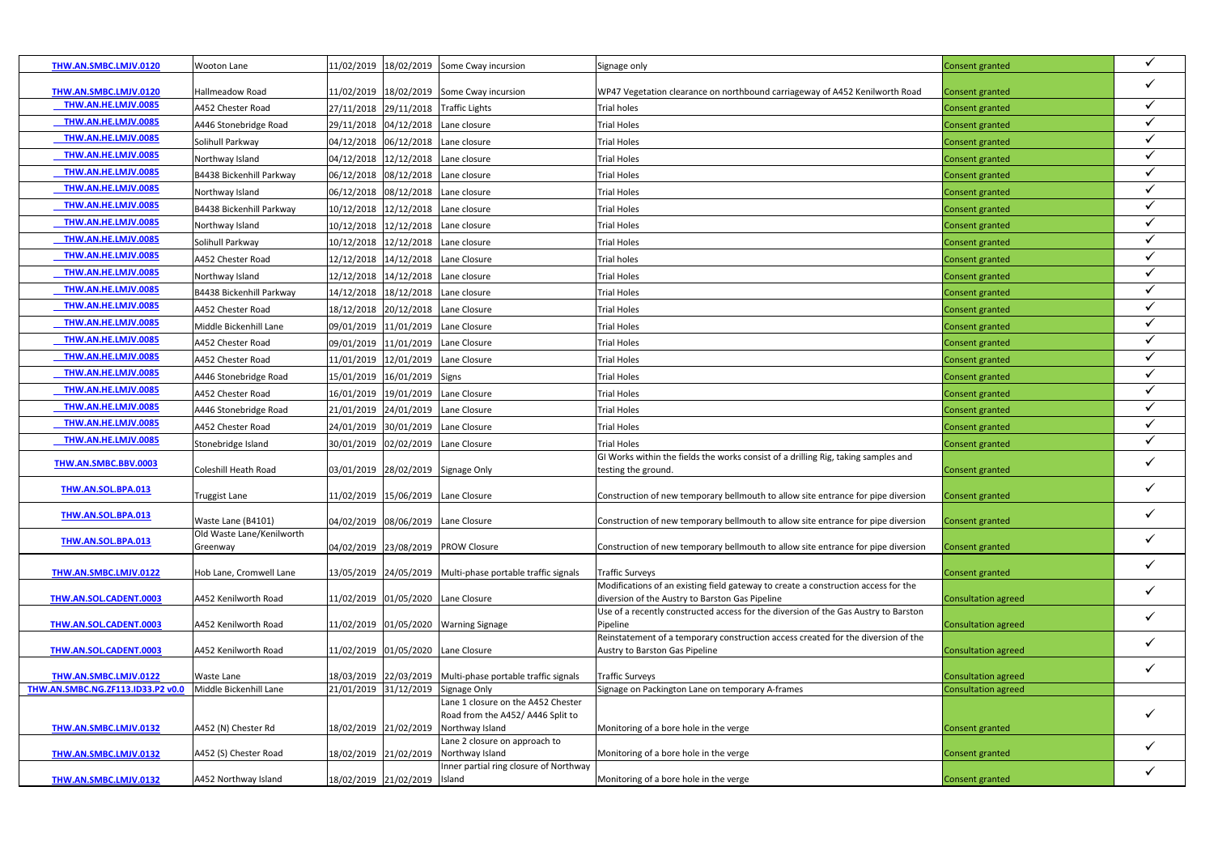| $\checkmark$<br>THW.AN.SMBC.LMJV.0120<br>11/02/2019 18/02/2019 Some Cway incursion<br>Hallmeadow Road<br>WP47 Vegetation clearance on northbound carriageway of A452 Kenilworth Road<br><b>Consent granted</b><br>THW.AN.HE.LMJV.0085<br>$\checkmark$<br>27/11/2018 29/11/2018 Traffic Lights<br><b>Trial holes</b><br>A452 Chester Road<br><b>Consent granted</b><br>THW.AN.HE.LMJV.0085<br>29/11/2018 04/12/2018 Lane closure<br>A446 Stonebridge Road<br><b>Trial Holes</b><br>Consent granted<br>$\checkmark$<br>THW.AN.HE.LMJV.0085<br>04/12/2018 06/12/2018 Lane closure<br>Solihull Parkway<br><b>Trial Holes</b><br><b>Consent granted</b><br>THW.AN.HE.LMJV.0085<br>$\checkmark$<br>04/12/2018 12/12/2018 Lane closure<br>Northway Island<br><b>Trial Holes</b><br>Consent granted<br>THW.AN.HE.LMJV.0085<br>$\checkmark$<br>B4438 Bickenhill Parkway<br><b>Trial Holes</b><br>06/12/2018<br>08/12/2018 Lane closure<br>Consent granted<br>THW.AN.HE.LMJV.0085<br>$\checkmark$<br>Northway Island<br>06/12/2018 08/12/2018 Lane closure<br><b>Trial Holes</b><br>Consent granted<br>$\checkmark$<br>THW.AN.HE.LMJV.0085<br>B4438 Bickenhill Parkway<br>10/12/2018<br>12/12/2018 Lane closure<br><b>Trial Holes</b><br>Consent granted<br>$\checkmark$<br>THW.AN.HE.LMJV.0085<br>10/12/2018<br>12/12/2018 Lane closure<br>Northway Island<br><b>Trial Holes</b><br>Consent granted<br>THW.AN.HE.LMJV.0085<br>$\checkmark$<br>Solihull Parkway<br>10/12/2018 12/12/2018 Lane closure<br><b>Trial Holes</b><br>Consent granted<br>$\checkmark$<br>THW.AN.HE.LMJV.0085<br>A452 Chester Road<br>12/12/2018 14/12/2018 Lane Closure<br><b>Trial holes</b><br>Consent granted<br>$\checkmark$<br>THW.AN.HE.LMJV.0085<br>14/12/2018 Lane closure<br>Northway Island<br>12/12/2018<br><b>Trial Holes</b><br>Consent granted<br>THW.AN.HE.LMJV.0085<br>$\checkmark$<br>B4438 Bickenhill Parkway<br>14/12/2018<br>18/12/2018 Lane closure<br><b>Trial Holes</b><br>Consent granted<br>THW.AN.HE.LMJV.0085<br>$\checkmark$<br>A452 Chester Road<br>20/12/2018 Lane Closure<br><b>Trial Holes</b><br>18/12/2018<br>Consent granted<br>09/01/2019 11/01/2019 Lane Closure | THW.AN.SMBC.LMJV.0120 | Wooton Lane            | 11/02/2019 | 18/02/2019 Some Cway incursion | Signage only       | Consent granted        | $\checkmark$ |
|----------------------------------------------------------------------------------------------------------------------------------------------------------------------------------------------------------------------------------------------------------------------------------------------------------------------------------------------------------------------------------------------------------------------------------------------------------------------------------------------------------------------------------------------------------------------------------------------------------------------------------------------------------------------------------------------------------------------------------------------------------------------------------------------------------------------------------------------------------------------------------------------------------------------------------------------------------------------------------------------------------------------------------------------------------------------------------------------------------------------------------------------------------------------------------------------------------------------------------------------------------------------------------------------------------------------------------------------------------------------------------------------------------------------------------------------------------------------------------------------------------------------------------------------------------------------------------------------------------------------------------------------------------------------------------------------------------------------------------------------------------------------------------------------------------------------------------------------------------------------------------------------------------------------------------------------------------------------------------------------------------------------------------------------------------------------------------------------------------------------------------------------------------------------|-----------------------|------------------------|------------|--------------------------------|--------------------|------------------------|--------------|
|                                                                                                                                                                                                                                                                                                                                                                                                                                                                                                                                                                                                                                                                                                                                                                                                                                                                                                                                                                                                                                                                                                                                                                                                                                                                                                                                                                                                                                                                                                                                                                                                                                                                                                                                                                                                                                                                                                                                                                                                                                                                                                                                                                      |                       |                        |            |                                |                    |                        |              |
|                                                                                                                                                                                                                                                                                                                                                                                                                                                                                                                                                                                                                                                                                                                                                                                                                                                                                                                                                                                                                                                                                                                                                                                                                                                                                                                                                                                                                                                                                                                                                                                                                                                                                                                                                                                                                                                                                                                                                                                                                                                                                                                                                                      |                       |                        |            |                                |                    |                        |              |
|                                                                                                                                                                                                                                                                                                                                                                                                                                                                                                                                                                                                                                                                                                                                                                                                                                                                                                                                                                                                                                                                                                                                                                                                                                                                                                                                                                                                                                                                                                                                                                                                                                                                                                                                                                                                                                                                                                                                                                                                                                                                                                                                                                      |                       |                        |            |                                |                    |                        |              |
|                                                                                                                                                                                                                                                                                                                                                                                                                                                                                                                                                                                                                                                                                                                                                                                                                                                                                                                                                                                                                                                                                                                                                                                                                                                                                                                                                                                                                                                                                                                                                                                                                                                                                                                                                                                                                                                                                                                                                                                                                                                                                                                                                                      |                       |                        |            |                                |                    |                        |              |
|                                                                                                                                                                                                                                                                                                                                                                                                                                                                                                                                                                                                                                                                                                                                                                                                                                                                                                                                                                                                                                                                                                                                                                                                                                                                                                                                                                                                                                                                                                                                                                                                                                                                                                                                                                                                                                                                                                                                                                                                                                                                                                                                                                      |                       |                        |            |                                |                    |                        |              |
|                                                                                                                                                                                                                                                                                                                                                                                                                                                                                                                                                                                                                                                                                                                                                                                                                                                                                                                                                                                                                                                                                                                                                                                                                                                                                                                                                                                                                                                                                                                                                                                                                                                                                                                                                                                                                                                                                                                                                                                                                                                                                                                                                                      |                       |                        |            |                                |                    |                        |              |
|                                                                                                                                                                                                                                                                                                                                                                                                                                                                                                                                                                                                                                                                                                                                                                                                                                                                                                                                                                                                                                                                                                                                                                                                                                                                                                                                                                                                                                                                                                                                                                                                                                                                                                                                                                                                                                                                                                                                                                                                                                                                                                                                                                      |                       |                        |            |                                |                    |                        |              |
|                                                                                                                                                                                                                                                                                                                                                                                                                                                                                                                                                                                                                                                                                                                                                                                                                                                                                                                                                                                                                                                                                                                                                                                                                                                                                                                                                                                                                                                                                                                                                                                                                                                                                                                                                                                                                                                                                                                                                                                                                                                                                                                                                                      |                       |                        |            |                                |                    |                        |              |
|                                                                                                                                                                                                                                                                                                                                                                                                                                                                                                                                                                                                                                                                                                                                                                                                                                                                                                                                                                                                                                                                                                                                                                                                                                                                                                                                                                                                                                                                                                                                                                                                                                                                                                                                                                                                                                                                                                                                                                                                                                                                                                                                                                      |                       |                        |            |                                |                    |                        |              |
|                                                                                                                                                                                                                                                                                                                                                                                                                                                                                                                                                                                                                                                                                                                                                                                                                                                                                                                                                                                                                                                                                                                                                                                                                                                                                                                                                                                                                                                                                                                                                                                                                                                                                                                                                                                                                                                                                                                                                                                                                                                                                                                                                                      |                       |                        |            |                                |                    |                        |              |
|                                                                                                                                                                                                                                                                                                                                                                                                                                                                                                                                                                                                                                                                                                                                                                                                                                                                                                                                                                                                                                                                                                                                                                                                                                                                                                                                                                                                                                                                                                                                                                                                                                                                                                                                                                                                                                                                                                                                                                                                                                                                                                                                                                      |                       |                        |            |                                |                    |                        |              |
|                                                                                                                                                                                                                                                                                                                                                                                                                                                                                                                                                                                                                                                                                                                                                                                                                                                                                                                                                                                                                                                                                                                                                                                                                                                                                                                                                                                                                                                                                                                                                                                                                                                                                                                                                                                                                                                                                                                                                                                                                                                                                                                                                                      |                       |                        |            |                                |                    |                        |              |
|                                                                                                                                                                                                                                                                                                                                                                                                                                                                                                                                                                                                                                                                                                                                                                                                                                                                                                                                                                                                                                                                                                                                                                                                                                                                                                                                                                                                                                                                                                                                                                                                                                                                                                                                                                                                                                                                                                                                                                                                                                                                                                                                                                      |                       |                        |            |                                |                    |                        |              |
|                                                                                                                                                                                                                                                                                                                                                                                                                                                                                                                                                                                                                                                                                                                                                                                                                                                                                                                                                                                                                                                                                                                                                                                                                                                                                                                                                                                                                                                                                                                                                                                                                                                                                                                                                                                                                                                                                                                                                                                                                                                                                                                                                                      |                       |                        |            |                                |                    |                        |              |
|                                                                                                                                                                                                                                                                                                                                                                                                                                                                                                                                                                                                                                                                                                                                                                                                                                                                                                                                                                                                                                                                                                                                                                                                                                                                                                                                                                                                                                                                                                                                                                                                                                                                                                                                                                                                                                                                                                                                                                                                                                                                                                                                                                      | THW.AN.HE.LMJV.0085   | Middle Bickenhill Lane |            |                                | <b>Trial Holes</b> | <b>Consent granted</b> | $\checkmark$ |
| THW.AN.HE.LMJV.0085<br>$\checkmark$<br>09/01/2019 11/01/2019 Lane Closure<br>A452 Chester Road<br><b>Trial Holes</b><br>Consent granted                                                                                                                                                                                                                                                                                                                                                                                                                                                                                                                                                                                                                                                                                                                                                                                                                                                                                                                                                                                                                                                                                                                                                                                                                                                                                                                                                                                                                                                                                                                                                                                                                                                                                                                                                                                                                                                                                                                                                                                                                              |                       |                        |            |                                |                    |                        |              |
| THW.AN.HE.LMJV.0085<br>$\checkmark$<br>12/01/2019 Lane Closure<br>A452 Chester Road<br>11/01/2019<br><b>Trial Holes</b><br>Consent granted                                                                                                                                                                                                                                                                                                                                                                                                                                                                                                                                                                                                                                                                                                                                                                                                                                                                                                                                                                                                                                                                                                                                                                                                                                                                                                                                                                                                                                                                                                                                                                                                                                                                                                                                                                                                                                                                                                                                                                                                                           |                       |                        |            |                                |                    |                        |              |
| THW.AN.HE.LMJV.0085<br>$\checkmark$<br>15/01/2019 16/01/2019 Signs<br>A446 Stonebridge Road<br><b>Trial Holes</b><br>Consent granted                                                                                                                                                                                                                                                                                                                                                                                                                                                                                                                                                                                                                                                                                                                                                                                                                                                                                                                                                                                                                                                                                                                                                                                                                                                                                                                                                                                                                                                                                                                                                                                                                                                                                                                                                                                                                                                                                                                                                                                                                                 |                       |                        |            |                                |                    |                        |              |
| $\checkmark$<br>THW.AN.HE.LMJV.0085<br>A452 Chester Road<br>16/01/2019<br>19/01/2019 Lane Closure<br><b>Trial Holes</b><br>Consent granted                                                                                                                                                                                                                                                                                                                                                                                                                                                                                                                                                                                                                                                                                                                                                                                                                                                                                                                                                                                                                                                                                                                                                                                                                                                                                                                                                                                                                                                                                                                                                                                                                                                                                                                                                                                                                                                                                                                                                                                                                           |                       |                        |            |                                |                    |                        |              |
| $\checkmark$<br>THW.AN.HE.LMJV.0085<br>21/01/2019 24/01/2019 Lane Closure<br>A446 Stonebridge Road<br><b>Trial Holes</b><br>Consent granted                                                                                                                                                                                                                                                                                                                                                                                                                                                                                                                                                                                                                                                                                                                                                                                                                                                                                                                                                                                                                                                                                                                                                                                                                                                                                                                                                                                                                                                                                                                                                                                                                                                                                                                                                                                                                                                                                                                                                                                                                          |                       |                        |            |                                |                    |                        |              |
| THW.AN.HE.LMJV.0085<br>$\checkmark$<br>A452 Chester Road<br>30/01/2019 Lane Closure<br><b>Trial Holes</b><br>24/01/2019<br>Consent granted                                                                                                                                                                                                                                                                                                                                                                                                                                                                                                                                                                                                                                                                                                                                                                                                                                                                                                                                                                                                                                                                                                                                                                                                                                                                                                                                                                                                                                                                                                                                                                                                                                                                                                                                                                                                                                                                                                                                                                                                                           |                       |                        |            |                                |                    |                        |              |
| THW.AN.HE.LMJV.0085<br>$\checkmark$<br>30/01/2019 02/02/2019 Lane Closure<br><b>Trial Holes</b><br>Stonebridge Island<br>Consent granted                                                                                                                                                                                                                                                                                                                                                                                                                                                                                                                                                                                                                                                                                                                                                                                                                                                                                                                                                                                                                                                                                                                                                                                                                                                                                                                                                                                                                                                                                                                                                                                                                                                                                                                                                                                                                                                                                                                                                                                                                             |                       |                        |            |                                |                    |                        |              |
| GI Works within the fields the works consist of a drilling Rig, taking samples and<br>$\checkmark$<br>THW.AN.SMBC.BBV.0003                                                                                                                                                                                                                                                                                                                                                                                                                                                                                                                                                                                                                                                                                                                                                                                                                                                                                                                                                                                                                                                                                                                                                                                                                                                                                                                                                                                                                                                                                                                                                                                                                                                                                                                                                                                                                                                                                                                                                                                                                                           |                       |                        |            |                                |                    |                        |              |
| Coleshill Heath Road<br>03/01/2019 28/02/2019 Signage Only<br>testing the ground.<br>Consent granted                                                                                                                                                                                                                                                                                                                                                                                                                                                                                                                                                                                                                                                                                                                                                                                                                                                                                                                                                                                                                                                                                                                                                                                                                                                                                                                                                                                                                                                                                                                                                                                                                                                                                                                                                                                                                                                                                                                                                                                                                                                                 |                       |                        |            |                                |                    |                        |              |
| $\checkmark$<br>THW.AN.SOL.BPA.013<br>11/02/2019 15/06/2019 Lane Closure<br>Construction of new temporary bellmouth to allow site entrance for pipe diversion<br><b>Truggist Lane</b><br>Consent granted                                                                                                                                                                                                                                                                                                                                                                                                                                                                                                                                                                                                                                                                                                                                                                                                                                                                                                                                                                                                                                                                                                                                                                                                                                                                                                                                                                                                                                                                                                                                                                                                                                                                                                                                                                                                                                                                                                                                                             |                       |                        |            |                                |                    |                        |              |
| $\checkmark$<br>THW.AN.SOL.BPA.013                                                                                                                                                                                                                                                                                                                                                                                                                                                                                                                                                                                                                                                                                                                                                                                                                                                                                                                                                                                                                                                                                                                                                                                                                                                                                                                                                                                                                                                                                                                                                                                                                                                                                                                                                                                                                                                                                                                                                                                                                                                                                                                                   |                       |                        |            |                                |                    |                        |              |
| Waste Lane (B4101)<br>04/02/2019 08/06/2019 Lane Closure<br>Construction of new temporary bellmouth to allow site entrance for pipe diversion<br><b>Consent granted</b>                                                                                                                                                                                                                                                                                                                                                                                                                                                                                                                                                                                                                                                                                                                                                                                                                                                                                                                                                                                                                                                                                                                                                                                                                                                                                                                                                                                                                                                                                                                                                                                                                                                                                                                                                                                                                                                                                                                                                                                              |                       |                        |            |                                |                    |                        |              |
| Old Waste Lane/Kenilworth<br>$\checkmark$<br>THW.AN.SOL.BPA.013<br>04/02/2019 23/08/2019 PROW Closure<br>Construction of new temporary bellmouth to allow site entrance for pipe diversion<br>Consent granted<br>Greenway                                                                                                                                                                                                                                                                                                                                                                                                                                                                                                                                                                                                                                                                                                                                                                                                                                                                                                                                                                                                                                                                                                                                                                                                                                                                                                                                                                                                                                                                                                                                                                                                                                                                                                                                                                                                                                                                                                                                            |                       |                        |            |                                |                    |                        |              |
| $\checkmark$                                                                                                                                                                                                                                                                                                                                                                                                                                                                                                                                                                                                                                                                                                                                                                                                                                                                                                                                                                                                                                                                                                                                                                                                                                                                                                                                                                                                                                                                                                                                                                                                                                                                                                                                                                                                                                                                                                                                                                                                                                                                                                                                                         |                       |                        |            |                                |                    |                        |              |
| 13/05/2019 24/05/2019 Multi-phase portable traffic signals<br><b>Traffic Surveys</b><br>Hob Lane, Cromwell Lane<br>THW.AN.SMBC.LMJV.0122<br><b>Consent granted</b>                                                                                                                                                                                                                                                                                                                                                                                                                                                                                                                                                                                                                                                                                                                                                                                                                                                                                                                                                                                                                                                                                                                                                                                                                                                                                                                                                                                                                                                                                                                                                                                                                                                                                                                                                                                                                                                                                                                                                                                                   |                       |                        |            |                                |                    |                        |              |
| Modifications of an existing field gateway to create a construction access for the<br>$\checkmark$<br>11/02/2019 01/05/2020 Lane Closure<br>diversion of the Austry to Barston Gas Pipeline<br>A452 Kenilworth Road<br>THW.AN.SOL.CADENT.0003                                                                                                                                                                                                                                                                                                                                                                                                                                                                                                                                                                                                                                                                                                                                                                                                                                                                                                                                                                                                                                                                                                                                                                                                                                                                                                                                                                                                                                                                                                                                                                                                                                                                                                                                                                                                                                                                                                                        |                       |                        |            |                                |                    |                        |              |
| <b>Consultation agreed</b><br>Use of a recently constructed access for the diversion of the Gas Austry to Barston                                                                                                                                                                                                                                                                                                                                                                                                                                                                                                                                                                                                                                                                                                                                                                                                                                                                                                                                                                                                                                                                                                                                                                                                                                                                                                                                                                                                                                                                                                                                                                                                                                                                                                                                                                                                                                                                                                                                                                                                                                                    |                       |                        |            |                                |                    |                        |              |
| $\checkmark$<br>THW.AN.SOL.CADENT.0003<br>A452 Kenilworth Road<br>11/02/2019 01/05/2020 Warning Signage<br>Pipeline<br><b>Consultation agreed</b>                                                                                                                                                                                                                                                                                                                                                                                                                                                                                                                                                                                                                                                                                                                                                                                                                                                                                                                                                                                                                                                                                                                                                                                                                                                                                                                                                                                                                                                                                                                                                                                                                                                                                                                                                                                                                                                                                                                                                                                                                    |                       |                        |            |                                |                    |                        |              |
| Reinstatement of a temporary construction access created for the diversion of the<br>$\checkmark$                                                                                                                                                                                                                                                                                                                                                                                                                                                                                                                                                                                                                                                                                                                                                                                                                                                                                                                                                                                                                                                                                                                                                                                                                                                                                                                                                                                                                                                                                                                                                                                                                                                                                                                                                                                                                                                                                                                                                                                                                                                                    |                       |                        |            |                                |                    |                        |              |
| 11/02/2019 01/05/2020 Lane Closure<br>THW.AN.SOL.CADENT.0003<br>A452 Kenilworth Road<br>Austry to Barston Gas Pipeline<br><b>Consultation agreed</b>                                                                                                                                                                                                                                                                                                                                                                                                                                                                                                                                                                                                                                                                                                                                                                                                                                                                                                                                                                                                                                                                                                                                                                                                                                                                                                                                                                                                                                                                                                                                                                                                                                                                                                                                                                                                                                                                                                                                                                                                                 |                       |                        |            |                                |                    |                        |              |
| $\checkmark$<br><b>Traffic Surveys</b><br>18/03/2019 22/03/2019 Multi-phase portable traffic signals<br><b>Consultation agreed</b><br>THW.AN.SMBC.LMJV.0122<br>Waste Lane                                                                                                                                                                                                                                                                                                                                                                                                                                                                                                                                                                                                                                                                                                                                                                                                                                                                                                                                                                                                                                                                                                                                                                                                                                                                                                                                                                                                                                                                                                                                                                                                                                                                                                                                                                                                                                                                                                                                                                                            |                       |                        |            |                                |                    |                        |              |
| THW.AN.SMBC.NG.ZF113.ID33.P2 v0.0<br>Middle Bickenhill Lane<br>21/01/2019 31/12/2019 Signage Only<br>Signage on Packington Lane on temporary A-frames<br><b>Consultation agreed</b>                                                                                                                                                                                                                                                                                                                                                                                                                                                                                                                                                                                                                                                                                                                                                                                                                                                                                                                                                                                                                                                                                                                                                                                                                                                                                                                                                                                                                                                                                                                                                                                                                                                                                                                                                                                                                                                                                                                                                                                  |                       |                        |            |                                |                    |                        |              |
| Lane 1 closure on the A452 Chester<br>$\checkmark$<br>Road from the A452/ A446 Split to                                                                                                                                                                                                                                                                                                                                                                                                                                                                                                                                                                                                                                                                                                                                                                                                                                                                                                                                                                                                                                                                                                                                                                                                                                                                                                                                                                                                                                                                                                                                                                                                                                                                                                                                                                                                                                                                                                                                                                                                                                                                              |                       |                        |            |                                |                    |                        |              |
| 18/02/2019 21/02/2019 Northway Island<br>Monitoring of a bore hole in the verge<br>THW.AN.SMBC.LMJV.0132<br>A452 (N) Chester Rd<br>Consent granted                                                                                                                                                                                                                                                                                                                                                                                                                                                                                                                                                                                                                                                                                                                                                                                                                                                                                                                                                                                                                                                                                                                                                                                                                                                                                                                                                                                                                                                                                                                                                                                                                                                                                                                                                                                                                                                                                                                                                                                                                   |                       |                        |            |                                |                    |                        |              |
| Lane 2 closure on approach to<br>$\checkmark$                                                                                                                                                                                                                                                                                                                                                                                                                                                                                                                                                                                                                                                                                                                                                                                                                                                                                                                                                                                                                                                                                                                                                                                                                                                                                                                                                                                                                                                                                                                                                                                                                                                                                                                                                                                                                                                                                                                                                                                                                                                                                                                        |                       |                        |            |                                |                    |                        |              |
| 18/02/2019 21/02/2019<br>A452 (S) Chester Road<br>Northway Island<br>Monitoring of a bore hole in the verge<br>THW.AN.SMBC.LMJV.0132<br>Consent granted                                                                                                                                                                                                                                                                                                                                                                                                                                                                                                                                                                                                                                                                                                                                                                                                                                                                                                                                                                                                                                                                                                                                                                                                                                                                                                                                                                                                                                                                                                                                                                                                                                                                                                                                                                                                                                                                                                                                                                                                              |                       |                        |            |                                |                    |                        |              |
| Inner partial ring closure of Northway<br>$\checkmark$<br>18/02/2019 21/02/2019 Island<br>Monitoring of a bore hole in the verge<br>THW.AN.SMBC.LMJV.0132<br>A452 Northway Island<br><b>Consent granted</b>                                                                                                                                                                                                                                                                                                                                                                                                                                                                                                                                                                                                                                                                                                                                                                                                                                                                                                                                                                                                                                                                                                                                                                                                                                                                                                                                                                                                                                                                                                                                                                                                                                                                                                                                                                                                                                                                                                                                                          |                       |                        |            |                                |                    |                        |              |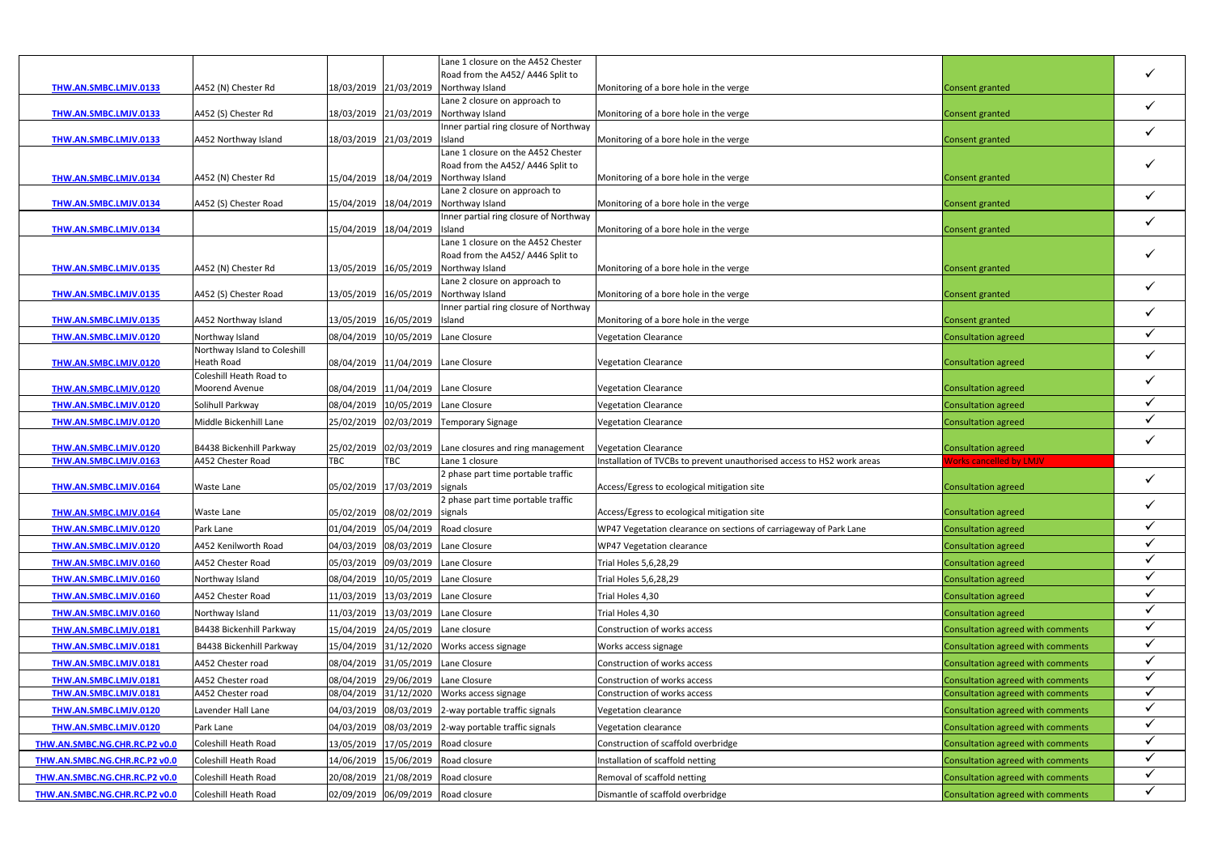|                                                                |                                              |                       |                                    | Lane 1 closure on the A452 Chester                                          |                                                                        |                                                                        |                              |
|----------------------------------------------------------------|----------------------------------------------|-----------------------|------------------------------------|-----------------------------------------------------------------------------|------------------------------------------------------------------------|------------------------------------------------------------------------|------------------------------|
|                                                                |                                              |                       |                                    | Road from the A452/ A446 Split to                                           |                                                                        |                                                                        |                              |
| THW.AN.SMBC.LMJV.0133                                          | A452 (N) Chester Rd                          |                       | 18/03/2019 21/03/2019              | Northway Island                                                             | Monitoring of a bore hole in the verge                                 | Consent granted                                                        |                              |
|                                                                |                                              |                       |                                    | Lane 2 closure on approach to                                               |                                                                        |                                                                        | $\checkmark$                 |
| THW.AN.SMBC.LMJV.0133                                          | A452 (S) Chester Rd                          |                       | 18/03/2019 21/03/2019              | Northway Island                                                             | Monitoring of a bore hole in the verge                                 | Consent granted                                                        |                              |
| THW.AN.SMBC.LMJV.0133                                          | A452 Northway Island                         |                       | 18/03/2019 21/03/2019 Island       | Inner partial ring closure of Northway                                      | Monitoring of a bore hole in the verge                                 | Consent granted                                                        | $\checkmark$                 |
|                                                                |                                              |                       |                                    | Lane 1 closure on the A452 Chester                                          |                                                                        |                                                                        |                              |
|                                                                |                                              |                       |                                    | Road from the A452/ A446 Split to                                           |                                                                        |                                                                        |                              |
| THW.AN.SMBC.LMJV.0134                                          | A452 (N) Chester Rd                          | 15/04/2019 18/04/2019 |                                    | Northway Island                                                             | Monitoring of a bore hole in the verge                                 | Consent granted                                                        |                              |
|                                                                |                                              |                       |                                    | Lane 2 closure on approach to                                               |                                                                        |                                                                        | $\checkmark$                 |
| THW.AN.SMBC.LMJV.0134                                          | A452 (S) Chester Road                        |                       |                                    | 15/04/2019 18/04/2019 Northway Island                                       | Monitoring of a bore hole in the verge                                 | Consent granted                                                        |                              |
|                                                                |                                              |                       |                                    | Inner partial ring closure of Northway                                      |                                                                        |                                                                        | $\checkmark$                 |
| THW.AN.SMBC.LMJV.0134                                          |                                              |                       | 15/04/2019 18/04/2019              | Island<br>Lane 1 closure on the A452 Chester                                | Monitoring of a bore hole in the verge                                 | Consent granted                                                        |                              |
|                                                                |                                              |                       |                                    | Road from the A452/ A446 Split to                                           |                                                                        |                                                                        |                              |
| THW.AN.SMBC.LMJV.0135                                          | A452 (N) Chester Rd                          | 13/05/2019 16/05/2019 |                                    | Northway Island                                                             | Monitoring of a bore hole in the verge                                 | Consent granted                                                        |                              |
|                                                                |                                              |                       |                                    | Lane 2 closure on approach to                                               |                                                                        |                                                                        |                              |
| THW.AN.SMBC.LMJV.0135                                          | A452 (S) Chester Road                        |                       | 13/05/2019 16/05/2019              | Northway Island                                                             | Monitoring of a bore hole in the verge                                 | Consent granted                                                        | $\checkmark$                 |
|                                                                |                                              |                       |                                    | Inner partial ring closure of Northway                                      |                                                                        |                                                                        | $\checkmark$                 |
| THW.AN.SMBC.LMJV.0135                                          | A452 Northway Island                         |                       | 13/05/2019 16/05/2019 Island       |                                                                             | Monitoring of a bore hole in the verge                                 | Consent granted                                                        |                              |
| THW.AN.SMBC.LMJV.0120                                          | Northway Island                              |                       |                                    | 08/04/2019 10/05/2019 Lane Closure                                          | <b>Vegetation Clearance</b>                                            | <b>Consultation agreed</b>                                             | $\checkmark$                 |
|                                                                | Northway Island to Coleshill                 |                       |                                    |                                                                             |                                                                        |                                                                        | $\checkmark$                 |
| THW.AN.SMBC.LMJV.0120                                          | <b>Heath Road</b>                            |                       | 08/04/2019 11/04/2019 Lane Closure |                                                                             | <b>Vegetation Clearance</b>                                            | Consultation agreed                                                    |                              |
| THW.AN.SMBC.LMJV.0120                                          | Coleshill Heath Road to<br>Moorend Avenue    |                       | 08/04/2019 11/04/2019 Lane Closure |                                                                             | <b>Vegetation Clearance</b>                                            | <b>Consultation agreed</b>                                             | $\checkmark$                 |
| THW.AN.SMBC.LMJV.0120                                          | Solihull Parkway                             |                       | 08/04/2019 10/05/2019 Lane Closure |                                                                             | <b>Vegetation Clearance</b>                                            | Consultation agreed                                                    |                              |
|                                                                |                                              |                       |                                    | 25/02/2019 02/03/2019 Temporary Signage                                     | <b>Vegetation Clearance</b>                                            | <b>Consultation agreed</b>                                             | $\checkmark$                 |
| THW.AN.SMBC.LMJV.0120                                          | Middle Bickenhill Lane                       |                       |                                    |                                                                             |                                                                        |                                                                        |                              |
|                                                                |                                              |                       |                                    |                                                                             |                                                                        |                                                                        |                              |
| THW.AN.SMBC.LMJV.0120                                          | B4438 Bickenhill Parkway                     |                       |                                    |                                                                             | <b>Vegetation Clearance</b>                                            |                                                                        | $\checkmark$                 |
| THW.AN.SMBC.LMJV.0163                                          | A452 Chester Road                            | <b>TBC</b>            | <b>TBC</b>                         | $25/02/2019$ 02/03/2019 Lane closures and ring management<br>Lane 1 closure | Installation of TVCBs to prevent unauthorised access to HS2 work areas | Consultation agreed<br><b>Norks cancelled by LMJV</b>                  |                              |
|                                                                |                                              |                       |                                    | 2 phase part time portable traffic                                          |                                                                        |                                                                        |                              |
| THW.AN.SMBC.LMJV.0164                                          | Waste Lane                                   | 05/02/2019 17/03/2019 |                                    | signals                                                                     | Access/Egress to ecological mitigation site                            | <b>Consultation agreed</b>                                             | $\checkmark$                 |
|                                                                |                                              |                       |                                    | 2 phase part time portable traffic                                          |                                                                        |                                                                        |                              |
| THW.AN.SMBC.LMJV.0164                                          | Waste Lane                                   |                       | 05/02/2019 08/02/2019 signals      |                                                                             | Access/Egress to ecological mitigation site                            | <b>Consultation agreed</b>                                             |                              |
| THW.AN.SMBC.LMJV.0120                                          | Park Lane                                    |                       |                                    | 01/04/2019 05/04/2019 Road closure                                          | WP47 Vegetation clearance on sections of carriageway of Park Lane      | <b>Consultation agreed</b>                                             | $\checkmark$                 |
| THW.AN.SMBC.LMJV.0120                                          | A452 Kenilworth Road                         |                       |                                    | 04/03/2019 08/03/2019 Lane Closure                                          | WP47 Vegetation clearance                                              | Consultation agreed                                                    |                              |
| THW.AN.SMBC.LMJV.0160                                          | A452 Chester Road                            |                       |                                    | 05/03/2019 09/03/2019 Lane Closure                                          | Trial Holes 5,6,28,29                                                  | Consultation agreed                                                    | $\checkmark$                 |
| THW.AN.SMBC.LMJV.0160                                          | Northway Island                              |                       | 08/04/2019 10/05/2019 Lane Closure |                                                                             | Trial Holes 5,6,28,29                                                  | Consultation agreed                                                    | $\checkmark$                 |
| THW.AN.SMBC.LMJV.0160                                          | A452 Chester Road                            |                       | 11/03/2019 13/03/2019 Lane Closure |                                                                             | Trial Holes 4,30                                                       | <b>Consultation agreed</b>                                             | $\checkmark$                 |
| THW.AN.SMBC.LMJV.0160                                          | Northway Island                              |                       |                                    | 11/03/2019 13/03/2019 Lane Closure                                          | Trial Holes 4,30                                                       | Consultation agreed                                                    | $\checkmark$                 |
| THW.AN.SMBC.LMJV.0181                                          | B4438 Bickenhill Parkway                     |                       | 15/04/2019 24/05/2019 Lane closure |                                                                             | Construction of works access                                           | Consultation agreed with comments                                      | $\checkmark$                 |
|                                                                | B4438 Bickenhill Parkway                     |                       |                                    |                                                                             |                                                                        |                                                                        | $\checkmark$                 |
| THW.AN.SMBC.LMJV.0181                                          | A452 Chester road                            |                       |                                    | 15/04/2019 31/12/2020 Works access signage                                  | Works access signage<br>Construction of works access                   | Consultation agreed with comments                                      | $\checkmark$                 |
| THW.AN.SMBC.LMJV.0181                                          |                                              |                       | 08/04/2019 31/05/2019 Lane Closure |                                                                             |                                                                        | Consultation agreed with comments                                      | $\checkmark$                 |
| THW.AN.SMBC.LMJV.0181                                          | A452 Chester road                            |                       | 08/04/2019 29/06/2019 Lane Closure |                                                                             | Construction of works access                                           | Consultation agreed with comments                                      | $\checkmark$                 |
| THW.AN.SMBC.LMJV.0181                                          | A452 Chester road                            |                       |                                    | 08/04/2019 31/12/2020 Works access signage                                  | Construction of works access                                           | Consultation agreed with comments                                      | $\checkmark$                 |
| THW.AN.SMBC.LMJV.0120                                          | Lavender Hall Lane                           |                       |                                    | 04/03/2019 08/03/2019 2-way portable traffic signals                        | Vegetation clearance                                                   | Consultation agreed with comments                                      | $\checkmark$                 |
| THW.AN.SMBC.LMJV.0120                                          | Park Lane                                    |                       |                                    | 04/03/2019 08/03/2019 2-way portable traffic signals                        | Vegetation clearance                                                   | Consultation agreed with comments                                      | $\checkmark$                 |
| THW.AN.SMBC.NG.CHR.RC.P2 v0.0                                  | Coleshill Heath Road                         |                       |                                    | 13/05/2019 17/05/2019 Road closure                                          | Construction of scaffold overbridge                                    | Consultation agreed with comments                                      | $\checkmark$                 |
| THW.AN.SMBC.NG.CHR.RC.P2 v0.0                                  | Coleshill Heath Road                         |                       |                                    | 14/06/2019 15/06/2019 Road closure                                          | Installation of scaffold netting                                       | Consultation agreed with comments                                      |                              |
| THW.AN.SMBC.NG.CHR.RC.P2 v0.0<br>THW.AN.SMBC.NG.CHR.RC.P2 v0.0 | Coleshill Heath Road<br>Coleshill Heath Road |                       |                                    | 20/08/2019 21/08/2019 Road closure<br>02/09/2019 06/09/2019 Road closure    | Removal of scaffold netting<br>Dismantle of scaffold overbridge        | Consultation agreed with comments<br>Consultation agreed with comments | $\checkmark$<br>$\checkmark$ |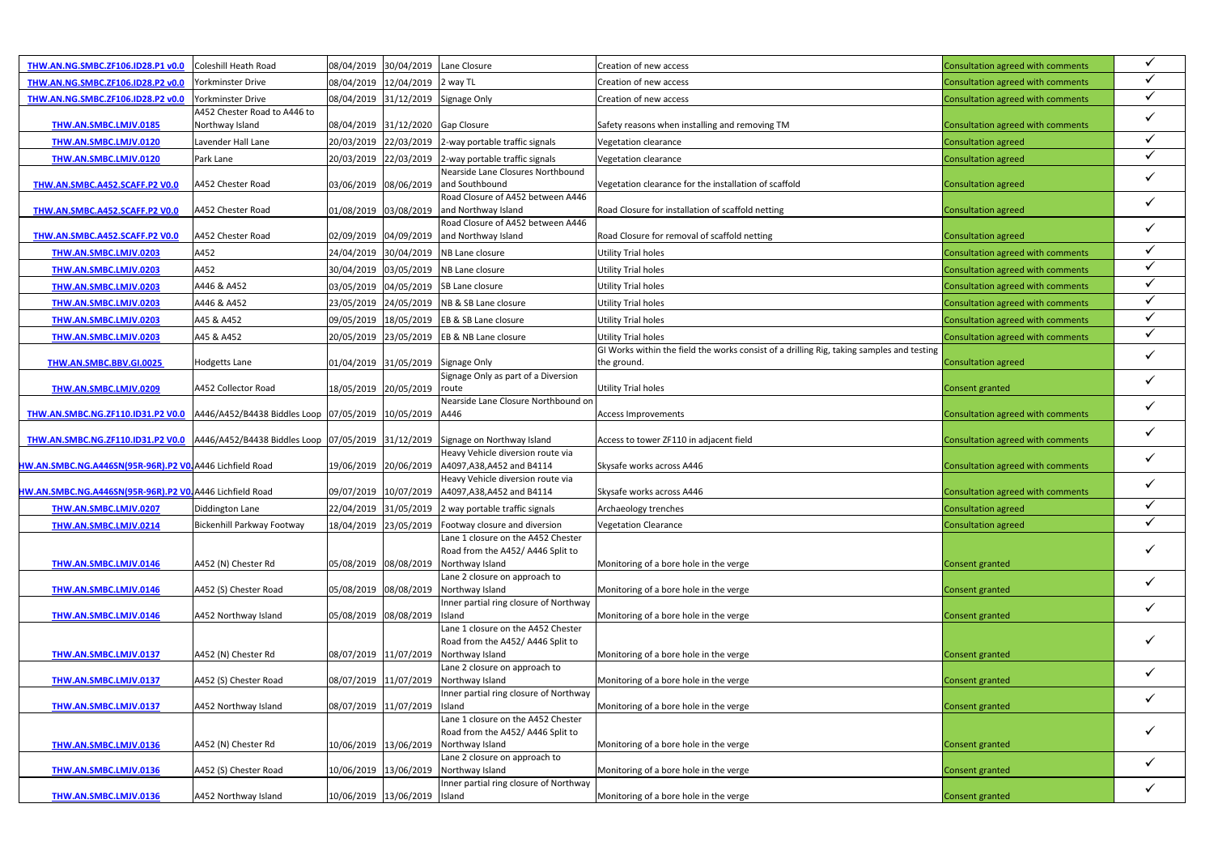| THW.AN.NG.SMBC.ZF106.ID28.P1 v0.0                                                                               | Coleshill Heath Road         |                       | 08/04/2019 30/04/2019 Lane Closure |                                                                                 | Creation of new access                                                                    | Consultation agreed with comments | $\checkmark$ |
|-----------------------------------------------------------------------------------------------------------------|------------------------------|-----------------------|------------------------------------|---------------------------------------------------------------------------------|-------------------------------------------------------------------------------------------|-----------------------------------|--------------|
| THW.AN.NG.SMBC.ZF106.ID28.P2 v0.0                                                                               | Yorkminster Drive            |                       | 08/04/2019 12/04/2019 2 way TL     |                                                                                 | Creation of new access                                                                    | Consultation agreed with comments | $\checkmark$ |
| THW.AN.NG.SMBC.ZF106.ID28.P2 v0.0                                                                               | Yorkminster Drive            |                       | 08/04/2019 31/12/2019 Signage Only |                                                                                 | Creation of new access                                                                    | Consultation agreed with comments | $\checkmark$ |
|                                                                                                                 | A452 Chester Road to A446 to |                       |                                    |                                                                                 |                                                                                           |                                   | $\checkmark$ |
| THW.AN.SMBC.LMJV.0185                                                                                           | Northway Island              |                       | 08/04/2019 31/12/2020 Gap Closure  |                                                                                 | Safety reasons when installing and removing TM                                            | Consultation agreed with comments |              |
| THW.AN.SMBC.LMJV.0120                                                                                           | Lavender Hall Lane           |                       |                                    | 20/03/2019 22/03/2019 2-way portable traffic signals                            | Vegetation clearance                                                                      | Consultation agreed               | $\checkmark$ |
| THW.AN.SMBC.LMJV.0120                                                                                           | Park Lane                    |                       |                                    | 20/03/2019 22/03/2019 2-way portable traffic signals                            | Vegetation clearance                                                                      | Consultation agreed               | $\checkmark$ |
| THW.AN.SMBC.A452.SCAFF.P2 V0.0                                                                                  | A452 Chester Road            |                       |                                    | Nearside Lane Closures Northbound<br>03/06/2019 08/06/2019 and Southbound       | Vegetation clearance for the installation of scaffold                                     | <b>Consultation agreed</b>        | $\checkmark$ |
|                                                                                                                 |                              |                       |                                    | Road Closure of A452 between A446                                               |                                                                                           |                                   |              |
| THW.AN.SMBC.A452.SCAFF.P2 V0.0                                                                                  | A452 Chester Road            | 01/08/2019 03/08/2019 |                                    | and Northway Island                                                             | Road Closure for installation of scaffold netting                                         | Consultation agreed               | $\checkmark$ |
|                                                                                                                 |                              |                       |                                    | Road Closure of A452 between A446                                               |                                                                                           |                                   | $\checkmark$ |
| THW.AN.SMBC.A452.SCAFF.P2 V0.0                                                                                  | A452 Chester Road            |                       |                                    | 02/09/2019 04/09/2019 and Northway Island                                       | Road Closure for removal of scaffold netting                                              | Consultation agreed               | $\checkmark$ |
| THW.AN.SMBC.LMJV.0203                                                                                           | A452                         |                       |                                    | 24/04/2019 30/04/2019 NB Lane closure                                           | Utility Trial holes                                                                       | Consultation agreed with comments | $\checkmark$ |
| THW.AN.SMBC.LMJV.0203                                                                                           | A452                         |                       |                                    | 30/04/2019 03/05/2019 NB Lane closure                                           | <b>Utility Trial holes</b>                                                                | Consultation agreed with comments |              |
| THW.AN.SMBC.LMJV.0203                                                                                           | A446 & A452                  |                       |                                    | 03/05/2019 04/05/2019 SB Lane closure                                           | Utility Trial holes                                                                       | Consultation agreed with comments | $\checkmark$ |
| THW.AN.SMBC.LMJV.0203                                                                                           | A446 & A452                  |                       |                                    | 23/05/2019 24/05/2019 NB & SB Lane closure                                      | Utility Trial holes                                                                       | Consultation agreed with comments | $\checkmark$ |
| THW.AN.SMBC.LMJV.0203                                                                                           | A45 & A452                   |                       |                                    | 09/05/2019 18/05/2019 EB & SB Lane closure                                      | <b>Utility Trial holes</b>                                                                | Consultation agreed with comments | $\checkmark$ |
| THW.AN.SMBC.LMJV.0203                                                                                           | A45 & A452                   |                       |                                    | 20/05/2019 23/05/2019 EB & NB Lane closure                                      | Utility Trial holes                                                                       | Consultation agreed with comments | $\checkmark$ |
|                                                                                                                 |                              |                       |                                    |                                                                                 | GI Works within the field the works consist of a drilling Rig, taking samples and testing |                                   | $\checkmark$ |
| THW.AN.SMBC.BBV.GI.0025                                                                                         | <b>Hodgetts Lane</b>         |                       |                                    | 01/04/2019 31/05/2019 Signage Only<br>Signage Only as part of a Diversion       | the ground.                                                                               | <b>Consultation agreed</b>        |              |
| THW.AN.SMBC.LMJV.0209                                                                                           | A452 Collector Road          |                       | 18/05/2019 20/05/2019              | route                                                                           | <b>Utility Trial holes</b>                                                                | Consent granted                   | $\checkmark$ |
|                                                                                                                 |                              |                       |                                    | Nearside Lane Closure Northbound on                                             |                                                                                           |                                   | $\checkmark$ |
| THW.AN.SMBC.NG.ZF110.ID31.P2 V0.0 A446/A452/B4438 Biddles Loop 07/05/2019 10/05/2019 A446                       |                              |                       |                                    |                                                                                 | <b>Access Improvements</b>                                                                | Consultation agreed with comments |              |
|                                                                                                                 |                              |                       |                                    |                                                                                 |                                                                                           |                                   | $\checkmark$ |
| THW.AN.SMBC.NG.ZF110.ID31.P2 V0.0 A446/A452/B4438 Biddles Loop 07/05/2019 31/12/2019 Signage on Northway Island |                              |                       |                                    | Heavy Vehicle diversion route via                                               | Access to tower ZF110 in adjacent field                                                   | Consultation agreed with comments |              |
| HW.AN.SMBC.NG.A446SN(95R-96R).P2 VO. A446 Lichfield Road                                                        |                              |                       | 19/06/2019 20/06/2019              | A4097, A38, A452 and B4114                                                      | Skysafe works across A446                                                                 | Consultation agreed with comments | $\checkmark$ |
|                                                                                                                 |                              |                       |                                    | Heavy Vehicle diversion route via                                               |                                                                                           |                                   | $\checkmark$ |
| HW.AN.SMBC.NG.A446SN(95R-96R).P2 VO. A446 Lichfield Road                                                        |                              |                       |                                    | 09/07/2019 10/07/2019 A4097,A38,A452 and B4114                                  | Skysafe works across A446                                                                 | Consultation agreed with comments |              |
| THW.AN.SMBC.LMJV.0207                                                                                           | Diddington Lane              |                       |                                    | 22/04/2019 31/05/2019 2 way portable traffic signals                            | Archaeology trenches                                                                      | <b>Consultation agreed</b>        | $\checkmark$ |
| THW.AN.SMBC.LMJV.0214                                                                                           | Bickenhill Parkway Footway   |                       | 18/04/2019 23/05/2019              | Footway closure and diversion                                                   | <b>Vegetation Clearance</b>                                                               | Consultation agreed               | $\checkmark$ |
|                                                                                                                 |                              |                       |                                    | Lane 1 closure on the A452 Chester                                              |                                                                                           |                                   |              |
|                                                                                                                 |                              |                       |                                    | Road from the A452/ A446 Split to<br>Northway Island                            | Monitoring of a bore hole in the verge                                                    |                                   | $\checkmark$ |
| THW.AN.SMBC.LMJV.0146                                                                                           | A452 (N) Chester Rd          | 05/08/2019 08/08/2019 |                                    | Lane 2 closure on approach to                                                   |                                                                                           | Consent granted                   |              |
| THW.AN.SMBC.LMJV.0146                                                                                           | A452 (S) Chester Road        |                       |                                    | 05/08/2019 08/08/2019 Northway Island                                           | Monitoring of a bore hole in the verge                                                    | Consent granted                   | $\checkmark$ |
|                                                                                                                 |                              |                       |                                    | Inner partial ring closure of Northway                                          |                                                                                           |                                   | $\checkmark$ |
| THW.AN.SMBC.LMJV.0146                                                                                           | A452 Northway Island         | 05/08/2019 08/08/2019 |                                    | Island                                                                          | Monitoring of a bore hole in the verge                                                    | Consent granted                   |              |
|                                                                                                                 |                              |                       |                                    | Lane 1 closure on the A452 Chester<br>Road from the A452/A446 Split to          |                                                                                           |                                   | $\checkmark$ |
| THW.AN.SMBC.LMJV.0137                                                                                           | A452 (N) Chester Rd          | 08/07/2019 11/07/2019 |                                    | Northway Island                                                                 | Monitoring of a bore hole in the verge                                                    | Consent granted                   |              |
|                                                                                                                 |                              |                       |                                    | Lane 2 closure on approach to                                                   |                                                                                           |                                   | $\checkmark$ |
| THW.AN.SMBC.LMJV.0137                                                                                           | A452 (S) Chester Road        | 08/07/2019 11/07/2019 |                                    | Northway Island                                                                 | Monitoring of a bore hole in the verge                                                    | Consent granted                   |              |
|                                                                                                                 |                              |                       |                                    | Inner partial ring closure of Northway                                          |                                                                                           |                                   | $\checkmark$ |
| THW.AN.SMBC.LMJV.0137                                                                                           | A452 Northway Island         | 08/07/2019 11/07/2019 |                                    | Island<br>Lane 1 closure on the A452 Chester                                    | Monitoring of a bore hole in the verge                                                    | Consent granted                   |              |
|                                                                                                                 |                              |                       |                                    | Road from the A452/A446 Split to                                                |                                                                                           |                                   | $\checkmark$ |
| THW.AN.SMBC.LMJV.0136                                                                                           | A452 (N) Chester Rd          |                       | 10/06/2019 13/06/2019              | Northway Island                                                                 | Monitoring of a bore hole in the verge                                                    | Consent granted                   |              |
|                                                                                                                 |                              |                       |                                    | Lane 2 closure on approach to                                                   |                                                                                           |                                   | $\checkmark$ |
| THW.AN.SMBC.LMJV.0136                                                                                           | A452 (S) Chester Road        |                       |                                    | 10/06/2019 13/06/2019 Northway Island<br>Inner partial ring closure of Northway | Monitoring of a bore hole in the verge                                                    | Consent granted                   |              |
| THW.AN.SMBC.LMJV.0136                                                                                           | A452 Northway Island         |                       | 10/06/2019 13/06/2019 Island       |                                                                                 | Monitoring of a bore hole in the verge                                                    | Consent granted                   | $\checkmark$ |
|                                                                                                                 |                              |                       |                                    |                                                                                 |                                                                                           |                                   |              |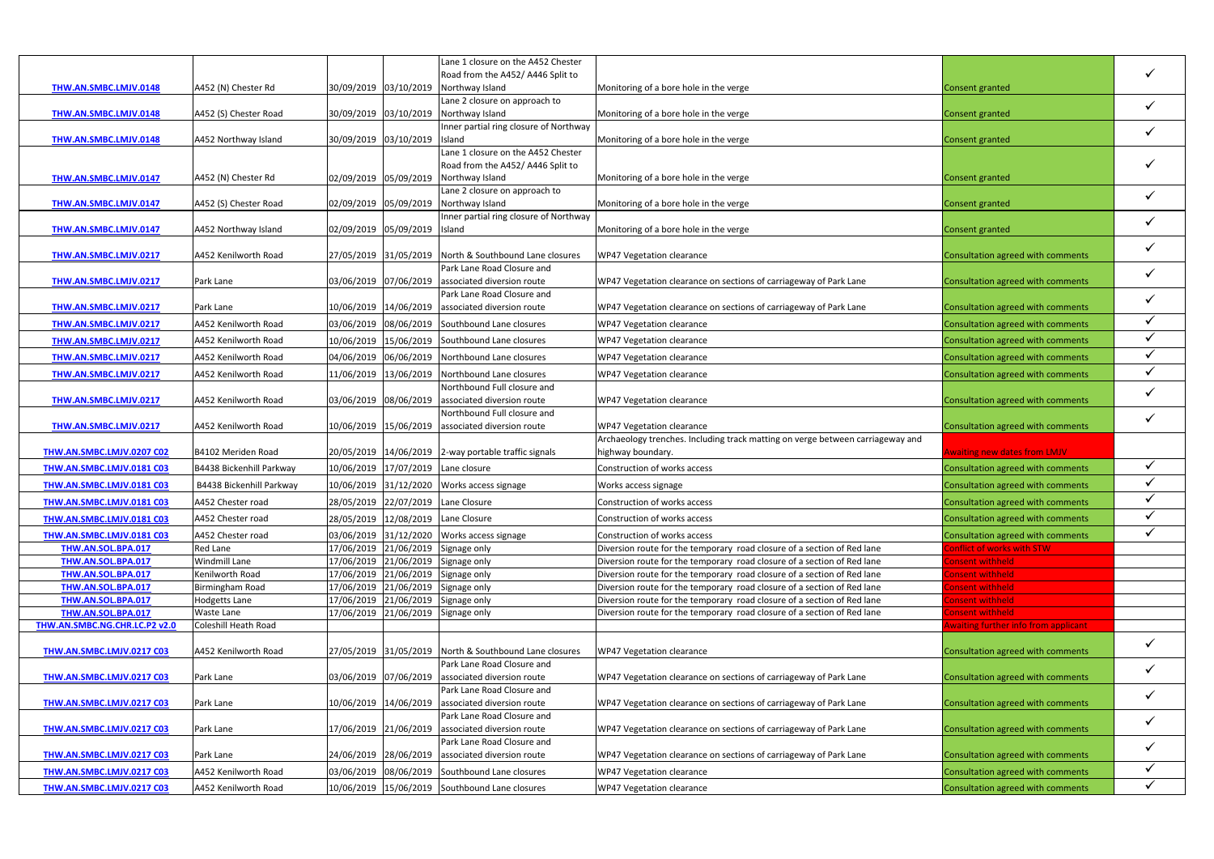|                                                     |                                           |            |                              | Lane 1 closure on the A452 Chester                                              |                                                                                |                                                        |              |
|-----------------------------------------------------|-------------------------------------------|------------|------------------------------|---------------------------------------------------------------------------------|--------------------------------------------------------------------------------|--------------------------------------------------------|--------------|
|                                                     |                                           |            |                              | Road from the A452/ A446 Split to                                               |                                                                                |                                                        |              |
| THW.AN.SMBC.LMJV.0148                               | A452 (N) Chester Rd                       |            |                              | 30/09/2019 03/10/2019 Northway Island                                           | Monitoring of a bore hole in the verge                                         | Consent granted                                        |              |
|                                                     | A452 (S) Chester Road                     |            |                              | Lane 2 closure on approach to                                                   | Monitoring of a bore hole in the verge                                         | Consent granted                                        | $\checkmark$ |
| THW.AN.SMBC.LMJV.0148                               |                                           |            |                              | 30/09/2019 03/10/2019 Northway Island<br>Inner partial ring closure of Northway |                                                                                |                                                        |              |
| THW.AN.SMBC.LMJV.0148                               | A452 Northway Island                      |            | 30/09/2019 03/10/2019 Island |                                                                                 | Monitoring of a bore hole in the verge                                         | <b>Consent granted</b>                                 | $\checkmark$ |
|                                                     |                                           |            |                              | Lane 1 closure on the A452 Chester                                              |                                                                                |                                                        |              |
|                                                     |                                           |            |                              | Road from the A452/ A446 Split to                                               |                                                                                |                                                        |              |
| THW.AN.SMBC.LMJV.0147                               | A452 (N) Chester Rd                       |            |                              | 02/09/2019 05/09/2019 Northway Island                                           | Monitoring of a bore hole in the verge                                         | Consent granted                                        |              |
| THW.AN.SMBC.LMJV.0147                               | A452 (S) Chester Road                     |            |                              | Lane 2 closure on approach to<br>02/09/2019 05/09/2019 Northway Island          | Monitoring of a bore hole in the verge                                         | Consent granted                                        | $\checkmark$ |
|                                                     |                                           |            |                              | Inner partial ring closure of Northway                                          |                                                                                |                                                        |              |
| THW.AN.SMBC.LMJV.0147                               | A452 Northway Island                      |            | 02/09/2019 05/09/2019 Island |                                                                                 | Monitoring of a bore hole in the verge                                         | Consent granted                                        | $\checkmark$ |
|                                                     |                                           |            |                              |                                                                                 |                                                                                |                                                        | $\checkmark$ |
| THW.AN.SMBC.LMJV.0217                               | A452 Kenilworth Road                      |            |                              | 27/05/2019 31/05/2019 North & Southbound Lane closures                          | WP47 Vegetation clearance                                                      | Consultation agreed with comments                      |              |
|                                                     |                                           |            |                              | Park Lane Road Closure and                                                      |                                                                                |                                                        | $\checkmark$ |
| THW.AN.SMBC.LMJV.0217                               | Park Lane                                 |            | 03/06/2019 07/06/2019        | associated diversion route<br>Park Lane Road Closure and                        | WP47 Vegetation clearance on sections of carriageway of Park Lane              | Consultation agreed with comments                      |              |
| THW.AN.SMBC.LMJV.0217                               | Park Lane                                 |            |                              | 10/06/2019 14/06/2019 associated diversion route                                | WP47 Vegetation clearance on sections of carriageway of Park Lane              | Consultation agreed with comments                      | $\checkmark$ |
| THW.AN.SMBC.LMJV.0217                               | A452 Kenilworth Road                      | 03/06/2019 |                              | 08/06/2019 Southbound Lane closures                                             | WP47 Vegetation clearance                                                      | Consultation agreed with comments                      | $\checkmark$ |
| THW.AN.SMBC.LMJV.0217                               | A452 Kenilworth Road                      | 10/06/2019 |                              | 15/06/2019 Southbound Lane closures                                             | WP47 Vegetation clearance                                                      |                                                        | $\checkmark$ |
|                                                     |                                           |            |                              |                                                                                 |                                                                                | Consultation agreed with comments                      | $\checkmark$ |
| THW.AN.SMBC.LMJV.0217                               | A452 Kenilworth Road                      | 04/06/2019 |                              | 06/06/2019 Northbound Lane closures                                             | WP47 Vegetation clearance                                                      | Consultation agreed with comments                      |              |
| THW.AN.SMBC.LMJV.0217                               | A452 Kenilworth Road                      |            |                              | 11/06/2019   13/06/2019   Northbound Lane closures                              | WP47 Vegetation clearance                                                      | Consultation agreed with comments                      | $\checkmark$ |
| THW.AN.SMBC.LMJV.0217                               |                                           |            |                              | Northbound Full closure and<br>03/06/2019 08/06/2019 associated diversion route |                                                                                |                                                        | $\checkmark$ |
|                                                     | A452 Kenilworth Road                      |            |                              | Northbound Full closure and                                                     | WP47 Vegetation clearance                                                      | Consultation agreed with comments                      |              |
| THW.AN.SMBC.LMJV.0217                               | A452 Kenilworth Road                      |            |                              | 10/06/2019 15/06/2019 associated diversion route                                | WP47 Vegetation clearance                                                      | Consultation agreed with comments                      | $\checkmark$ |
|                                                     |                                           |            |                              |                                                                                 | Archaeology trenches. Including track matting on verge between carriageway and |                                                        |              |
| THW.AN.SMBC.LMJV.0207 C02                           | B4102 Meriden Road                        |            |                              | 20/05/2019 14/06/2019 2-way portable traffic signals                            | highway boundary.                                                              | <b>Awaiting new dates from LMJV</b>                    |              |
| THW.AN.SMBC.LMJV.0181 C03                           | B4438 Bickenhill Parkway                  | 10/06/2019 |                              | 17/07/2019 Lane closure                                                         | Construction of works access                                                   | Consultation agreed with comments                      | $\checkmark$ |
| THW.AN.SMBC.LMJV.0181 C03                           | B4438 Bickenhill Parkway                  |            |                              | 10/06/2019 31/12/2020 Works access signage                                      | Works access signage                                                           | Consultation agreed with comments                      | $\checkmark$ |
| THW.AN.SMBC.LMJV.0181 C03                           | A452 Chester road                         |            |                              | 28/05/2019 22/07/2019 Lane Closure                                              | Construction of works access                                                   | Consultation agreed with comments                      | $\checkmark$ |
| THW.AN.SMBC.LMJV.0181 C03                           | A452 Chester road                         |            |                              | 28/05/2019 12/08/2019 Lane Closure                                              | Construction of works access                                                   | Consultation agreed with comments                      | $\checkmark$ |
| THW.AN.SMBC.LMJV.0181 C03                           | A452 Chester road                         | 03/06/2019 |                              | 31/12/2020 Works access signage                                                 | Construction of works access                                                   | Consultation agreed with comments                      | $\checkmark$ |
| THW.AN.SOL.BPA.017                                  | <b>Red Lane</b>                           | 17/06/2019 |                              | 21/06/2019 Signage only                                                         | Diversion route for the temporary road closure of a section of Red lane        | onflict of works with STW                              |              |
| THW.AN.SOL.BPA.017                                  | <b>Windmill Lane</b>                      | 17/06/2019 |                              | 21/06/2019 Signage only                                                         | Diversion route for the temporary road closure of a section of Red lane        | onsent withheld                                        |              |
| THW.AN.SOL.BPA.017                                  | Kenilworth Road                           | 17/06/2019 |                              | 21/06/2019 Signage only                                                         | Diversion route for the temporary road closure of a section of Red lane        | Consent withheld                                       |              |
| THW.AN.SOL.BPA.017                                  | Birmingham Road                           |            |                              | 17/06/2019 21/06/2019 Signage only                                              | Diversion route for the temporary road closure of a section of Red lane        | Consent withheld                                       |              |
| THW.AN.SOL.BPA.017                                  | <b>Hodgetts Lane</b>                      | 17/06/2019 |                              | 21/06/2019 Signage only                                                         | Diversion route for the temporary road closure of a section of Red lane        | Consent withheld                                       |              |
| THW.AN.SOL.BPA.017<br>THW.AN.SMBC.NG.CHR.LC.P2 v2.0 | Waste Lane<br><b>Coleshill Heath Road</b> | 17/06/2019 |                              | 21/06/2019 Signage only                                                         | Diversion route for the temporary road closure of a section of Red lane        | onsent withheld<br>waiting further info from applicant |              |
|                                                     |                                           |            |                              |                                                                                 |                                                                                |                                                        |              |
| THW.AN.SMBC.LMJV.0217 C03                           | A452 Kenilworth Road                      |            |                              | 27/05/2019 31/05/2019 North & Southbound Lane closures                          | WP47 Vegetation clearance                                                      | Consultation agreed with comments                      | $\checkmark$ |
|                                                     |                                           |            |                              | Park Lane Road Closure and                                                      |                                                                                |                                                        | $\checkmark$ |
| THW.AN.SMBC.LMJV.0217 C03                           | Park Lane                                 |            |                              | 03/06/2019 07/06/2019 associated diversion route                                | WP47 Vegetation clearance on sections of carriageway of Park Lane              | Consultation agreed with comments                      |              |
|                                                     |                                           |            |                              | Park Lane Road Closure and                                                      |                                                                                |                                                        | $\checkmark$ |
|                                                     |                                           |            |                              | 10/06/2019 14/06/2019 associated diversion route                                | WP47 Vegetation clearance on sections of carriageway of Park Lane              | Consultation agreed with comments                      |              |
| THW.AN.SMBC.LMJV.0217 C03                           | Park Lane                                 |            |                              |                                                                                 |                                                                                |                                                        |              |
|                                                     |                                           |            |                              | Park Lane Road Closure and                                                      |                                                                                |                                                        | $\checkmark$ |
| THW.AN.SMBC.LMJV.0217 C03                           | Park Lane                                 |            |                              | 17/06/2019 21/06/2019 associated diversion route<br>Park Lane Road Closure and  | WP47 Vegetation clearance on sections of carriageway of Park Lane              | Consultation agreed with comments                      |              |
| THW.AN.SMBC.LMJV.0217 C03                           | Park Lane                                 |            |                              | 24/06/2019 28/06/2019 associated diversion route                                | WP47 Vegetation clearance on sections of carriageway of Park Lane              | Consultation agreed with comments                      | $\checkmark$ |
| THW.AN.SMBC.LMJV.0217 C03                           | A452 Kenilworth Road                      | 03/06/2019 |                              | 08/06/2019 Southbound Lane closures                                             | WP47 Vegetation clearance                                                      | Consultation agreed with comments                      | $\checkmark$ |
| THW.AN.SMBC.LMJV.0217 C03                           | A452 Kenilworth Road                      |            |                              | 10/06/2019 15/06/2019 Southbound Lane closures                                  | WP47 Vegetation clearance                                                      | Consultation agreed with comments                      | $\checkmark$ |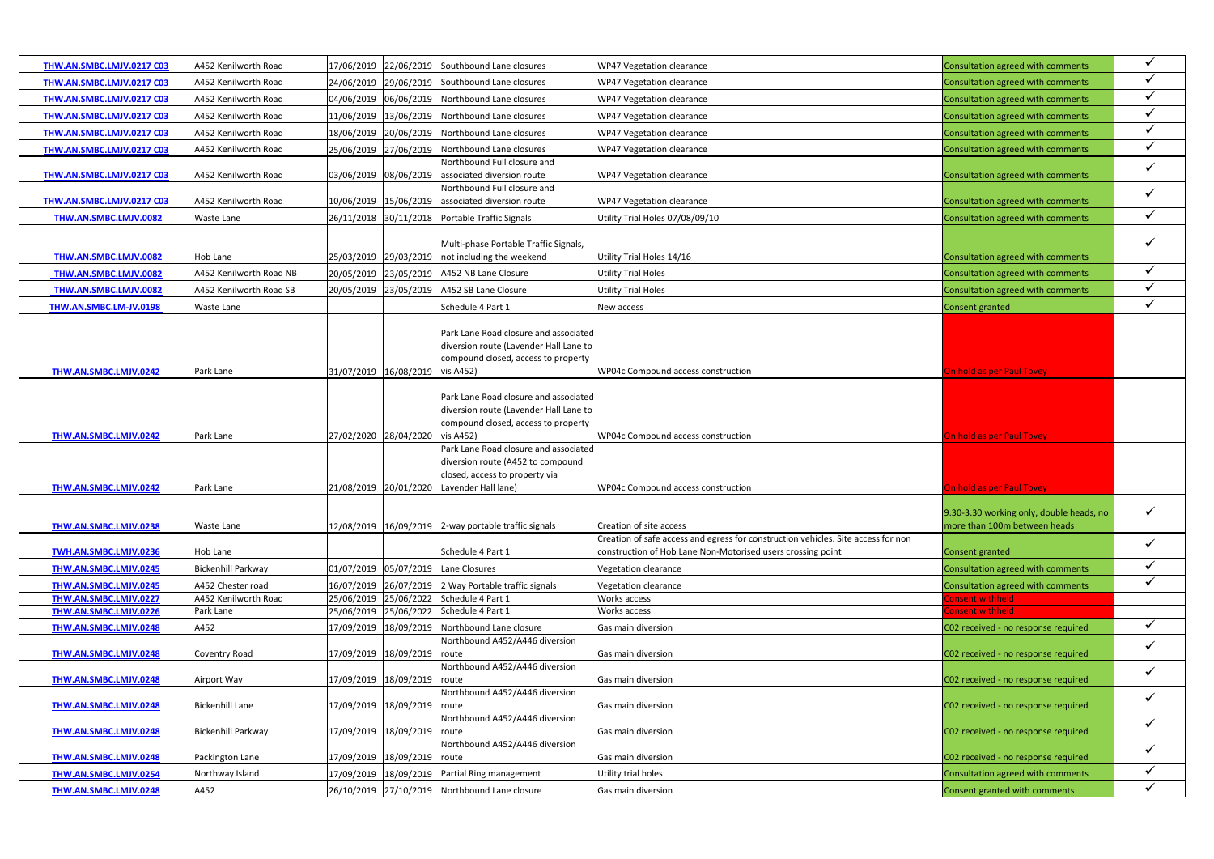| THW.AN.SMBC.LMJV.0217 C03                      | A452 Kenilworth Road      |                       |                             | 17/06/2019 22/06/2019 Southbound Lane closures                                                     | WP47 Vegetation clearance                                                                                    | Consultation agreed with comments                                  | $\checkmark$                 |
|------------------------------------------------|---------------------------|-----------------------|-----------------------------|----------------------------------------------------------------------------------------------------|--------------------------------------------------------------------------------------------------------------|--------------------------------------------------------------------|------------------------------|
| THW.AN.SMBC.LMJV.0217 C03                      | A452 Kenilworth Road      |                       |                             | 24/06/2019 29/06/2019 Southbound Lane closures                                                     | WP47 Vegetation clearance                                                                                    | Consultation agreed with comments                                  | $\checkmark$                 |
| THW.AN.SMBC.LMJV.0217 C03                      | A452 Kenilworth Road      |                       |                             | 04/06/2019 06/06/2019 Northbound Lane closures                                                     | WP47 Vegetation clearance                                                                                    | Consultation agreed with comments                                  | $\checkmark$                 |
| THW.AN.SMBC.LMJV.0217 C03                      | A452 Kenilworth Road      |                       |                             | 11/06/2019 13/06/2019 Northbound Lane closures                                                     | WP47 Vegetation clearance                                                                                    | Consultation agreed with comments                                  | $\checkmark$                 |
| THW.AN.SMBC.LMJV.0217 C03                      | A452 Kenilworth Road      |                       |                             | 18/06/2019 20/06/2019 Northbound Lane closures                                                     | WP47 Vegetation clearance                                                                                    | Consultation agreed with comments                                  | $\checkmark$                 |
| THW.AN.SMBC.LMJV.0217 C03                      | A452 Kenilworth Road      |                       |                             | 25/06/2019 27/06/2019 Northbound Lane closures                                                     | WP47 Vegetation clearance                                                                                    | Consultation agreed with comments                                  | $\checkmark$                 |
|                                                |                           |                       |                             | Northbound Full closure and                                                                        |                                                                                                              |                                                                    |                              |
| THW.AN.SMBC.LMJV.0217 C03                      | A452 Kenilworth Road      | 03/06/2019 08/06/2019 |                             | associated diversion route                                                                         | WP47 Vegetation clearance                                                                                    | Consultation agreed with comments                                  | $\checkmark$                 |
|                                                |                           |                       |                             | Northbound Full closure and                                                                        |                                                                                                              |                                                                    | $\checkmark$                 |
| THW.AN.SMBC.LMJV.0217 C03                      | A452 Kenilworth Road      |                       |                             | 10/06/2019 15/06/2019 associated diversion route                                                   | WP47 Vegetation clearance                                                                                    | Consultation agreed with comments                                  |                              |
| THW.AN.SMBC.LMJV.0082                          | Waste Lane                |                       |                             | 26/11/2018 30/11/2018 Portable Traffic Signals                                                     | Utility Trial Holes 07/08/09/10                                                                              | Consultation agreed with comments                                  | $\checkmark$                 |
|                                                |                           |                       |                             |                                                                                                    |                                                                                                              |                                                                    |                              |
|                                                |                           |                       |                             | Multi-phase Portable Traffic Signals,                                                              |                                                                                                              |                                                                    |                              |
| THW.AN.SMBC.LMJV.0082                          | Hob Lane                  |                       |                             | 25/03/2019 29/03/2019 not including the weekend                                                    | Utility Trial Holes 14/16                                                                                    | Consultation agreed with comments                                  |                              |
| THW.AN.SMBC.LMJV.0082                          | A452 Kenilworth Road NB   | 20/05/2019 23/05/2019 |                             | A452 NB Lane Closure                                                                               | <b>Utility Trial Holes</b>                                                                                   | Consultation agreed with comments                                  | $\checkmark$                 |
| THW.AN.SMBC.LMJV.0082                          | A452 Kenilworth Road SB   |                       |                             | 20/05/2019 23/05/2019 A452 SB Lane Closure                                                         | <b>Utility Trial Holes</b>                                                                                   | Consultation agreed with comments                                  | $\checkmark$                 |
| THW.AN.SMBC.LM-JV.0198                         | Waste Lane                |                       |                             | Schedule 4 Part 1                                                                                  | New access                                                                                                   | <b>Consent granted</b>                                             | $\checkmark$                 |
|                                                |                           |                       |                             |                                                                                                    |                                                                                                              |                                                                    |                              |
|                                                |                           |                       |                             | Park Lane Road closure and associated                                                              |                                                                                                              |                                                                    |                              |
|                                                |                           |                       |                             | diversion route (Lavender Hall Lane to                                                             |                                                                                                              |                                                                    |                              |
|                                                |                           |                       |                             | compound closed, access to property                                                                |                                                                                                              |                                                                    |                              |
| THW.AN.SMBC.LMJV.0242                          | Park Lane                 | 31/07/2019 16/08/2019 |                             | vis A452)                                                                                          | WP04c Compound access construction                                                                           | On hold as per Paul Tovey                                          |                              |
|                                                |                           |                       |                             |                                                                                                    |                                                                                                              |                                                                    |                              |
|                                                |                           |                       |                             | Park Lane Road closure and associated                                                              |                                                                                                              |                                                                    |                              |
|                                                |                           |                       |                             | diversion route (Lavender Hall Lane to                                                             |                                                                                                              |                                                                    |                              |
|                                                |                           |                       |                             | compound closed, access to property                                                                |                                                                                                              |                                                                    |                              |
| THW.AN.SMBC.LMJV.0242                          | Park Lane                 | 27/02/2020 28/04/2020 |                             | vis A452)                                                                                          | WP04c Compound access construction                                                                           | On hold as per Paul Tovey                                          |                              |
|                                                |                           |                       |                             | Park Lane Road closure and associated                                                              |                                                                                                              |                                                                    |                              |
|                                                |                           |                       |                             | diversion route (A452 to compound                                                                  |                                                                                                              |                                                                    |                              |
|                                                |                           |                       |                             | closed, access to property via                                                                     |                                                                                                              |                                                                    |                              |
| <b>THW.AN.SMBC.LMJV.0242</b>                   | Park Lane                 | 21/08/2019 20/01/2020 |                             | Lavender Hall lane)                                                                                | WP04c Compound access construction                                                                           | On hold as per Paul Tovey                                          |                              |
|                                                |                           |                       |                             |                                                                                                    |                                                                                                              |                                                                    | $\checkmark$                 |
|                                                |                           |                       |                             |                                                                                                    |                                                                                                              | 9.30-3.30 working only, double heads, no                           |                              |
| <b>THW.AN.SMBC.LMJV.0238</b>                   | Waste Lane                |                       |                             | 12/08/2019 16/09/2019 2-way portable traffic signals                                               | Creation of site access<br>Creation of safe access and egress for construction vehicles. Site access for non | more than 100m between heads                                       |                              |
| TWH.AN.SMBC.LMJV.0236                          | Hob Lane                  |                       |                             | Schedule 4 Part 1                                                                                  | construction of Hob Lane Non-Motorised users crossing point                                                  | <b>Consent granted</b>                                             | $\checkmark$                 |
|                                                |                           |                       |                             |                                                                                                    |                                                                                                              |                                                                    | $\checkmark$                 |
| THW.AN.SMBC.LMJV.0245                          | <b>Bickenhill Parkway</b> |                       |                             | 01/07/2019 05/07/2019 Lane Closures                                                                | Vegetation clearance                                                                                         | Consultation agreed with comments                                  | $\checkmark$                 |
| THW.AN.SMBC.LMJV.0245                          | A452 Chester road         |                       |                             | 16/07/2019 26/07/2019 2 Way Portable traffic signals                                               | Vegetation clearance                                                                                         | Consultation agreed with comments                                  |                              |
| THW.AN.SMBC.LMJV.0227                          | A452 Kenilworth Road      |                       |                             | 25/06/2019 25/06/2022 Schedule 4 Part 1                                                            | Works access                                                                                                 | onsent withheld                                                    |                              |
| THW.AN.SMBC.LMJV.0226                          | Park Lane                 |                       |                             | 25/06/2019 25/06/2022 Schedule 4 Part 1                                                            | Works access                                                                                                 | Consent withheld                                                   | $\checkmark$                 |
| THW.AN.SMBC.LMJV.0248                          |                           |                       |                             |                                                                                                    |                                                                                                              |                                                                    |                              |
|                                                | A452                      |                       |                             | 17/09/2019 18/09/2019 Northbound Lane closure                                                      | Gas main diversion                                                                                           | C02 received - no response required                                |                              |
|                                                |                           |                       |                             | Northbound A452/A446 diversion                                                                     |                                                                                                              |                                                                    | $\checkmark$                 |
| THW.AN.SMBC.LMJV.0248                          | Coventry Road             |                       | 17/09/2019 18/09/2019 route |                                                                                                    | Gas main diversion                                                                                           | C02 received - no response required                                |                              |
|                                                |                           |                       |                             | Northbound A452/A446 diversion                                                                     |                                                                                                              |                                                                    | $\checkmark$                 |
| THW.AN.SMBC.LMJV.0248                          | Airport Way               | 17/09/2019 18/09/2019 |                             | route                                                                                              | Gas main diversion                                                                                           | C02 received - no response required                                |                              |
|                                                |                           |                       |                             | Northbound A452/A446 diversion                                                                     |                                                                                                              |                                                                    | $\checkmark$                 |
| <b>THW.AN.SMBC.LMJV.0248</b>                   | <b>Bickenhill Lane</b>    |                       | 17/09/2019 18/09/2019 route |                                                                                                    | Gas main diversion                                                                                           | C02 received - no response required                                |                              |
|                                                |                           |                       |                             | Northbound A452/A446 diversion                                                                     |                                                                                                              |                                                                    | $\checkmark$                 |
| THW.AN.SMBC.LMJV.0248                          | <b>Bickenhill Parkway</b> |                       | 17/09/2019 18/09/2019 route |                                                                                                    | Gas main diversion                                                                                           | C02 received - no response required                                |                              |
|                                                |                           |                       |                             | Northbound A452/A446 diversion                                                                     |                                                                                                              |                                                                    | $\checkmark$                 |
| THW.AN.SMBC.LMJV.0248                          | Packington Lane           |                       | 17/09/2019 18/09/2019 route |                                                                                                    | Gas main diversion                                                                                           | C02 received - no response required                                |                              |
| THW.AN.SMBC.LMJV.0254<br>THW.AN.SMBC.LMJV.0248 | Northway Island<br>A452   |                       |                             | 17/09/2019   18/09/2019   Partial Ring management<br>26/10/2019 27/10/2019 Northbound Lane closure | Utility trial holes<br>Gas main diversion                                                                    | Consultation agreed with comments<br>Consent granted with comments | $\checkmark$<br>$\checkmark$ |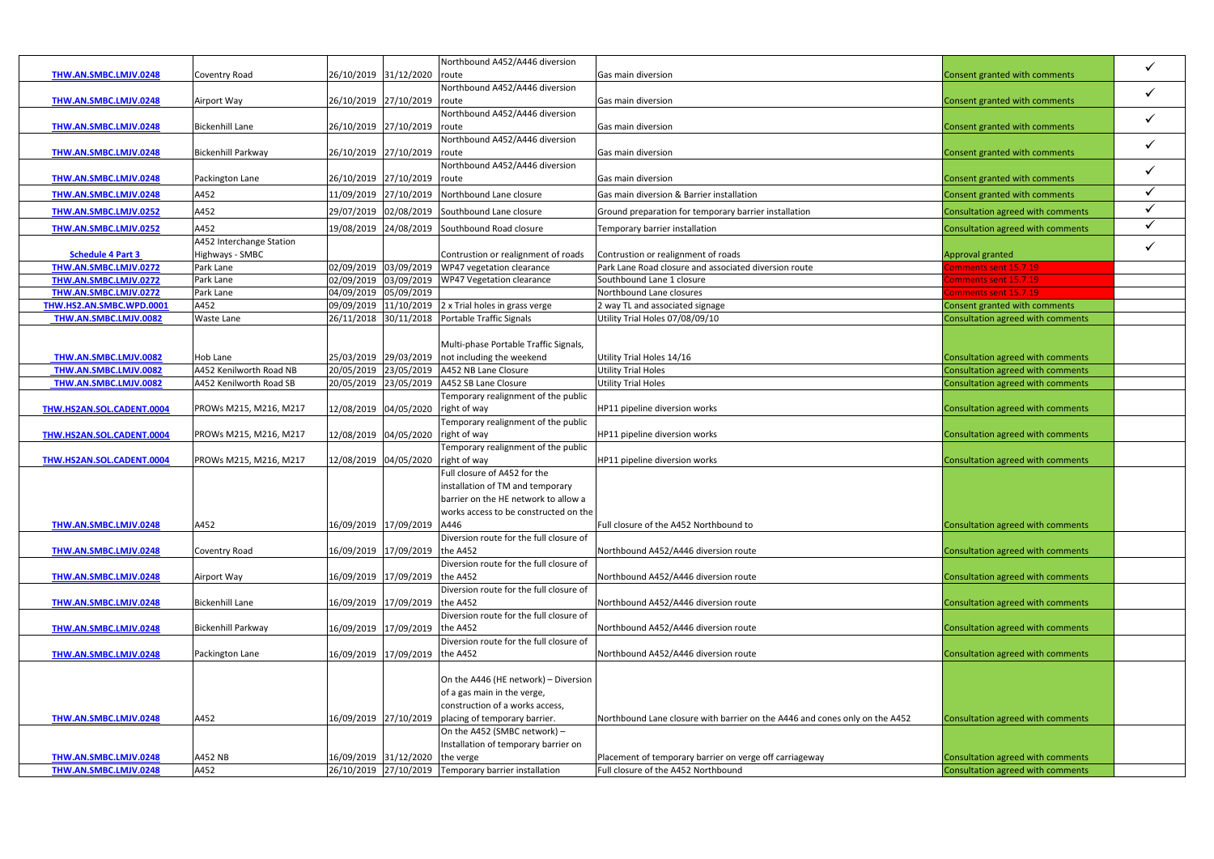|                              |                           |                       |                                | Northbound A452/A446 diversion                       |                                                                             |                                     |              |
|------------------------------|---------------------------|-----------------------|--------------------------------|------------------------------------------------------|-----------------------------------------------------------------------------|-------------------------------------|--------------|
| <b>THW.AN.SMBC.LMJV.0248</b> | <b>Coventry Road</b>      | 26/10/2019 31/12/2020 |                                | route                                                | Gas main diversion                                                          | Consent granted with comments       | $\checkmark$ |
|                              |                           |                       |                                | Northbound A452/A446 diversion                       |                                                                             |                                     |              |
| THW.AN.SMBC.LMJV.0248        | Airport Way               |                       | 26/10/2019 27/10/2019          | route                                                | Gas main diversion                                                          | Consent granted with comments       | $\checkmark$ |
|                              |                           |                       |                                | Northbound A452/A446 diversion                       |                                                                             |                                     |              |
| THW.AN.SMBC.LMJV.0248        | <b>Bickenhill Lane</b>    |                       | 26/10/2019 27/10/2019          | route                                                | Gas main diversion                                                          | Consent granted with comments       | $\checkmark$ |
|                              |                           |                       |                                | Northbound A452/A446 diversion                       |                                                                             |                                     |              |
| THW.AN.SMBC.LMJV.0248        | <b>Bickenhill Parkway</b> |                       | 26/10/2019 27/10/2019          | route                                                | Gas main diversion                                                          | Consent granted with comments       | $\checkmark$ |
|                              |                           |                       |                                | Northbound A452/A446 diversion                       |                                                                             |                                     |              |
| <b>THW.AN.SMBC.LMJV.0248</b> | Packington Lane           |                       | 26/10/2019 27/10/2019 route    |                                                      | Gas main diversion                                                          | Consent granted with comments       | $\checkmark$ |
|                              | A452                      |                       | 11/09/2019 27/10/2019          | Northbound Lane closure                              | Gas main diversion & Barrier installation                                   | Consent granted with comments       | $\checkmark$ |
| THW.AN.SMBC.LMJV.0248        |                           |                       |                                |                                                      |                                                                             |                                     |              |
| <b>THW.AN.SMBC.LMJV.0252</b> | A452                      |                       |                                | 29/07/2019 02/08/2019 Southbound Lane closure        | Ground preparation for temporary barrier installation                       | Consultation agreed with comments   | $\checkmark$ |
| THW.AN.SMBC.LMJV.0252        | A452                      |                       |                                | 19/08/2019 24/08/2019 Southbound Road closure        | Temporary barrier installation                                              | Consultation agreed with comments   | $\checkmark$ |
|                              | A452 Interchange Station  |                       |                                |                                                      |                                                                             |                                     | $\checkmark$ |
| <b>Schedule 4 Part 3</b>     | Highways - SMBC           |                       |                                | Contrustion or realignment of roads                  | Contrustion or realignment of roads                                         | Approval granted                    |              |
| THW.AN.SMBC.LMJV.0272        | Park Lane                 |                       |                                | 02/09/2019 03/09/2019 WP47 vegetation clearance      | Park Lane Road closure and associated diversion route                       | comments sent 15.7.19               |              |
| THW.AN.SMBC.LMJV.0272        | Park Lane                 |                       |                                | 02/09/2019 03/09/2019 WP47 Vegetation clearance      | Southbound Lane 1 closure                                                   | Comments sent 15.7. <mark>19</mark> |              |
| THW.AN.SMBC.LMJV.0272        | Park Lane                 |                       | 04/09/2019 05/09/2019          |                                                      | Northbound Lane closures                                                    | Comments sent 15.7.19               |              |
| THW.HS2.AN.SMBC.WPD.0001     | A452                      |                       |                                | 09/09/2019 11/10/2019 2 x Trial holes in grass verge | 2 way TL and associated signage                                             | Consent granted with comments       |              |
| THW.AN.SMBC.LMJV.0082        | <b>Waste Lane</b>         |                       |                                | 26/11/2018 30/11/2018 Portable Traffic Signals       | Utility Trial Holes 07/08/09/10                                             | Consultation agreed with comments   |              |
|                              |                           |                       |                                |                                                      |                                                                             |                                     |              |
|                              |                           |                       |                                | Multi-phase Portable Traffic Signals,                |                                                                             |                                     |              |
| THW.AN.SMBC.LMJV.0082        | Hob Lane                  |                       | 25/03/2019 29/03/2019          | not including the weekend                            | Utility Trial Holes 14/16                                                   | Consultation agreed with comments   |              |
| THW.AN.SMBC.LMJV.0082        | A452 Kenilworth Road NB   |                       |                                | 20/05/2019 23/05/2019 A452 NB Lane Closure           | <b>Utility Trial Holes</b>                                                  | Consultation agreed with comments   |              |
| THW.AN.SMBC.LMJV.0082        | A452 Kenilworth Road SB   |                       | 20/05/2019 23/05/2019          | A452 SB Lane Closure                                 | <b>Utility Trial Holes</b>                                                  | Consultation agreed with comments   |              |
|                              |                           |                       |                                | Temporary realignment of the public                  |                                                                             |                                     |              |
| THW.HS2AN.SOL.CADENT.0004    | PROWs M215, M216, M217    |                       | 12/08/2019 04/05/2020          | right of way                                         | HP11 pipeline diversion works                                               | Consultation agreed with comments   |              |
|                              |                           |                       |                                | Temporary realignment of the public                  |                                                                             |                                     |              |
| THW.HS2AN.SOL.CADENT.0004    | PROWs M215, M216, M217    |                       | 12/08/2019 04/05/2020          | right of way                                         | HP11 pipeline diversion works                                               | Consultation agreed with comments   |              |
|                              |                           |                       |                                | Temporary realignment of the public                  |                                                                             |                                     |              |
| THW.HS2AN.SOL.CADENT.0004    | PROWs M215, M216, M217    |                       | 12/08/2019 04/05/2020          | right of way                                         | HP11 pipeline diversion works                                               | Consultation agreed with comments   |              |
|                              |                           |                       |                                | Full closure of A452 for the                         |                                                                             |                                     |              |
|                              |                           |                       |                                | installation of TM and temporary                     |                                                                             |                                     |              |
|                              |                           |                       |                                | barrier on the HE network to allow a                 |                                                                             |                                     |              |
|                              |                           |                       |                                | works access to be constructed on the                |                                                                             |                                     |              |
| <b>THW.AN.SMBC.LMJV.0248</b> | A452                      |                       | 16/09/2019 17/09/2019          | A446                                                 | Full closure of the A452 Northbound to                                      | Consultation agreed with comments   |              |
|                              |                           |                       |                                | Diversion route for the full closure of              |                                                                             |                                     |              |
| THW.AN.SMBC.LMJV.0248        | <b>Coventry Road</b>      |                       | 16/09/2019 17/09/2019 the A452 |                                                      | Northbound A452/A446 diversion route                                        | Consultation agreed with comments   |              |
|                              |                           |                       |                                | Diversion route for the full closure of              |                                                                             |                                     |              |
| <b>THW.AN.SMBC.LMJV.0248</b> | Airport Way               |                       | 16/09/2019 17/09/2019          | the A452                                             | Northbound A452/A446 diversion route                                        | Consultation agreed with comments   |              |
|                              |                           |                       |                                | Diversion route for the full closure of              |                                                                             |                                     |              |
| THW.AN.SMBC.LMJV.0248        | <b>Bickenhill Lane</b>    |                       | 16/09/2019 17/09/2019          | the A452                                             | Northbound A452/A446 diversion route                                        | Consultation agreed with comments   |              |
|                              |                           |                       |                                | Diversion route for the full closure of              |                                                                             |                                     |              |
| THW.AN.SMBC.LMJV.0248        | <b>Bickenhill Parkway</b> |                       | 16/09/2019 17/09/2019          | the A452                                             | Northbound A452/A446 diversion route                                        | Consultation agreed with comments   |              |
|                              |                           |                       |                                | Diversion route for the full closure of              |                                                                             |                                     |              |
| THW.AN.SMBC.LMJV.0248        | Packington Lane           |                       | 16/09/2019 17/09/2019          | the A452                                             | Northbound A452/A446 diversion route                                        | Consultation agreed with comments   |              |
|                              |                           |                       |                                |                                                      |                                                                             |                                     |              |
|                              |                           |                       |                                | On the A446 (HE network) - Diversion                 |                                                                             |                                     |              |
|                              |                           |                       |                                | of a gas main in the verge,                          |                                                                             |                                     |              |
|                              |                           |                       |                                | construction of a works access,                      |                                                                             |                                     |              |
| <b>THW.AN.SMBC.LMJV.0248</b> | A452                      | 16/09/2019 27/10/2019 |                                | placing of temporary barrier.                        | Northbound Lane closure with barrier on the A446 and cones only on the A452 | Consultation agreed with comments   |              |
|                              |                           |                       |                                | On the A452 (SMBC network) -                         |                                                                             |                                     |              |
|                              |                           |                       |                                | Installation of temporary barrier on                 |                                                                             |                                     |              |
| THW.AN.SMBC.LMJV.0248        | A452 NB                   |                       | 16/09/2019 31/12/2020          | the verge                                            | Placement of temporary barrier on verge off carriageway                     | Consultation agreed with comments   |              |
| THW.AN.SMBC.LMJV.0248        | A452                      |                       | 26/10/2019 27/10/2019          | Temporary barrier installation                       | Full closure of the A452 Northbound                                         | Consultation agreed with comments   |              |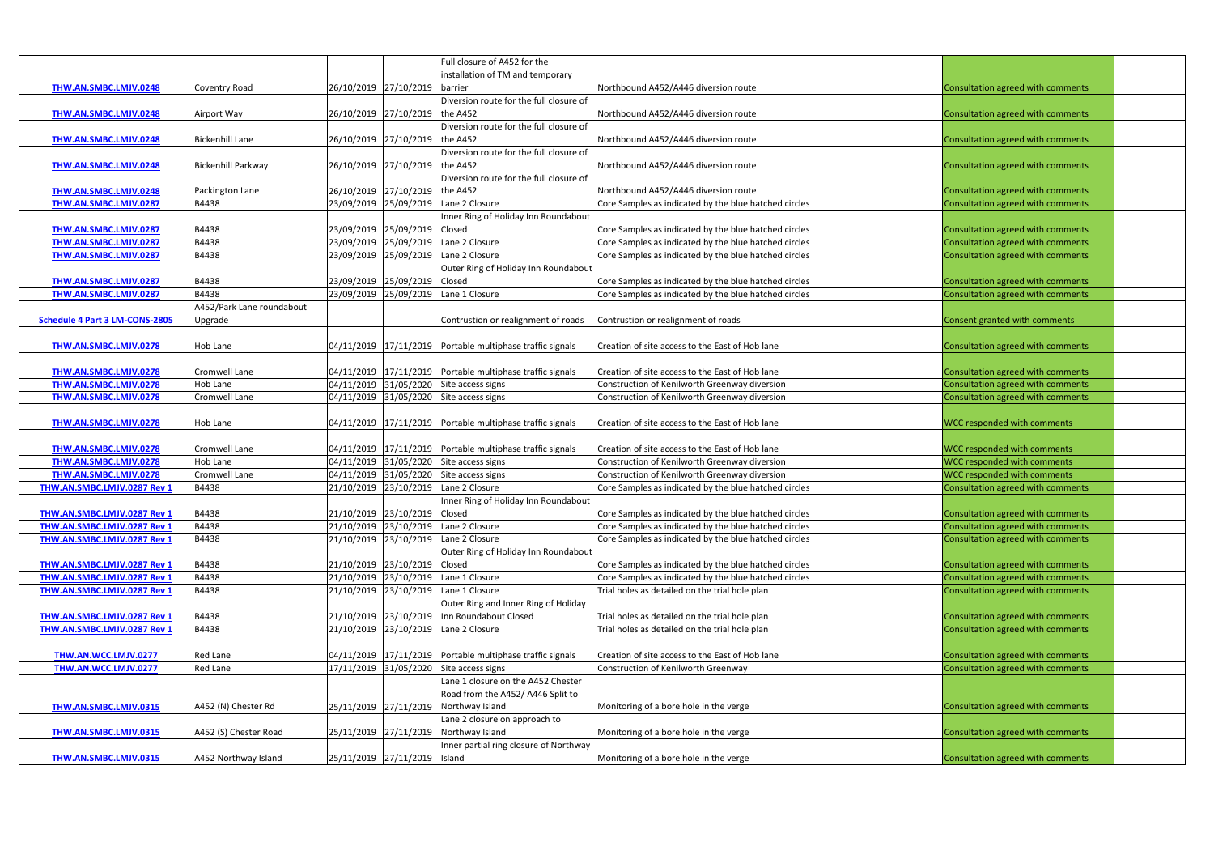|                                |                           |                       |                                | Full closure of A452 for the                                  |                                                                                                                |                                          |
|--------------------------------|---------------------------|-----------------------|--------------------------------|---------------------------------------------------------------|----------------------------------------------------------------------------------------------------------------|------------------------------------------|
|                                |                           |                       |                                | installation of TM and temporary                              |                                                                                                                |                                          |
| THW.AN.SMBC.LMJV.0248          | <b>Coventry Road</b>      | 26/10/2019 27/10/2019 |                                | barrier                                                       | Northbound A452/A446 diversion route                                                                           | Consultation agreed with comments        |
|                                |                           |                       |                                | Diversion route for the full closure of                       |                                                                                                                |                                          |
| THW.AN.SMBC.LMJV.0248          | Airport Way               |                       | 26/10/2019 27/10/2019          | the A452                                                      | Northbound A452/A446 diversion route                                                                           | Consultation agreed with comments        |
|                                |                           |                       |                                | Diversion route for the full closure of                       |                                                                                                                |                                          |
| THW.AN.SMBC.LMJV.0248          | <b>Bickenhill Lane</b>    |                       | 26/10/2019 27/10/2019          | the A452                                                      | Northbound A452/A446 diversion route                                                                           | Consultation agreed with comments        |
|                                |                           |                       |                                | Diversion route for the full closure of                       |                                                                                                                |                                          |
| THW.AN.SMBC.LMJV.0248          | <b>Bickenhill Parkway</b> |                       | 26/10/2019 27/10/2019          | the A452                                                      | Northbound A452/A446 diversion route                                                                           | Consultation agreed with comments        |
|                                |                           |                       |                                | Diversion route for the full closure of                       |                                                                                                                |                                          |
| THW.AN.SMBC.LMJV.0248          | Packington Lane           |                       | 26/10/2019 27/10/2019 the A452 |                                                               | Northbound A452/A446 diversion route                                                                           | Consultation agreed with comments        |
| THW.AN.SMBC.LMJV.0287          | B4438                     |                       | 23/09/2019 25/09/2019          | Lane 2 Closure                                                | Core Samples as indicated by the blue hatched circles                                                          | Consultation agreed with comments        |
|                                |                           |                       |                                | Inner Ring of Holiday Inn Roundabout                          |                                                                                                                |                                          |
| THW.AN.SMBC.LMJV.0287          | B4438                     |                       | 23/09/2019 25/09/2019 Closed   |                                                               | Core Samples as indicated by the blue hatched circles                                                          | Consultation agreed with comments        |
| THW.AN.SMBC.LMJV.0287          | B4438                     |                       | 23/09/2019 25/09/2019          | Lane 2 Closure                                                | Core Samples as indicated by the blue hatched circles                                                          | Consultation agreed with comments        |
| THW.AN.SMBC.LMJV.0287          | B4438                     |                       | 23/09/2019 25/09/2019          | Lane 2 Closure                                                | Core Samples as indicated by the blue hatched circles                                                          | Consultation agreed with comments        |
|                                |                           |                       |                                | Outer Ring of Holiday Inn Roundabout                          |                                                                                                                |                                          |
| THW.AN.SMBC.LMJV.0287          | B4438                     |                       | 23/09/2019 25/09/2019 Closed   |                                                               |                                                                                                                |                                          |
|                                | B4438                     |                       |                                | Lane 1 Closure                                                | Core Samples as indicated by the blue hatched circles<br>Core Samples as indicated by the blue hatched circles | Consultation agreed with comments        |
| THW.AN.SMBC.LMJV.0287          |                           |                       | 23/09/2019 25/09/2019          |                                                               |                                                                                                                | Consultation agreed with comments        |
|                                | A452/Park Lane roundabout |                       |                                |                                                               |                                                                                                                |                                          |
| Schedule 4 Part 3 LM-CONS-2805 | Upgrade                   |                       |                                | Contrustion or realignment of roads                           | Contrustion or realignment of roads                                                                            | Consent granted with comments            |
|                                |                           |                       |                                |                                                               |                                                                                                                |                                          |
| THW.AN.SMBC.LMJV.0278          | Hob Lane                  |                       |                                | $04/11/2019$ $17/11/2019$ Portable multiphase traffic signals | Creation of site access to the East of Hob lane                                                                | Consultation agreed with comments        |
|                                |                           |                       |                                |                                                               |                                                                                                                |                                          |
| THW.AN.SMBC.LMJV.0278          | <b>Cromwell Lane</b>      |                       |                                | $04/11/2019$ $17/11/2019$ Portable multiphase traffic signals | Creation of site access to the East of Hob lane                                                                | Consultation agreed with comments        |
| THW.AN.SMBC.LMJV.0278          | Hob Lane                  |                       |                                | 04/11/2019 31/05/2020 Site access signs                       | Construction of Kenilworth Greenway diversion                                                                  | Consultation agreed with comments        |
| THW.AN.SMBC.LMJV.0278          | Cromwell Lane             |                       |                                | 04/11/2019 31/05/2020 Site access signs                       | Construction of Kenilworth Greenway diversion                                                                  | Consultation agreed with comments        |
|                                |                           |                       |                                |                                                               |                                                                                                                |                                          |
| THW.AN.SMBC.LMJV.0278          | Hob Lane                  |                       |                                | 04/11/2019 17/11/2019 Portable multiphase traffic signals     | Creation of site access to the East of Hob lane                                                                | <b>WCC responded with comments</b>       |
|                                |                           |                       |                                |                                                               |                                                                                                                |                                          |
| THW.AN.SMBC.LMJV.0278          | Cromwell Lane             |                       |                                | $04/11/2019$ $17/11/2019$ Portable multiphase traffic signals | Creation of site access to the East of Hob lane                                                                | <b>WCC responded with comments</b>       |
| THW.AN.SMBC.LMJV.0278          | <b>Hob Lane</b>           |                       |                                | 04/11/2019 31/05/2020 Site access signs                       | Construction of Kenilworth Greenway diversion                                                                  | <b>WCC responded with comments</b>       |
| THW.AN.SMBC.LMJV.0278          | Cromwell Lane             |                       |                                | 04/11/2019 31/05/2020 Site access signs                       | Construction of Kenilworth Greenway diversion                                                                  | <b>WCC responded with comments</b>       |
| THW.AN.SMBC.LMJV.0287 Rev 1    | B4438                     |                       | 21/10/2019 23/10/2019          | Lane 2 Closure                                                | Core Samples as indicated by the blue hatched circles                                                          | Consultation agreed with comments        |
|                                |                           |                       |                                | Inner Ring of Holiday Inn Roundabout                          |                                                                                                                |                                          |
| THW.AN.SMBC.LMJV.0287 Rev 1    | B4438                     |                       | 21/10/2019 23/10/2019 Closed   |                                                               | Core Samples as indicated by the blue hatched circles                                                          | Consultation agreed with comments        |
| THW.AN.SMBC.LMJV.0287 Rev 1    | B4438                     |                       |                                | 21/10/2019 23/10/2019 Lane 2 Closure                          | Core Samples as indicated by the blue hatched circles                                                          | Consultation agreed with comments        |
| THW.AN.SMBC.LMJV.0287 Rev 1    | B4438                     |                       |                                | 21/10/2019 23/10/2019 Lane 2 Closure                          | Core Samples as indicated by the blue hatched circles                                                          | Consultation agreed with comments        |
|                                |                           |                       |                                | Outer Ring of Holiday Inn Roundabout                          |                                                                                                                |                                          |
| THW.AN.SMBC.LMJV.0287 Rev 1    | B4438                     |                       | 21/10/2019 23/10/2019 Closed   |                                                               | Core Samples as indicated by the blue hatched circles                                                          | Consultation agreed with comments        |
| THW.AN.SMBC.LMJV.0287 Rev 1    | B4438                     |                       |                                | 21/10/2019 23/10/2019 Lane 1 Closure                          | Core Samples as indicated by the blue hatched circles                                                          | Consultation agreed with comments        |
| THW.AN.SMBC.LMJV.0287 Rev 1    | B4438                     |                       |                                | 21/10/2019 23/10/2019 Lane 1 Closure                          | Trial holes as detailed on the trial hole plan                                                                 | Consultation agreed with comments        |
|                                |                           |                       |                                | Outer Ring and Inner Ring of Holiday                          |                                                                                                                |                                          |
| THW.AN.SMBC.LMJV.0287 Rev 1    | B4438                     |                       | 21/10/2019 23/10/2019          | Inn Roundabout Closed                                         | Trial holes as detailed on the trial hole plan                                                                 | Consultation agreed with comments        |
| THW.AN.SMBC.LMJV.0287 Rev 1    | B4438                     |                       |                                | 21/10/2019 23/10/2019 Lane 2 Closure                          | Trial holes as detailed on the trial hole plan                                                                 | <b>Consultation agreed with comments</b> |
|                                |                           |                       |                                |                                                               |                                                                                                                |                                          |
| THW.AN.WCC.LMJV.0277           | Red Lane                  |                       |                                | 04/11/2019 17/11/2019 Portable multiphase traffic signals     | Creation of site access to the East of Hob lane                                                                | Consultation agreed with comments        |
| THW.AN.WCC.LMJV.0277           | Red Lane                  |                       | 17/11/2019 31/05/2020          | Site access signs                                             | Construction of Kenilworth Greenway                                                                            | Consultation agreed with comments        |
|                                |                           |                       |                                | Lane 1 closure on the A452 Chester                            |                                                                                                                |                                          |
|                                |                           |                       |                                | Road from the A452/ A446 Split to                             |                                                                                                                |                                          |
| THW.AN.SMBC.LMJV.0315          | A452 (N) Chester Rd       | 25/11/2019 27/11/2019 |                                | Northway Island                                               | Monitoring of a bore hole in the verge                                                                         | Consultation agreed with comments        |
|                                |                           |                       |                                | Lane 2 closure on approach to                                 |                                                                                                                |                                          |
| THW.AN.SMBC.LMJV.0315          | A452 (S) Chester Road     | 25/11/2019 27/11/2019 |                                | Northway Island                                               | Monitoring of a bore hole in the verge                                                                         | Consultation agreed with comments        |
|                                |                           |                       |                                | Inner partial ring closure of Northway                        |                                                                                                                |                                          |
| THW.AN.SMBC.LMJV.0315          | A452 Northway Island      |                       | 25/11/2019 27/11/2019 Island   |                                                               | Monitoring of a bore hole in the verge                                                                         | Consultation agreed with comments        |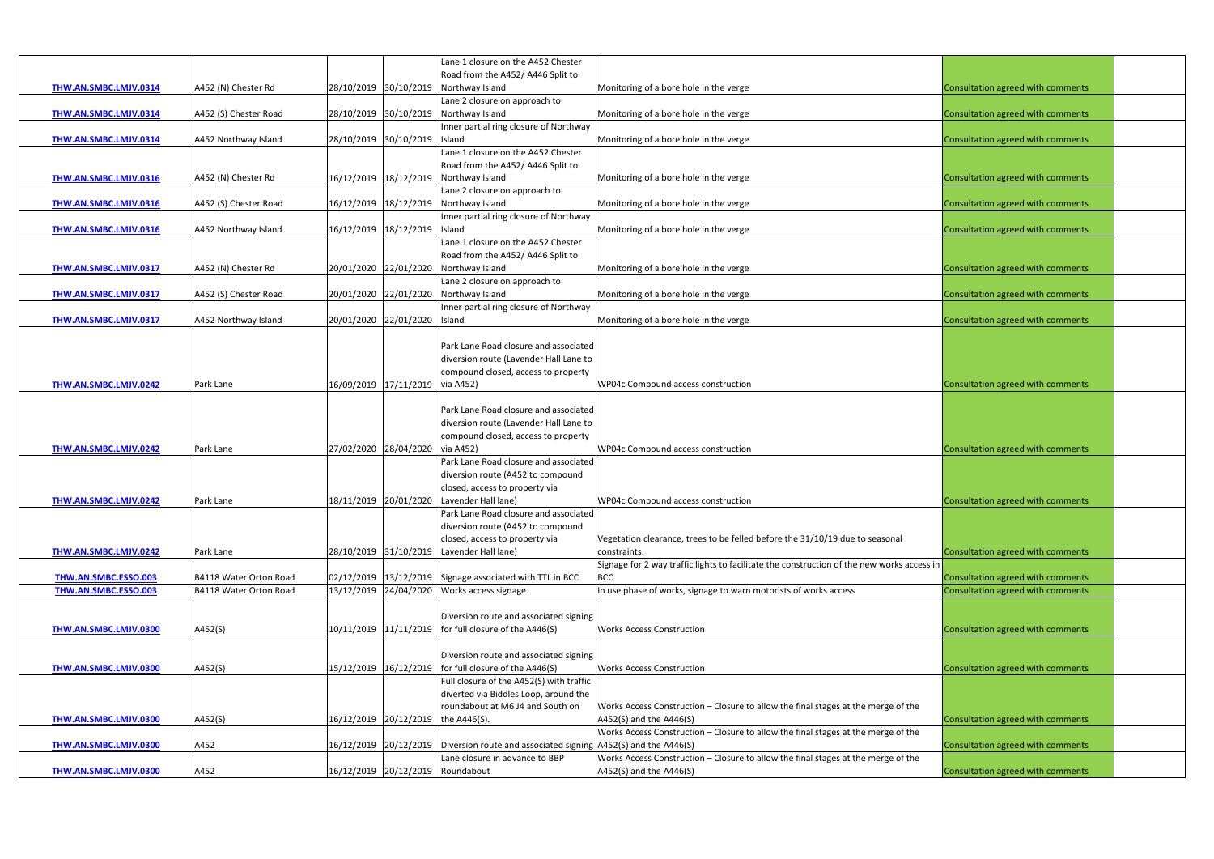| Road from the A452/ A446 Split to<br>28/10/2019 30/10/2019<br>A452 (N) Chester Rd<br>Monitoring of a bore hole in the verge<br>Consultation agreed with comments<br>THW.AN.SMBC.LMJV.0314<br>Northway Island<br>Lane 2 closure on approach to<br>A452 (S) Chester Road<br>28/10/2019 30/10/2019<br>Northway Island<br>Monitoring of a bore hole in the verge<br>Consultation agreed with comments<br>THW.AN.SMBC.LMJV.0314<br>Inner partial ring closure of Northway<br>THW.AN.SMBC.LMJV.0314<br>28/10/2019 30/10/2019 Island<br>Monitoring of a bore hole in the verge<br>Consultation agreed with comments<br>A452 Northway Island<br>Lane 1 closure on the A452 Chester<br>Road from the A452/ A446 Split to<br>16/12/2019 18/12/2019<br>A452 (N) Chester Rd<br>Northway Island<br>Monitoring of a bore hole in the verge<br>Consultation agreed with comments<br>THW.AN.SMBC.LMJV.0316<br>Lane 2 closure on approach to<br>16/12/2019 18/12/2019<br>A452 (S) Chester Road<br>Northway Island<br>Monitoring of a bore hole in the verge<br>Consultation agreed with comments<br>THW.AN.SMBC.LMJV.0316<br>Inner partial ring closure of Northway<br>16/12/2019 18/12/2019 Island<br>Monitoring of a bore hole in the verge<br>Consultation agreed with comments<br>A452 Northway Island<br><b>THW.AN.SMBC.LMJV.0316</b><br>Lane 1 closure on the A452 Chester<br>Road from the A452/ A446 Split to<br>20/01/2020 22/01/2020<br>Northway Island<br>Monitoring of a bore hole in the verge<br>Consultation agreed with comments<br>A452 (N) Chester Rd<br>THW.AN.SMBC.LMJV.0317<br>Lane 2 closure on approach to<br>20/01/2020 22/01/2020<br>THW.AN.SMBC.LMJV.0317<br>A452 (S) Chester Road<br>Northway Island<br>Monitoring of a bore hole in the verge<br>Consultation agreed with comments<br>Inner partial ring closure of Northway<br>20/01/2020 22/01/2020 Island<br>THW.AN.SMBC.LMJV.0317<br>A452 Northway Island<br>Monitoring of a bore hole in the verge<br>Consultation agreed with comments<br>Park Lane Road closure and associated<br>diversion route (Lavender Hall Lane to<br>compound closed, access to property<br>16/09/2019 17/11/2019 via A452)<br>THW.AN.SMBC.LMJV.0242<br>WP04c Compound access construction<br>Consultation agreed with comments<br>Park Lane<br>Park Lane Road closure and associated<br>diversion route (Lavender Hall Lane to<br>compound closed, access to property<br>via A452)<br>Consultation agreed with comments<br>Park Lane<br>27/02/2020 28/04/2020<br>WP04c Compound access construction<br>THW.AN.SMBC.LMJV.0242<br>Park Lane Road closure and associated<br>diversion route (A452 to compound<br>closed, access to property via<br>18/11/2019 20/01/2020 Lavender Hall lane)<br>WP04c Compound access construction<br>Park Lane<br>Consultation agreed with comments<br>THW.AN.SMBC.LMJV.0242<br>Park Lane Road closure and associated<br>diversion route (A452 to compound<br>Vegetation clearance, trees to be felled before the 31/10/19 due to seasonal<br>closed, access to property via<br>THW.AN.SMBC.LMJV.0242<br>Park Lane<br>28/10/2019 31/10/2019 Lavender Hall lane)<br>Consultation agreed with comments<br>constraints.<br>Signage for 2 way traffic lights to facilitate the construction of the new works access in<br>THW.AN.SMBC.ESSO.003<br>02/12/2019 13/12/2019 Signage associated with TTL in BCC<br><b>BCC</b><br>Consultation agreed with comments<br>B4118 Water Orton Road<br>13/12/2019 24/04/2020 Works access signage<br>Consultation agreed with comments<br>THW.AN.SMBC.ESSO.003<br>In use phase of works, signage to warn motorists of works access<br>B4118 Water Orton Road<br>Diversion route and associated signing<br>10/11/2019 11/11/2019 for full closure of the A446(S)<br>A452(S)<br><b>Works Access Construction</b><br>Consultation agreed with comments<br>THW.AN.SMBC.LMJV.0300<br>Diversion route and associated signing<br>15/12/2019 16/12/2019 for full closure of the A446(S)<br><b>Works Access Construction</b><br>THW.AN.SMBC.LMJV.0300<br>A452(S)<br>Consultation agreed with comments<br>Full closure of the A452(S) with traffic<br>diverted via Biddles Loop, around the<br>roundabout at M6 J4 and South on<br>Works Access Construction - Closure to allow the final stages at the merge of the<br>A452(S)<br>16/12/2019 20/12/2019 the A446(S).<br>A452(S) and the A446(S)<br>Consultation agreed with comments<br>THW.AN.SMBC.LMJV.0300<br>Works Access Construction - Closure to allow the final stages at the merge of the<br>A452<br>16/12/2019 20/12/2019 Diversion route and associated signing A452(S) and the A446(S)<br>Consultation agreed with comments<br>THW.AN.SMBC.LMJV.0300<br>Works Access Construction - Closure to allow the final stages at the merge of the<br>Lane closure in advance to BBP<br>16/12/2019 20/12/2019 Roundabout |                       |      |  | Lane 1 closure on the A452 Chester |                         |                                   |  |
|----------------------------------------------------------------------------------------------------------------------------------------------------------------------------------------------------------------------------------------------------------------------------------------------------------------------------------------------------------------------------------------------------------------------------------------------------------------------------------------------------------------------------------------------------------------------------------------------------------------------------------------------------------------------------------------------------------------------------------------------------------------------------------------------------------------------------------------------------------------------------------------------------------------------------------------------------------------------------------------------------------------------------------------------------------------------------------------------------------------------------------------------------------------------------------------------------------------------------------------------------------------------------------------------------------------------------------------------------------------------------------------------------------------------------------------------------------------------------------------------------------------------------------------------------------------------------------------------------------------------------------------------------------------------------------------------------------------------------------------------------------------------------------------------------------------------------------------------------------------------------------------------------------------------------------------------------------------------------------------------------------------------------------------------------------------------------------------------------------------------------------------------------------------------------------------------------------------------------------------------------------------------------------------------------------------------------------------------------------------------------------------------------------------------------------------------------------------------------------------------------------------------------------------------------------------------------------------------------------------------------------------------------------------------------------------------------------------------------------------------------------------------------------------------------------------------------------------------------------------------------------------------------------------------------------------------------------------------------------------------------------------------------------------------------------------------------------------------------------------------------------------------------------------------------------------------------------------------------------------------------------------------------------------------------------------------------------------------------------------------------------------------------------------------------------------------------------------------------------------------------------------------------------------------------------------------------------------------------------------------------------------------------------------------------------------------------------------------------------------------------------------------------------------------------------------------------------------------------------------------------------------------------------------------------------------------------------------------------------------------------------------------------------------------------------------------------------------------------------------------------------------------------------------------------------------------------------------------------------------------------------------------------------------------------------------------------------------------------------------------------------------------------------------------------------------------------------------------------------------------------------------------------------------------------------------------------------------------------------------------------------------------------------------------------------------------------------------------------------------------------------------------------------------------------------------------------------------------------------------------------|-----------------------|------|--|------------------------------------|-------------------------|-----------------------------------|--|
|                                                                                                                                                                                                                                                                                                                                                                                                                                                                                                                                                                                                                                                                                                                                                                                                                                                                                                                                                                                                                                                                                                                                                                                                                                                                                                                                                                                                                                                                                                                                                                                                                                                                                                                                                                                                                                                                                                                                                                                                                                                                                                                                                                                                                                                                                                                                                                                                                                                                                                                                                                                                                                                                                                                                                                                                                                                                                                                                                                                                                                                                                                                                                                                                                                                                                                                                                                                                                                                                                                                                                                                                                                                                                                                                                                                                                                                                                                                                                                                                                                                                                                                                                                                                                                                                                                                                                                                                                                                                                                                                                                                                                                                                                                                                                                                                                                                                            |                       |      |  |                                    |                         |                                   |  |
|                                                                                                                                                                                                                                                                                                                                                                                                                                                                                                                                                                                                                                                                                                                                                                                                                                                                                                                                                                                                                                                                                                                                                                                                                                                                                                                                                                                                                                                                                                                                                                                                                                                                                                                                                                                                                                                                                                                                                                                                                                                                                                                                                                                                                                                                                                                                                                                                                                                                                                                                                                                                                                                                                                                                                                                                                                                                                                                                                                                                                                                                                                                                                                                                                                                                                                                                                                                                                                                                                                                                                                                                                                                                                                                                                                                                                                                                                                                                                                                                                                                                                                                                                                                                                                                                                                                                                                                                                                                                                                                                                                                                                                                                                                                                                                                                                                                                            |                       |      |  |                                    |                         |                                   |  |
|                                                                                                                                                                                                                                                                                                                                                                                                                                                                                                                                                                                                                                                                                                                                                                                                                                                                                                                                                                                                                                                                                                                                                                                                                                                                                                                                                                                                                                                                                                                                                                                                                                                                                                                                                                                                                                                                                                                                                                                                                                                                                                                                                                                                                                                                                                                                                                                                                                                                                                                                                                                                                                                                                                                                                                                                                                                                                                                                                                                                                                                                                                                                                                                                                                                                                                                                                                                                                                                                                                                                                                                                                                                                                                                                                                                                                                                                                                                                                                                                                                                                                                                                                                                                                                                                                                                                                                                                                                                                                                                                                                                                                                                                                                                                                                                                                                                                            |                       |      |  |                                    |                         |                                   |  |
|                                                                                                                                                                                                                                                                                                                                                                                                                                                                                                                                                                                                                                                                                                                                                                                                                                                                                                                                                                                                                                                                                                                                                                                                                                                                                                                                                                                                                                                                                                                                                                                                                                                                                                                                                                                                                                                                                                                                                                                                                                                                                                                                                                                                                                                                                                                                                                                                                                                                                                                                                                                                                                                                                                                                                                                                                                                                                                                                                                                                                                                                                                                                                                                                                                                                                                                                                                                                                                                                                                                                                                                                                                                                                                                                                                                                                                                                                                                                                                                                                                                                                                                                                                                                                                                                                                                                                                                                                                                                                                                                                                                                                                                                                                                                                                                                                                                                            |                       |      |  |                                    |                         |                                   |  |
|                                                                                                                                                                                                                                                                                                                                                                                                                                                                                                                                                                                                                                                                                                                                                                                                                                                                                                                                                                                                                                                                                                                                                                                                                                                                                                                                                                                                                                                                                                                                                                                                                                                                                                                                                                                                                                                                                                                                                                                                                                                                                                                                                                                                                                                                                                                                                                                                                                                                                                                                                                                                                                                                                                                                                                                                                                                                                                                                                                                                                                                                                                                                                                                                                                                                                                                                                                                                                                                                                                                                                                                                                                                                                                                                                                                                                                                                                                                                                                                                                                                                                                                                                                                                                                                                                                                                                                                                                                                                                                                                                                                                                                                                                                                                                                                                                                                                            |                       |      |  |                                    |                         |                                   |  |
|                                                                                                                                                                                                                                                                                                                                                                                                                                                                                                                                                                                                                                                                                                                                                                                                                                                                                                                                                                                                                                                                                                                                                                                                                                                                                                                                                                                                                                                                                                                                                                                                                                                                                                                                                                                                                                                                                                                                                                                                                                                                                                                                                                                                                                                                                                                                                                                                                                                                                                                                                                                                                                                                                                                                                                                                                                                                                                                                                                                                                                                                                                                                                                                                                                                                                                                                                                                                                                                                                                                                                                                                                                                                                                                                                                                                                                                                                                                                                                                                                                                                                                                                                                                                                                                                                                                                                                                                                                                                                                                                                                                                                                                                                                                                                                                                                                                                            |                       |      |  |                                    |                         |                                   |  |
|                                                                                                                                                                                                                                                                                                                                                                                                                                                                                                                                                                                                                                                                                                                                                                                                                                                                                                                                                                                                                                                                                                                                                                                                                                                                                                                                                                                                                                                                                                                                                                                                                                                                                                                                                                                                                                                                                                                                                                                                                                                                                                                                                                                                                                                                                                                                                                                                                                                                                                                                                                                                                                                                                                                                                                                                                                                                                                                                                                                                                                                                                                                                                                                                                                                                                                                                                                                                                                                                                                                                                                                                                                                                                                                                                                                                                                                                                                                                                                                                                                                                                                                                                                                                                                                                                                                                                                                                                                                                                                                                                                                                                                                                                                                                                                                                                                                                            |                       |      |  |                                    |                         |                                   |  |
|                                                                                                                                                                                                                                                                                                                                                                                                                                                                                                                                                                                                                                                                                                                                                                                                                                                                                                                                                                                                                                                                                                                                                                                                                                                                                                                                                                                                                                                                                                                                                                                                                                                                                                                                                                                                                                                                                                                                                                                                                                                                                                                                                                                                                                                                                                                                                                                                                                                                                                                                                                                                                                                                                                                                                                                                                                                                                                                                                                                                                                                                                                                                                                                                                                                                                                                                                                                                                                                                                                                                                                                                                                                                                                                                                                                                                                                                                                                                                                                                                                                                                                                                                                                                                                                                                                                                                                                                                                                                                                                                                                                                                                                                                                                                                                                                                                                                            |                       |      |  |                                    |                         |                                   |  |
|                                                                                                                                                                                                                                                                                                                                                                                                                                                                                                                                                                                                                                                                                                                                                                                                                                                                                                                                                                                                                                                                                                                                                                                                                                                                                                                                                                                                                                                                                                                                                                                                                                                                                                                                                                                                                                                                                                                                                                                                                                                                                                                                                                                                                                                                                                                                                                                                                                                                                                                                                                                                                                                                                                                                                                                                                                                                                                                                                                                                                                                                                                                                                                                                                                                                                                                                                                                                                                                                                                                                                                                                                                                                                                                                                                                                                                                                                                                                                                                                                                                                                                                                                                                                                                                                                                                                                                                                                                                                                                                                                                                                                                                                                                                                                                                                                                                                            |                       |      |  |                                    |                         |                                   |  |
|                                                                                                                                                                                                                                                                                                                                                                                                                                                                                                                                                                                                                                                                                                                                                                                                                                                                                                                                                                                                                                                                                                                                                                                                                                                                                                                                                                                                                                                                                                                                                                                                                                                                                                                                                                                                                                                                                                                                                                                                                                                                                                                                                                                                                                                                                                                                                                                                                                                                                                                                                                                                                                                                                                                                                                                                                                                                                                                                                                                                                                                                                                                                                                                                                                                                                                                                                                                                                                                                                                                                                                                                                                                                                                                                                                                                                                                                                                                                                                                                                                                                                                                                                                                                                                                                                                                                                                                                                                                                                                                                                                                                                                                                                                                                                                                                                                                                            |                       |      |  |                                    |                         |                                   |  |
|                                                                                                                                                                                                                                                                                                                                                                                                                                                                                                                                                                                                                                                                                                                                                                                                                                                                                                                                                                                                                                                                                                                                                                                                                                                                                                                                                                                                                                                                                                                                                                                                                                                                                                                                                                                                                                                                                                                                                                                                                                                                                                                                                                                                                                                                                                                                                                                                                                                                                                                                                                                                                                                                                                                                                                                                                                                                                                                                                                                                                                                                                                                                                                                                                                                                                                                                                                                                                                                                                                                                                                                                                                                                                                                                                                                                                                                                                                                                                                                                                                                                                                                                                                                                                                                                                                                                                                                                                                                                                                                                                                                                                                                                                                                                                                                                                                                                            |                       |      |  |                                    |                         |                                   |  |
|                                                                                                                                                                                                                                                                                                                                                                                                                                                                                                                                                                                                                                                                                                                                                                                                                                                                                                                                                                                                                                                                                                                                                                                                                                                                                                                                                                                                                                                                                                                                                                                                                                                                                                                                                                                                                                                                                                                                                                                                                                                                                                                                                                                                                                                                                                                                                                                                                                                                                                                                                                                                                                                                                                                                                                                                                                                                                                                                                                                                                                                                                                                                                                                                                                                                                                                                                                                                                                                                                                                                                                                                                                                                                                                                                                                                                                                                                                                                                                                                                                                                                                                                                                                                                                                                                                                                                                                                                                                                                                                                                                                                                                                                                                                                                                                                                                                                            |                       |      |  |                                    |                         |                                   |  |
|                                                                                                                                                                                                                                                                                                                                                                                                                                                                                                                                                                                                                                                                                                                                                                                                                                                                                                                                                                                                                                                                                                                                                                                                                                                                                                                                                                                                                                                                                                                                                                                                                                                                                                                                                                                                                                                                                                                                                                                                                                                                                                                                                                                                                                                                                                                                                                                                                                                                                                                                                                                                                                                                                                                                                                                                                                                                                                                                                                                                                                                                                                                                                                                                                                                                                                                                                                                                                                                                                                                                                                                                                                                                                                                                                                                                                                                                                                                                                                                                                                                                                                                                                                                                                                                                                                                                                                                                                                                                                                                                                                                                                                                                                                                                                                                                                                                                            |                       |      |  |                                    |                         |                                   |  |
|                                                                                                                                                                                                                                                                                                                                                                                                                                                                                                                                                                                                                                                                                                                                                                                                                                                                                                                                                                                                                                                                                                                                                                                                                                                                                                                                                                                                                                                                                                                                                                                                                                                                                                                                                                                                                                                                                                                                                                                                                                                                                                                                                                                                                                                                                                                                                                                                                                                                                                                                                                                                                                                                                                                                                                                                                                                                                                                                                                                                                                                                                                                                                                                                                                                                                                                                                                                                                                                                                                                                                                                                                                                                                                                                                                                                                                                                                                                                                                                                                                                                                                                                                                                                                                                                                                                                                                                                                                                                                                                                                                                                                                                                                                                                                                                                                                                                            |                       |      |  |                                    |                         |                                   |  |
|                                                                                                                                                                                                                                                                                                                                                                                                                                                                                                                                                                                                                                                                                                                                                                                                                                                                                                                                                                                                                                                                                                                                                                                                                                                                                                                                                                                                                                                                                                                                                                                                                                                                                                                                                                                                                                                                                                                                                                                                                                                                                                                                                                                                                                                                                                                                                                                                                                                                                                                                                                                                                                                                                                                                                                                                                                                                                                                                                                                                                                                                                                                                                                                                                                                                                                                                                                                                                                                                                                                                                                                                                                                                                                                                                                                                                                                                                                                                                                                                                                                                                                                                                                                                                                                                                                                                                                                                                                                                                                                                                                                                                                                                                                                                                                                                                                                                            |                       |      |  |                                    |                         |                                   |  |
|                                                                                                                                                                                                                                                                                                                                                                                                                                                                                                                                                                                                                                                                                                                                                                                                                                                                                                                                                                                                                                                                                                                                                                                                                                                                                                                                                                                                                                                                                                                                                                                                                                                                                                                                                                                                                                                                                                                                                                                                                                                                                                                                                                                                                                                                                                                                                                                                                                                                                                                                                                                                                                                                                                                                                                                                                                                                                                                                                                                                                                                                                                                                                                                                                                                                                                                                                                                                                                                                                                                                                                                                                                                                                                                                                                                                                                                                                                                                                                                                                                                                                                                                                                                                                                                                                                                                                                                                                                                                                                                                                                                                                                                                                                                                                                                                                                                                            |                       |      |  |                                    |                         |                                   |  |
|                                                                                                                                                                                                                                                                                                                                                                                                                                                                                                                                                                                                                                                                                                                                                                                                                                                                                                                                                                                                                                                                                                                                                                                                                                                                                                                                                                                                                                                                                                                                                                                                                                                                                                                                                                                                                                                                                                                                                                                                                                                                                                                                                                                                                                                                                                                                                                                                                                                                                                                                                                                                                                                                                                                                                                                                                                                                                                                                                                                                                                                                                                                                                                                                                                                                                                                                                                                                                                                                                                                                                                                                                                                                                                                                                                                                                                                                                                                                                                                                                                                                                                                                                                                                                                                                                                                                                                                                                                                                                                                                                                                                                                                                                                                                                                                                                                                                            |                       |      |  |                                    |                         |                                   |  |
|                                                                                                                                                                                                                                                                                                                                                                                                                                                                                                                                                                                                                                                                                                                                                                                                                                                                                                                                                                                                                                                                                                                                                                                                                                                                                                                                                                                                                                                                                                                                                                                                                                                                                                                                                                                                                                                                                                                                                                                                                                                                                                                                                                                                                                                                                                                                                                                                                                                                                                                                                                                                                                                                                                                                                                                                                                                                                                                                                                                                                                                                                                                                                                                                                                                                                                                                                                                                                                                                                                                                                                                                                                                                                                                                                                                                                                                                                                                                                                                                                                                                                                                                                                                                                                                                                                                                                                                                                                                                                                                                                                                                                                                                                                                                                                                                                                                                            |                       |      |  |                                    |                         |                                   |  |
|                                                                                                                                                                                                                                                                                                                                                                                                                                                                                                                                                                                                                                                                                                                                                                                                                                                                                                                                                                                                                                                                                                                                                                                                                                                                                                                                                                                                                                                                                                                                                                                                                                                                                                                                                                                                                                                                                                                                                                                                                                                                                                                                                                                                                                                                                                                                                                                                                                                                                                                                                                                                                                                                                                                                                                                                                                                                                                                                                                                                                                                                                                                                                                                                                                                                                                                                                                                                                                                                                                                                                                                                                                                                                                                                                                                                                                                                                                                                                                                                                                                                                                                                                                                                                                                                                                                                                                                                                                                                                                                                                                                                                                                                                                                                                                                                                                                                            |                       |      |  |                                    |                         |                                   |  |
|                                                                                                                                                                                                                                                                                                                                                                                                                                                                                                                                                                                                                                                                                                                                                                                                                                                                                                                                                                                                                                                                                                                                                                                                                                                                                                                                                                                                                                                                                                                                                                                                                                                                                                                                                                                                                                                                                                                                                                                                                                                                                                                                                                                                                                                                                                                                                                                                                                                                                                                                                                                                                                                                                                                                                                                                                                                                                                                                                                                                                                                                                                                                                                                                                                                                                                                                                                                                                                                                                                                                                                                                                                                                                                                                                                                                                                                                                                                                                                                                                                                                                                                                                                                                                                                                                                                                                                                                                                                                                                                                                                                                                                                                                                                                                                                                                                                                            |                       |      |  |                                    |                         |                                   |  |
|                                                                                                                                                                                                                                                                                                                                                                                                                                                                                                                                                                                                                                                                                                                                                                                                                                                                                                                                                                                                                                                                                                                                                                                                                                                                                                                                                                                                                                                                                                                                                                                                                                                                                                                                                                                                                                                                                                                                                                                                                                                                                                                                                                                                                                                                                                                                                                                                                                                                                                                                                                                                                                                                                                                                                                                                                                                                                                                                                                                                                                                                                                                                                                                                                                                                                                                                                                                                                                                                                                                                                                                                                                                                                                                                                                                                                                                                                                                                                                                                                                                                                                                                                                                                                                                                                                                                                                                                                                                                                                                                                                                                                                                                                                                                                                                                                                                                            |                       |      |  |                                    |                         |                                   |  |
|                                                                                                                                                                                                                                                                                                                                                                                                                                                                                                                                                                                                                                                                                                                                                                                                                                                                                                                                                                                                                                                                                                                                                                                                                                                                                                                                                                                                                                                                                                                                                                                                                                                                                                                                                                                                                                                                                                                                                                                                                                                                                                                                                                                                                                                                                                                                                                                                                                                                                                                                                                                                                                                                                                                                                                                                                                                                                                                                                                                                                                                                                                                                                                                                                                                                                                                                                                                                                                                                                                                                                                                                                                                                                                                                                                                                                                                                                                                                                                                                                                                                                                                                                                                                                                                                                                                                                                                                                                                                                                                                                                                                                                                                                                                                                                                                                                                                            |                       |      |  |                                    |                         |                                   |  |
|                                                                                                                                                                                                                                                                                                                                                                                                                                                                                                                                                                                                                                                                                                                                                                                                                                                                                                                                                                                                                                                                                                                                                                                                                                                                                                                                                                                                                                                                                                                                                                                                                                                                                                                                                                                                                                                                                                                                                                                                                                                                                                                                                                                                                                                                                                                                                                                                                                                                                                                                                                                                                                                                                                                                                                                                                                                                                                                                                                                                                                                                                                                                                                                                                                                                                                                                                                                                                                                                                                                                                                                                                                                                                                                                                                                                                                                                                                                                                                                                                                                                                                                                                                                                                                                                                                                                                                                                                                                                                                                                                                                                                                                                                                                                                                                                                                                                            |                       |      |  |                                    |                         |                                   |  |
|                                                                                                                                                                                                                                                                                                                                                                                                                                                                                                                                                                                                                                                                                                                                                                                                                                                                                                                                                                                                                                                                                                                                                                                                                                                                                                                                                                                                                                                                                                                                                                                                                                                                                                                                                                                                                                                                                                                                                                                                                                                                                                                                                                                                                                                                                                                                                                                                                                                                                                                                                                                                                                                                                                                                                                                                                                                                                                                                                                                                                                                                                                                                                                                                                                                                                                                                                                                                                                                                                                                                                                                                                                                                                                                                                                                                                                                                                                                                                                                                                                                                                                                                                                                                                                                                                                                                                                                                                                                                                                                                                                                                                                                                                                                                                                                                                                                                            |                       |      |  |                                    |                         |                                   |  |
|                                                                                                                                                                                                                                                                                                                                                                                                                                                                                                                                                                                                                                                                                                                                                                                                                                                                                                                                                                                                                                                                                                                                                                                                                                                                                                                                                                                                                                                                                                                                                                                                                                                                                                                                                                                                                                                                                                                                                                                                                                                                                                                                                                                                                                                                                                                                                                                                                                                                                                                                                                                                                                                                                                                                                                                                                                                                                                                                                                                                                                                                                                                                                                                                                                                                                                                                                                                                                                                                                                                                                                                                                                                                                                                                                                                                                                                                                                                                                                                                                                                                                                                                                                                                                                                                                                                                                                                                                                                                                                                                                                                                                                                                                                                                                                                                                                                                            |                       |      |  |                                    |                         |                                   |  |
|                                                                                                                                                                                                                                                                                                                                                                                                                                                                                                                                                                                                                                                                                                                                                                                                                                                                                                                                                                                                                                                                                                                                                                                                                                                                                                                                                                                                                                                                                                                                                                                                                                                                                                                                                                                                                                                                                                                                                                                                                                                                                                                                                                                                                                                                                                                                                                                                                                                                                                                                                                                                                                                                                                                                                                                                                                                                                                                                                                                                                                                                                                                                                                                                                                                                                                                                                                                                                                                                                                                                                                                                                                                                                                                                                                                                                                                                                                                                                                                                                                                                                                                                                                                                                                                                                                                                                                                                                                                                                                                                                                                                                                                                                                                                                                                                                                                                            |                       |      |  |                                    |                         |                                   |  |
|                                                                                                                                                                                                                                                                                                                                                                                                                                                                                                                                                                                                                                                                                                                                                                                                                                                                                                                                                                                                                                                                                                                                                                                                                                                                                                                                                                                                                                                                                                                                                                                                                                                                                                                                                                                                                                                                                                                                                                                                                                                                                                                                                                                                                                                                                                                                                                                                                                                                                                                                                                                                                                                                                                                                                                                                                                                                                                                                                                                                                                                                                                                                                                                                                                                                                                                                                                                                                                                                                                                                                                                                                                                                                                                                                                                                                                                                                                                                                                                                                                                                                                                                                                                                                                                                                                                                                                                                                                                                                                                                                                                                                                                                                                                                                                                                                                                                            |                       |      |  |                                    |                         |                                   |  |
|                                                                                                                                                                                                                                                                                                                                                                                                                                                                                                                                                                                                                                                                                                                                                                                                                                                                                                                                                                                                                                                                                                                                                                                                                                                                                                                                                                                                                                                                                                                                                                                                                                                                                                                                                                                                                                                                                                                                                                                                                                                                                                                                                                                                                                                                                                                                                                                                                                                                                                                                                                                                                                                                                                                                                                                                                                                                                                                                                                                                                                                                                                                                                                                                                                                                                                                                                                                                                                                                                                                                                                                                                                                                                                                                                                                                                                                                                                                                                                                                                                                                                                                                                                                                                                                                                                                                                                                                                                                                                                                                                                                                                                                                                                                                                                                                                                                                            |                       |      |  |                                    |                         |                                   |  |
|                                                                                                                                                                                                                                                                                                                                                                                                                                                                                                                                                                                                                                                                                                                                                                                                                                                                                                                                                                                                                                                                                                                                                                                                                                                                                                                                                                                                                                                                                                                                                                                                                                                                                                                                                                                                                                                                                                                                                                                                                                                                                                                                                                                                                                                                                                                                                                                                                                                                                                                                                                                                                                                                                                                                                                                                                                                                                                                                                                                                                                                                                                                                                                                                                                                                                                                                                                                                                                                                                                                                                                                                                                                                                                                                                                                                                                                                                                                                                                                                                                                                                                                                                                                                                                                                                                                                                                                                                                                                                                                                                                                                                                                                                                                                                                                                                                                                            |                       |      |  |                                    |                         |                                   |  |
|                                                                                                                                                                                                                                                                                                                                                                                                                                                                                                                                                                                                                                                                                                                                                                                                                                                                                                                                                                                                                                                                                                                                                                                                                                                                                                                                                                                                                                                                                                                                                                                                                                                                                                                                                                                                                                                                                                                                                                                                                                                                                                                                                                                                                                                                                                                                                                                                                                                                                                                                                                                                                                                                                                                                                                                                                                                                                                                                                                                                                                                                                                                                                                                                                                                                                                                                                                                                                                                                                                                                                                                                                                                                                                                                                                                                                                                                                                                                                                                                                                                                                                                                                                                                                                                                                                                                                                                                                                                                                                                                                                                                                                                                                                                                                                                                                                                                            |                       |      |  |                                    |                         |                                   |  |
|                                                                                                                                                                                                                                                                                                                                                                                                                                                                                                                                                                                                                                                                                                                                                                                                                                                                                                                                                                                                                                                                                                                                                                                                                                                                                                                                                                                                                                                                                                                                                                                                                                                                                                                                                                                                                                                                                                                                                                                                                                                                                                                                                                                                                                                                                                                                                                                                                                                                                                                                                                                                                                                                                                                                                                                                                                                                                                                                                                                                                                                                                                                                                                                                                                                                                                                                                                                                                                                                                                                                                                                                                                                                                                                                                                                                                                                                                                                                                                                                                                                                                                                                                                                                                                                                                                                                                                                                                                                                                                                                                                                                                                                                                                                                                                                                                                                                            |                       |      |  |                                    |                         |                                   |  |
|                                                                                                                                                                                                                                                                                                                                                                                                                                                                                                                                                                                                                                                                                                                                                                                                                                                                                                                                                                                                                                                                                                                                                                                                                                                                                                                                                                                                                                                                                                                                                                                                                                                                                                                                                                                                                                                                                                                                                                                                                                                                                                                                                                                                                                                                                                                                                                                                                                                                                                                                                                                                                                                                                                                                                                                                                                                                                                                                                                                                                                                                                                                                                                                                                                                                                                                                                                                                                                                                                                                                                                                                                                                                                                                                                                                                                                                                                                                                                                                                                                                                                                                                                                                                                                                                                                                                                                                                                                                                                                                                                                                                                                                                                                                                                                                                                                                                            |                       |      |  |                                    |                         |                                   |  |
|                                                                                                                                                                                                                                                                                                                                                                                                                                                                                                                                                                                                                                                                                                                                                                                                                                                                                                                                                                                                                                                                                                                                                                                                                                                                                                                                                                                                                                                                                                                                                                                                                                                                                                                                                                                                                                                                                                                                                                                                                                                                                                                                                                                                                                                                                                                                                                                                                                                                                                                                                                                                                                                                                                                                                                                                                                                                                                                                                                                                                                                                                                                                                                                                                                                                                                                                                                                                                                                                                                                                                                                                                                                                                                                                                                                                                                                                                                                                                                                                                                                                                                                                                                                                                                                                                                                                                                                                                                                                                                                                                                                                                                                                                                                                                                                                                                                                            |                       |      |  |                                    |                         |                                   |  |
|                                                                                                                                                                                                                                                                                                                                                                                                                                                                                                                                                                                                                                                                                                                                                                                                                                                                                                                                                                                                                                                                                                                                                                                                                                                                                                                                                                                                                                                                                                                                                                                                                                                                                                                                                                                                                                                                                                                                                                                                                                                                                                                                                                                                                                                                                                                                                                                                                                                                                                                                                                                                                                                                                                                                                                                                                                                                                                                                                                                                                                                                                                                                                                                                                                                                                                                                                                                                                                                                                                                                                                                                                                                                                                                                                                                                                                                                                                                                                                                                                                                                                                                                                                                                                                                                                                                                                                                                                                                                                                                                                                                                                                                                                                                                                                                                                                                                            |                       |      |  |                                    |                         |                                   |  |
|                                                                                                                                                                                                                                                                                                                                                                                                                                                                                                                                                                                                                                                                                                                                                                                                                                                                                                                                                                                                                                                                                                                                                                                                                                                                                                                                                                                                                                                                                                                                                                                                                                                                                                                                                                                                                                                                                                                                                                                                                                                                                                                                                                                                                                                                                                                                                                                                                                                                                                                                                                                                                                                                                                                                                                                                                                                                                                                                                                                                                                                                                                                                                                                                                                                                                                                                                                                                                                                                                                                                                                                                                                                                                                                                                                                                                                                                                                                                                                                                                                                                                                                                                                                                                                                                                                                                                                                                                                                                                                                                                                                                                                                                                                                                                                                                                                                                            |                       |      |  |                                    |                         |                                   |  |
|                                                                                                                                                                                                                                                                                                                                                                                                                                                                                                                                                                                                                                                                                                                                                                                                                                                                                                                                                                                                                                                                                                                                                                                                                                                                                                                                                                                                                                                                                                                                                                                                                                                                                                                                                                                                                                                                                                                                                                                                                                                                                                                                                                                                                                                                                                                                                                                                                                                                                                                                                                                                                                                                                                                                                                                                                                                                                                                                                                                                                                                                                                                                                                                                                                                                                                                                                                                                                                                                                                                                                                                                                                                                                                                                                                                                                                                                                                                                                                                                                                                                                                                                                                                                                                                                                                                                                                                                                                                                                                                                                                                                                                                                                                                                                                                                                                                                            |                       |      |  |                                    |                         |                                   |  |
|                                                                                                                                                                                                                                                                                                                                                                                                                                                                                                                                                                                                                                                                                                                                                                                                                                                                                                                                                                                                                                                                                                                                                                                                                                                                                                                                                                                                                                                                                                                                                                                                                                                                                                                                                                                                                                                                                                                                                                                                                                                                                                                                                                                                                                                                                                                                                                                                                                                                                                                                                                                                                                                                                                                                                                                                                                                                                                                                                                                                                                                                                                                                                                                                                                                                                                                                                                                                                                                                                                                                                                                                                                                                                                                                                                                                                                                                                                                                                                                                                                                                                                                                                                                                                                                                                                                                                                                                                                                                                                                                                                                                                                                                                                                                                                                                                                                                            |                       |      |  |                                    |                         |                                   |  |
|                                                                                                                                                                                                                                                                                                                                                                                                                                                                                                                                                                                                                                                                                                                                                                                                                                                                                                                                                                                                                                                                                                                                                                                                                                                                                                                                                                                                                                                                                                                                                                                                                                                                                                                                                                                                                                                                                                                                                                                                                                                                                                                                                                                                                                                                                                                                                                                                                                                                                                                                                                                                                                                                                                                                                                                                                                                                                                                                                                                                                                                                                                                                                                                                                                                                                                                                                                                                                                                                                                                                                                                                                                                                                                                                                                                                                                                                                                                                                                                                                                                                                                                                                                                                                                                                                                                                                                                                                                                                                                                                                                                                                                                                                                                                                                                                                                                                            |                       |      |  |                                    |                         |                                   |  |
|                                                                                                                                                                                                                                                                                                                                                                                                                                                                                                                                                                                                                                                                                                                                                                                                                                                                                                                                                                                                                                                                                                                                                                                                                                                                                                                                                                                                                                                                                                                                                                                                                                                                                                                                                                                                                                                                                                                                                                                                                                                                                                                                                                                                                                                                                                                                                                                                                                                                                                                                                                                                                                                                                                                                                                                                                                                                                                                                                                                                                                                                                                                                                                                                                                                                                                                                                                                                                                                                                                                                                                                                                                                                                                                                                                                                                                                                                                                                                                                                                                                                                                                                                                                                                                                                                                                                                                                                                                                                                                                                                                                                                                                                                                                                                                                                                                                                            |                       |      |  |                                    |                         |                                   |  |
|                                                                                                                                                                                                                                                                                                                                                                                                                                                                                                                                                                                                                                                                                                                                                                                                                                                                                                                                                                                                                                                                                                                                                                                                                                                                                                                                                                                                                                                                                                                                                                                                                                                                                                                                                                                                                                                                                                                                                                                                                                                                                                                                                                                                                                                                                                                                                                                                                                                                                                                                                                                                                                                                                                                                                                                                                                                                                                                                                                                                                                                                                                                                                                                                                                                                                                                                                                                                                                                                                                                                                                                                                                                                                                                                                                                                                                                                                                                                                                                                                                                                                                                                                                                                                                                                                                                                                                                                                                                                                                                                                                                                                                                                                                                                                                                                                                                                            |                       |      |  |                                    |                         |                                   |  |
|                                                                                                                                                                                                                                                                                                                                                                                                                                                                                                                                                                                                                                                                                                                                                                                                                                                                                                                                                                                                                                                                                                                                                                                                                                                                                                                                                                                                                                                                                                                                                                                                                                                                                                                                                                                                                                                                                                                                                                                                                                                                                                                                                                                                                                                                                                                                                                                                                                                                                                                                                                                                                                                                                                                                                                                                                                                                                                                                                                                                                                                                                                                                                                                                                                                                                                                                                                                                                                                                                                                                                                                                                                                                                                                                                                                                                                                                                                                                                                                                                                                                                                                                                                                                                                                                                                                                                                                                                                                                                                                                                                                                                                                                                                                                                                                                                                                                            |                       |      |  |                                    |                         |                                   |  |
|                                                                                                                                                                                                                                                                                                                                                                                                                                                                                                                                                                                                                                                                                                                                                                                                                                                                                                                                                                                                                                                                                                                                                                                                                                                                                                                                                                                                                                                                                                                                                                                                                                                                                                                                                                                                                                                                                                                                                                                                                                                                                                                                                                                                                                                                                                                                                                                                                                                                                                                                                                                                                                                                                                                                                                                                                                                                                                                                                                                                                                                                                                                                                                                                                                                                                                                                                                                                                                                                                                                                                                                                                                                                                                                                                                                                                                                                                                                                                                                                                                                                                                                                                                                                                                                                                                                                                                                                                                                                                                                                                                                                                                                                                                                                                                                                                                                                            |                       |      |  |                                    |                         |                                   |  |
|                                                                                                                                                                                                                                                                                                                                                                                                                                                                                                                                                                                                                                                                                                                                                                                                                                                                                                                                                                                                                                                                                                                                                                                                                                                                                                                                                                                                                                                                                                                                                                                                                                                                                                                                                                                                                                                                                                                                                                                                                                                                                                                                                                                                                                                                                                                                                                                                                                                                                                                                                                                                                                                                                                                                                                                                                                                                                                                                                                                                                                                                                                                                                                                                                                                                                                                                                                                                                                                                                                                                                                                                                                                                                                                                                                                                                                                                                                                                                                                                                                                                                                                                                                                                                                                                                                                                                                                                                                                                                                                                                                                                                                                                                                                                                                                                                                                                            |                       |      |  |                                    |                         |                                   |  |
|                                                                                                                                                                                                                                                                                                                                                                                                                                                                                                                                                                                                                                                                                                                                                                                                                                                                                                                                                                                                                                                                                                                                                                                                                                                                                                                                                                                                                                                                                                                                                                                                                                                                                                                                                                                                                                                                                                                                                                                                                                                                                                                                                                                                                                                                                                                                                                                                                                                                                                                                                                                                                                                                                                                                                                                                                                                                                                                                                                                                                                                                                                                                                                                                                                                                                                                                                                                                                                                                                                                                                                                                                                                                                                                                                                                                                                                                                                                                                                                                                                                                                                                                                                                                                                                                                                                                                                                                                                                                                                                                                                                                                                                                                                                                                                                                                                                                            |                       |      |  |                                    |                         |                                   |  |
|                                                                                                                                                                                                                                                                                                                                                                                                                                                                                                                                                                                                                                                                                                                                                                                                                                                                                                                                                                                                                                                                                                                                                                                                                                                                                                                                                                                                                                                                                                                                                                                                                                                                                                                                                                                                                                                                                                                                                                                                                                                                                                                                                                                                                                                                                                                                                                                                                                                                                                                                                                                                                                                                                                                                                                                                                                                                                                                                                                                                                                                                                                                                                                                                                                                                                                                                                                                                                                                                                                                                                                                                                                                                                                                                                                                                                                                                                                                                                                                                                                                                                                                                                                                                                                                                                                                                                                                                                                                                                                                                                                                                                                                                                                                                                                                                                                                                            |                       |      |  |                                    |                         |                                   |  |
|                                                                                                                                                                                                                                                                                                                                                                                                                                                                                                                                                                                                                                                                                                                                                                                                                                                                                                                                                                                                                                                                                                                                                                                                                                                                                                                                                                                                                                                                                                                                                                                                                                                                                                                                                                                                                                                                                                                                                                                                                                                                                                                                                                                                                                                                                                                                                                                                                                                                                                                                                                                                                                                                                                                                                                                                                                                                                                                                                                                                                                                                                                                                                                                                                                                                                                                                                                                                                                                                                                                                                                                                                                                                                                                                                                                                                                                                                                                                                                                                                                                                                                                                                                                                                                                                                                                                                                                                                                                                                                                                                                                                                                                                                                                                                                                                                                                                            |                       |      |  |                                    |                         |                                   |  |
|                                                                                                                                                                                                                                                                                                                                                                                                                                                                                                                                                                                                                                                                                                                                                                                                                                                                                                                                                                                                                                                                                                                                                                                                                                                                                                                                                                                                                                                                                                                                                                                                                                                                                                                                                                                                                                                                                                                                                                                                                                                                                                                                                                                                                                                                                                                                                                                                                                                                                                                                                                                                                                                                                                                                                                                                                                                                                                                                                                                                                                                                                                                                                                                                                                                                                                                                                                                                                                                                                                                                                                                                                                                                                                                                                                                                                                                                                                                                                                                                                                                                                                                                                                                                                                                                                                                                                                                                                                                                                                                                                                                                                                                                                                                                                                                                                                                                            |                       |      |  |                                    |                         |                                   |  |
|                                                                                                                                                                                                                                                                                                                                                                                                                                                                                                                                                                                                                                                                                                                                                                                                                                                                                                                                                                                                                                                                                                                                                                                                                                                                                                                                                                                                                                                                                                                                                                                                                                                                                                                                                                                                                                                                                                                                                                                                                                                                                                                                                                                                                                                                                                                                                                                                                                                                                                                                                                                                                                                                                                                                                                                                                                                                                                                                                                                                                                                                                                                                                                                                                                                                                                                                                                                                                                                                                                                                                                                                                                                                                                                                                                                                                                                                                                                                                                                                                                                                                                                                                                                                                                                                                                                                                                                                                                                                                                                                                                                                                                                                                                                                                                                                                                                                            |                       |      |  |                                    |                         |                                   |  |
|                                                                                                                                                                                                                                                                                                                                                                                                                                                                                                                                                                                                                                                                                                                                                                                                                                                                                                                                                                                                                                                                                                                                                                                                                                                                                                                                                                                                                                                                                                                                                                                                                                                                                                                                                                                                                                                                                                                                                                                                                                                                                                                                                                                                                                                                                                                                                                                                                                                                                                                                                                                                                                                                                                                                                                                                                                                                                                                                                                                                                                                                                                                                                                                                                                                                                                                                                                                                                                                                                                                                                                                                                                                                                                                                                                                                                                                                                                                                                                                                                                                                                                                                                                                                                                                                                                                                                                                                                                                                                                                                                                                                                                                                                                                                                                                                                                                                            |                       |      |  |                                    |                         |                                   |  |
|                                                                                                                                                                                                                                                                                                                                                                                                                                                                                                                                                                                                                                                                                                                                                                                                                                                                                                                                                                                                                                                                                                                                                                                                                                                                                                                                                                                                                                                                                                                                                                                                                                                                                                                                                                                                                                                                                                                                                                                                                                                                                                                                                                                                                                                                                                                                                                                                                                                                                                                                                                                                                                                                                                                                                                                                                                                                                                                                                                                                                                                                                                                                                                                                                                                                                                                                                                                                                                                                                                                                                                                                                                                                                                                                                                                                                                                                                                                                                                                                                                                                                                                                                                                                                                                                                                                                                                                                                                                                                                                                                                                                                                                                                                                                                                                                                                                                            |                       |      |  |                                    |                         |                                   |  |
|                                                                                                                                                                                                                                                                                                                                                                                                                                                                                                                                                                                                                                                                                                                                                                                                                                                                                                                                                                                                                                                                                                                                                                                                                                                                                                                                                                                                                                                                                                                                                                                                                                                                                                                                                                                                                                                                                                                                                                                                                                                                                                                                                                                                                                                                                                                                                                                                                                                                                                                                                                                                                                                                                                                                                                                                                                                                                                                                                                                                                                                                                                                                                                                                                                                                                                                                                                                                                                                                                                                                                                                                                                                                                                                                                                                                                                                                                                                                                                                                                                                                                                                                                                                                                                                                                                                                                                                                                                                                                                                                                                                                                                                                                                                                                                                                                                                                            |                       |      |  |                                    |                         |                                   |  |
|                                                                                                                                                                                                                                                                                                                                                                                                                                                                                                                                                                                                                                                                                                                                                                                                                                                                                                                                                                                                                                                                                                                                                                                                                                                                                                                                                                                                                                                                                                                                                                                                                                                                                                                                                                                                                                                                                                                                                                                                                                                                                                                                                                                                                                                                                                                                                                                                                                                                                                                                                                                                                                                                                                                                                                                                                                                                                                                                                                                                                                                                                                                                                                                                                                                                                                                                                                                                                                                                                                                                                                                                                                                                                                                                                                                                                                                                                                                                                                                                                                                                                                                                                                                                                                                                                                                                                                                                                                                                                                                                                                                                                                                                                                                                                                                                                                                                            |                       |      |  |                                    |                         |                                   |  |
|                                                                                                                                                                                                                                                                                                                                                                                                                                                                                                                                                                                                                                                                                                                                                                                                                                                                                                                                                                                                                                                                                                                                                                                                                                                                                                                                                                                                                                                                                                                                                                                                                                                                                                                                                                                                                                                                                                                                                                                                                                                                                                                                                                                                                                                                                                                                                                                                                                                                                                                                                                                                                                                                                                                                                                                                                                                                                                                                                                                                                                                                                                                                                                                                                                                                                                                                                                                                                                                                                                                                                                                                                                                                                                                                                                                                                                                                                                                                                                                                                                                                                                                                                                                                                                                                                                                                                                                                                                                                                                                                                                                                                                                                                                                                                                                                                                                                            |                       |      |  |                                    |                         |                                   |  |
|                                                                                                                                                                                                                                                                                                                                                                                                                                                                                                                                                                                                                                                                                                                                                                                                                                                                                                                                                                                                                                                                                                                                                                                                                                                                                                                                                                                                                                                                                                                                                                                                                                                                                                                                                                                                                                                                                                                                                                                                                                                                                                                                                                                                                                                                                                                                                                                                                                                                                                                                                                                                                                                                                                                                                                                                                                                                                                                                                                                                                                                                                                                                                                                                                                                                                                                                                                                                                                                                                                                                                                                                                                                                                                                                                                                                                                                                                                                                                                                                                                                                                                                                                                                                                                                                                                                                                                                                                                                                                                                                                                                                                                                                                                                                                                                                                                                                            |                       |      |  |                                    |                         |                                   |  |
|                                                                                                                                                                                                                                                                                                                                                                                                                                                                                                                                                                                                                                                                                                                                                                                                                                                                                                                                                                                                                                                                                                                                                                                                                                                                                                                                                                                                                                                                                                                                                                                                                                                                                                                                                                                                                                                                                                                                                                                                                                                                                                                                                                                                                                                                                                                                                                                                                                                                                                                                                                                                                                                                                                                                                                                                                                                                                                                                                                                                                                                                                                                                                                                                                                                                                                                                                                                                                                                                                                                                                                                                                                                                                                                                                                                                                                                                                                                                                                                                                                                                                                                                                                                                                                                                                                                                                                                                                                                                                                                                                                                                                                                                                                                                                                                                                                                                            |                       |      |  |                                    |                         |                                   |  |
|                                                                                                                                                                                                                                                                                                                                                                                                                                                                                                                                                                                                                                                                                                                                                                                                                                                                                                                                                                                                                                                                                                                                                                                                                                                                                                                                                                                                                                                                                                                                                                                                                                                                                                                                                                                                                                                                                                                                                                                                                                                                                                                                                                                                                                                                                                                                                                                                                                                                                                                                                                                                                                                                                                                                                                                                                                                                                                                                                                                                                                                                                                                                                                                                                                                                                                                                                                                                                                                                                                                                                                                                                                                                                                                                                                                                                                                                                                                                                                                                                                                                                                                                                                                                                                                                                                                                                                                                                                                                                                                                                                                                                                                                                                                                                                                                                                                                            |                       |      |  |                                    |                         |                                   |  |
|                                                                                                                                                                                                                                                                                                                                                                                                                                                                                                                                                                                                                                                                                                                                                                                                                                                                                                                                                                                                                                                                                                                                                                                                                                                                                                                                                                                                                                                                                                                                                                                                                                                                                                                                                                                                                                                                                                                                                                                                                                                                                                                                                                                                                                                                                                                                                                                                                                                                                                                                                                                                                                                                                                                                                                                                                                                                                                                                                                                                                                                                                                                                                                                                                                                                                                                                                                                                                                                                                                                                                                                                                                                                                                                                                                                                                                                                                                                                                                                                                                                                                                                                                                                                                                                                                                                                                                                                                                                                                                                                                                                                                                                                                                                                                                                                                                                                            |                       |      |  |                                    |                         |                                   |  |
|                                                                                                                                                                                                                                                                                                                                                                                                                                                                                                                                                                                                                                                                                                                                                                                                                                                                                                                                                                                                                                                                                                                                                                                                                                                                                                                                                                                                                                                                                                                                                                                                                                                                                                                                                                                                                                                                                                                                                                                                                                                                                                                                                                                                                                                                                                                                                                                                                                                                                                                                                                                                                                                                                                                                                                                                                                                                                                                                                                                                                                                                                                                                                                                                                                                                                                                                                                                                                                                                                                                                                                                                                                                                                                                                                                                                                                                                                                                                                                                                                                                                                                                                                                                                                                                                                                                                                                                                                                                                                                                                                                                                                                                                                                                                                                                                                                                                            |                       |      |  |                                    |                         |                                   |  |
|                                                                                                                                                                                                                                                                                                                                                                                                                                                                                                                                                                                                                                                                                                                                                                                                                                                                                                                                                                                                                                                                                                                                                                                                                                                                                                                                                                                                                                                                                                                                                                                                                                                                                                                                                                                                                                                                                                                                                                                                                                                                                                                                                                                                                                                                                                                                                                                                                                                                                                                                                                                                                                                                                                                                                                                                                                                                                                                                                                                                                                                                                                                                                                                                                                                                                                                                                                                                                                                                                                                                                                                                                                                                                                                                                                                                                                                                                                                                                                                                                                                                                                                                                                                                                                                                                                                                                                                                                                                                                                                                                                                                                                                                                                                                                                                                                                                                            | THW.AN.SMBC.LMJV.0300 | A452 |  |                                    | A452(S) and the A446(S) | Consultation agreed with comments |  |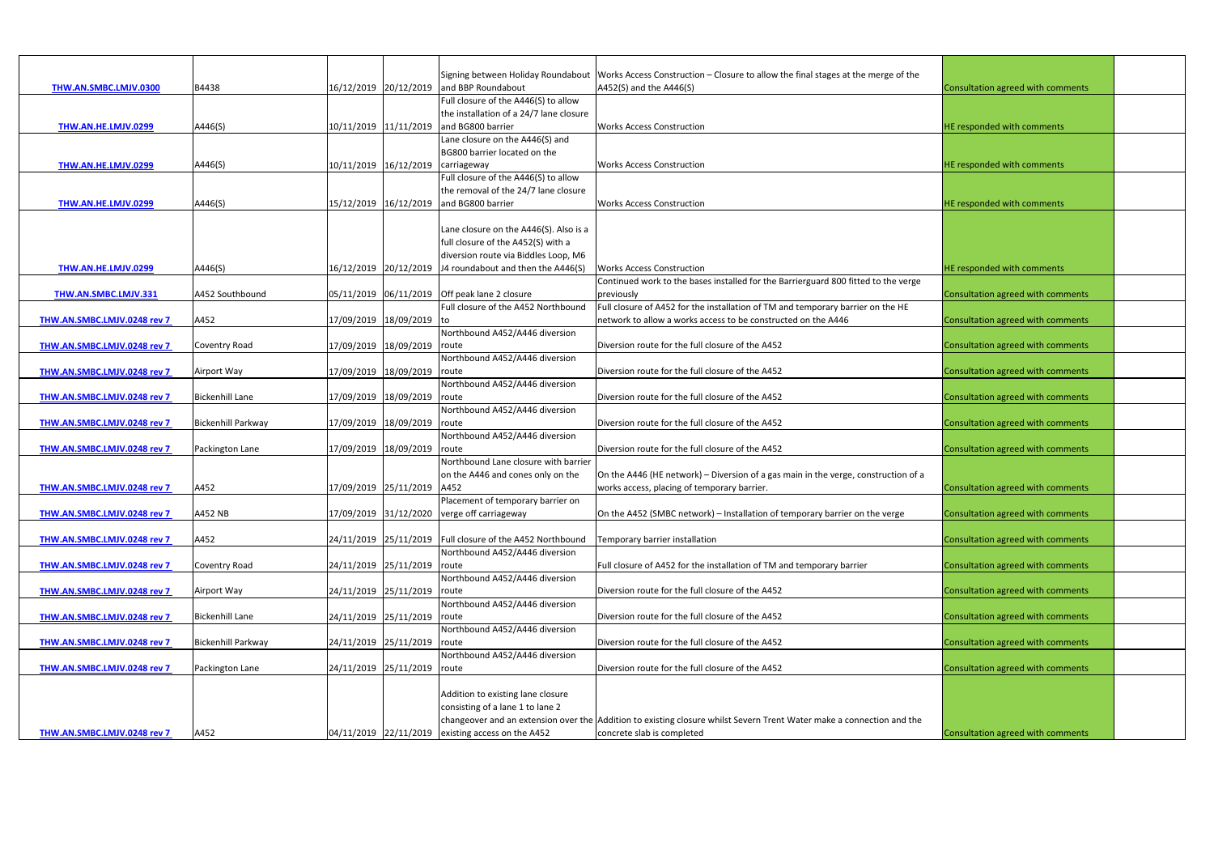|                             |                           |                                   |                             |                                                            | Signing between Holiday Roundabout   Works Access Construction - Closure to allow the final stages at the merge of the |                                   |  |
|-----------------------------|---------------------------|-----------------------------------|-----------------------------|------------------------------------------------------------|------------------------------------------------------------------------------------------------------------------------|-----------------------------------|--|
| THW.AN.SMBC.LMJV.0300       | B4438                     |                                   |                             | 16/12/2019 20/12/2019 and BBP Roundabout                   | A452(S) and the A446(S)                                                                                                | Consultation agreed with comments |  |
|                             |                           |                                   |                             | Full closure of the A446(S) to allow                       |                                                                                                                        |                                   |  |
|                             |                           |                                   |                             | the installation of a 24/7 lane closure                    |                                                                                                                        |                                   |  |
| THW.AN.HE.LMJV.0299         | A446(S)                   |                                   |                             | 10/11/2019 11/11/2019 and BG800 barrier                    | <b>Works Access Construction</b>                                                                                       | HE responded with comments        |  |
|                             |                           |                                   |                             | Lane closure on the A446(S) and                            |                                                                                                                        |                                   |  |
|                             |                           |                                   |                             | BG800 barrier located on the                               |                                                                                                                        |                                   |  |
| THW.AN.HE.LMJV.0299         | A446(S)                   | 10/11/2019 16/12/2019 carriageway |                             |                                                            | <b>Works Access Construction</b>                                                                                       | HE responded with comments        |  |
|                             |                           |                                   |                             | Full closure of the A446(S) to allow                       |                                                                                                                        |                                   |  |
|                             |                           |                                   |                             | the removal of the 24/7 lane closure                       |                                                                                                                        |                                   |  |
| THW.AN.HE.LMJV.0299         | A446(S)                   |                                   |                             | 15/12/2019 16/12/2019 and BG800 barrier                    | <b>Works Access Construction</b>                                                                                       | HE responded with comments        |  |
|                             |                           |                                   |                             |                                                            |                                                                                                                        |                                   |  |
|                             |                           |                                   |                             | Lane closure on the A446(S). Also is a                     |                                                                                                                        |                                   |  |
|                             |                           |                                   |                             | full closure of the A452(S) with a                         |                                                                                                                        |                                   |  |
|                             |                           |                                   |                             | diversion route via Biddles Loop, M6                       |                                                                                                                        |                                   |  |
| THW.AN.HE.LMJV.0299         | A446(S)                   |                                   |                             | $16/12/2019$ 20/12/2019 J4 roundabout and then the A446(S) | <b>Works Access Construction</b>                                                                                       | HE responded with comments        |  |
|                             |                           |                                   |                             |                                                            | Continued work to the bases installed for the Barrierguard 800 fitted to the verge                                     |                                   |  |
| <b>THW.AN.SMBC.LMJV.331</b> | A452 Southbound           |                                   |                             | 05/11/2019 06/11/2019 Off peak lane 2 closure              | previously                                                                                                             | Consultation agreed with comments |  |
|                             |                           |                                   |                             | Full closure of the A452 Northbound                        | Full closure of A452 for the installation of TM and temporary barrier on the HE                                        |                                   |  |
| THW.AN.SMBC.LMJV.0248 rev 7 | A452                      |                                   | 17/09/2019 18/09/2019 to    |                                                            | network to allow a works access to be constructed on the A446                                                          | Consultation agreed with comments |  |
|                             |                           |                                   |                             | Northbound A452/A446 diversion                             |                                                                                                                        |                                   |  |
| THW.AN.SMBC.LMJV.0248 rev 7 | <b>Coventry Road</b>      |                                   | 17/09/2019 18/09/2019 route |                                                            | Diversion route for the full closure of the A452                                                                       | Consultation agreed with comments |  |
|                             |                           |                                   |                             | Northbound A452/A446 diversion                             |                                                                                                                        |                                   |  |
| THW.AN.SMBC.LMJV.0248 rev 7 | Airport Way               |                                   | 17/09/2019 18/09/2019 route |                                                            | Diversion route for the full closure of the A452                                                                       | Consultation agreed with comments |  |
|                             |                           |                                   |                             | Northbound A452/A446 diversion                             |                                                                                                                        |                                   |  |
| THW.AN.SMBC.LMJV.0248 rev 7 | <b>Bickenhill Lane</b>    | 17/09/2019 18/09/2019 route       |                             |                                                            | Diversion route for the full closure of the A452                                                                       | Consultation agreed with comments |  |
|                             |                           |                                   |                             | Northbound A452/A446 diversion                             |                                                                                                                        |                                   |  |
| THW.AN.SMBC.LMJV.0248 rev 7 | <b>Bickenhill Parkway</b> |                                   | 17/09/2019 18/09/2019 route |                                                            | Diversion route for the full closure of the A452                                                                       | Consultation agreed with comments |  |
|                             |                           |                                   |                             | Northbound A452/A446 diversion                             |                                                                                                                        |                                   |  |
| THW.AN.SMBC.LMJV.0248 rev 7 | Packington Lane           |                                   | 17/09/2019 18/09/2019 route |                                                            | Diversion route for the full closure of the A452                                                                       | Consultation agreed with comments |  |
|                             |                           |                                   |                             | Northbound Lane closure with barrier                       |                                                                                                                        |                                   |  |
|                             |                           |                                   |                             | on the A446 and cones only on the                          | On the A446 (HE network) – Diversion of a gas main in the verge, construction of a                                     |                                   |  |
| THW.AN.SMBC.LMJV.0248 rev 7 | A452                      |                                   | 17/09/2019 25/11/2019 A452  |                                                            | works access, placing of temporary barrier.                                                                            | Consultation agreed with comments |  |
| THW.AN.SMBC.LMJV.0248 rev 7 |                           |                                   |                             | Placement of temporary barrier on                          |                                                                                                                        | Consultation agreed with comments |  |
|                             | A452 NB                   |                                   |                             | 17/09/2019 31/12/2020 verge off carriageway                | On the A452 (SMBC network) - Installation of temporary barrier on the verge                                            |                                   |  |
| THW.AN.SMBC.LMJV.0248 rev 7 | A452                      |                                   |                             | 24/11/2019 25/11/2019 Full closure of the A452 Northbound  | Temporary barrier installation                                                                                         | Consultation agreed with comments |  |
|                             |                           |                                   |                             | Northbound A452/A446 diversion                             |                                                                                                                        |                                   |  |
| THW.AN.SMBC.LMJV.0248 rev 7 | <b>Coventry Road</b>      | 24/11/2019 25/11/2019 route       |                             |                                                            | Full closure of A452 for the installation of TM and temporary barrier                                                  | Consultation agreed with comments |  |
|                             |                           |                                   |                             | Northbound A452/A446 diversion                             |                                                                                                                        |                                   |  |
| THW.AN.SMBC.LMJV.0248 rev 7 | Airport Way               | 24/11/2019 25/11/2019 route       |                             |                                                            | Diversion route for the full closure of the A452                                                                       | Consultation agreed with comments |  |
|                             |                           |                                   |                             | Northbound A452/A446 diversion                             |                                                                                                                        |                                   |  |
| THW.AN.SMBC.LMJV.0248 rev 7 | <b>Bickenhill Lane</b>    | 24/11/2019 25/11/2019 route       |                             |                                                            | Diversion route for the full closure of the A452                                                                       | Consultation agreed with comments |  |
|                             |                           |                                   |                             | Northbound A452/A446 diversion                             |                                                                                                                        |                                   |  |
| THW.AN.SMBC.LMJV.0248 rev 7 | <b>Bickenhill Parkway</b> | 24/11/2019 25/11/2019             |                             | route                                                      | Diversion route for the full closure of the A452                                                                       | Consultation agreed with comments |  |
|                             |                           |                                   |                             | Northbound A452/A446 diversion                             |                                                                                                                        |                                   |  |
| THW.AN.SMBC.LMJV.0248 rev 7 | Packington Lane           | 24/11/2019 25/11/2019 route       |                             |                                                            | Diversion route for the full closure of the A452                                                                       | Consultation agreed with comments |  |
|                             |                           |                                   |                             |                                                            |                                                                                                                        |                                   |  |
|                             |                           |                                   |                             | Addition to existing lane closure                          |                                                                                                                        |                                   |  |
|                             |                           |                                   |                             | consisting of a lane 1 to lane 2                           |                                                                                                                        |                                   |  |
|                             |                           |                                   |                             |                                                            | changeover and an extension over the Addition to existing closure whilst Severn Trent Water make a connection and the  |                                   |  |
| THW.AN.SMBC.LMJV.0248 rev 7 | A452                      |                                   |                             | 04/11/2019 22/11/2019 existing access on the A452          | concrete slab is completed                                                                                             | Consultation agreed with comments |  |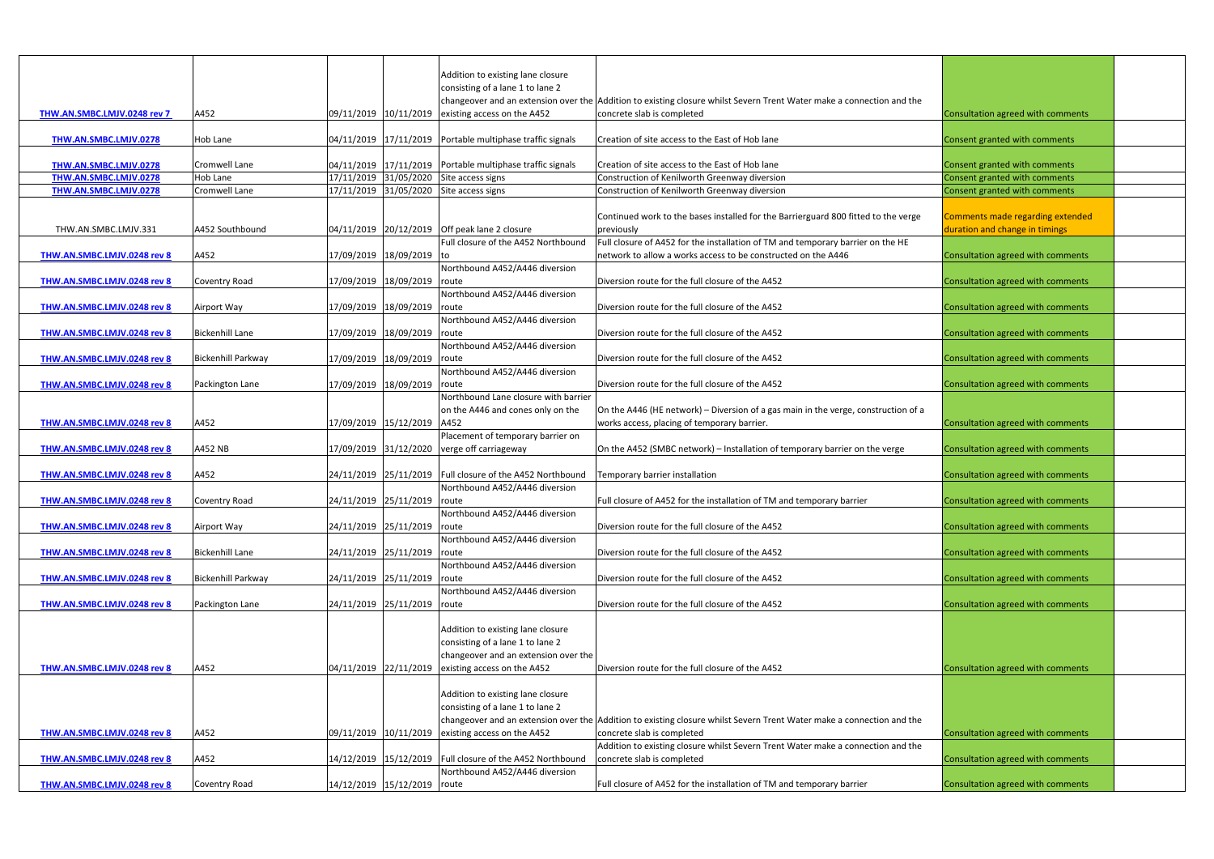| Addition to existing lane closure<br>consisting of a lane 1 to lane 2<br>changeover and an extension over the Addition to existing closure whilst Severn Trent Water make a connection and the<br>09/11/2019 10/11/2019 existing access on the A452<br>concrete slab is completed<br>THW.AN.SMBC.LMJV.0248 rev 7<br>A452<br>Consultation agreed with comments<br>$04/11/2019$ $17/11/2019$ Portable multiphase traffic signals<br>Creation of site access to the East of Hob lane<br>Consent granted with comments<br>THW.AN.SMBC.LMJV.0278<br>Hob Lane<br>$04/11/2019$ $17/11/2019$ Portable multiphase traffic signals<br>Creation of site access to the East of Hob lane<br><b>Cromwell Lane</b><br>Consent granted with comments<br>THW.AN.SMBC.LMJV.0278<br>THW.AN.SMBC.LMJV.0278<br>17/11/2019 31/05/2020 Site access signs<br>Construction of Kenilworth Greenway diversion<br>Consent granted with comments<br>Hob Lane<br><b>Cromwell Lane</b><br>17/11/2019 31/05/2020 Site access signs<br>Construction of Kenilworth Greenway diversion<br>Consent granted with comments<br>THW.AN.SMBC.LMJV.0278<br>Continued work to the bases installed for the Barrierguard 800 fitted to the verge<br>Comments made regarding extended<br>04/11/2019 20/12/2019 Off peak lane 2 closure<br>duration and change in timings<br>THW.AN.SMBC.LMJV.331<br>A452 Southbound<br>previously<br>Full closure of A452 for the installation of TM and temporary barrier on the HE<br>Full closure of the A452 Northbound<br>17/09/2019 18/09/2019 to<br>network to allow a works access to be constructed on the A446<br>A452<br>Consultation agreed with comments<br>THW.AN.SMBC.LMJV.0248 rev 8<br>Northbound A452/A446 diversion<br>17/09/2019 18/09/2019 route<br>Diversion route for the full closure of the A452<br>THW.AN.SMBC.LMJV.0248 rev 8<br>Consultation agreed with comments<br>Coventry Road<br>Northbound A452/A446 diversion<br>Diversion route for the full closure of the A452<br>17/09/2019 18/09/2019 route<br>Consultation agreed with comments<br>Airport Way<br>THW.AN.SMBC.LMJV.0248 rev 8<br>Northbound A452/A446 diversion<br>17/09/2019 18/09/2019 route<br>Diversion route for the full closure of the A452<br><b>Bickenhill Lane</b><br>Consultation agreed with comments<br>THW.AN.SMBC.LMJV.0248 rev 8<br>Northbound A452/A446 diversion<br>Diversion route for the full closure of the A452<br><b>Bickenhill Parkway</b><br>17/09/2019 18/09/2019 route<br>Consultation agreed with comments<br>THW.AN.SMBC.LMJV.0248 rev 8<br>Northbound A452/A446 diversion<br>17/09/2019 18/09/2019<br>Diversion route for the full closure of the A452<br>THW.AN.SMBC.LMJV.0248 rev 8<br>Consultation agreed with comments<br>Packington Lane<br>route<br>Northbound Lane closure with barrier<br>On the A446 (HE network) - Diversion of a gas main in the verge, construction of a<br>on the A446 and cones only on the<br>A452<br>17/09/2019 15/12/2019 A452<br>THW.AN.SMBC.LMJV.0248 rev 8<br>works access, placing of temporary barrier.<br>Consultation agreed with comments<br>Placement of temporary barrier on<br>17/09/2019 31/12/2020 verge off carriageway<br>A452 NB<br>On the A452 (SMBC network) - Installation of temporary barrier on the verge<br>Consultation agreed with comments<br>THW.AN.SMBC.LMJV.0248 rev 8<br>24/11/2019 25/11/2019 Full closure of the A452 Northbound<br>Temporary barrier installation<br>Consultation agreed with comments<br>A452<br>THW.AN.SMBC.LMJV.0248 rev 8<br>Northbound A452/A446 diversion<br>24/11/2019 25/11/2019 route<br>Full closure of A452 for the installation of TM and temporary barrier<br>Consultation agreed with comments<br>THW.AN.SMBC.LMJV.0248 rev 8<br><b>Coventry Road</b><br>Northbound A452/A446 diversion<br>Diversion route for the full closure of the A452<br>24/11/2019 25/11/2019 route<br>Consultation agreed with comments<br>Airport Way<br>THW.AN.SMBC.LMJV.0248 rev 8<br>Northbound A452/A446 diversion<br>24/11/2019 25/11/2019 route<br><b>Bickenhill Lane</b><br>Diversion route for the full closure of the A452<br>Consultation agreed with comments<br>THW.AN.SMBC.LMJV.0248 rev 8<br>Northbound A452/A446 diversion<br><b>Bickenhill Parkway</b><br>24/11/2019 25/11/2019 route<br>Diversion route for the full closure of the A452<br>Consultation agreed with comments<br>THW.AN.SMBC.LMJV.0248 rev 8<br>Northbound A452/A446 diversion<br>24/11/2019 25/11/2019 route<br>Diversion route for the full closure of the A452<br>Consultation agreed with comments<br>THW.AN.SMBC.LMJV.0248 rev 8<br>Packington Lane<br>Addition to existing lane closure<br>consisting of a lane 1 to lane 2<br>changeover and an extension over the<br>A452<br>04/11/2019 22/11/2019 existing access on the A452<br>Diversion route for the full closure of the A452<br>Consultation agreed with comments<br>THW.AN.SMBC.LMJV.0248 rev 8<br>Addition to existing lane closure<br>consisting of a lane 1 to lane 2<br>changeover and an extension over the Addition to existing closure whilst Severn Trent Water make a connection and the<br>09/11/2019 10/11/2019<br>existing access on the A452<br>concrete slab is completed<br>A452<br>Consultation agreed with comments<br>THW.AN.SMBC.LMJV.0248 rev 8<br>Addition to existing closure whilst Severn Trent Water make a connection and the<br>14/12/2019 15/12/2019 Full closure of the A452 Northbound<br>concrete slab is completed<br>Consultation agreed with comments<br>A452<br>THW.AN.SMBC.LMJV.0248 rev 8<br>Northbound A452/A446 diversion<br>14/12/2019 15/12/2019 route<br>Full closure of A452 for the installation of TM and temporary barrier<br>Consultation agreed with comments<br>THW.AN.SMBC.LMJV.0248 rev 8<br><b>Coventry Road</b> |  |  |  |  |
|---------------------------------------------------------------------------------------------------------------------------------------------------------------------------------------------------------------------------------------------------------------------------------------------------------------------------------------------------------------------------------------------------------------------------------------------------------------------------------------------------------------------------------------------------------------------------------------------------------------------------------------------------------------------------------------------------------------------------------------------------------------------------------------------------------------------------------------------------------------------------------------------------------------------------------------------------------------------------------------------------------------------------------------------------------------------------------------------------------------------------------------------------------------------------------------------------------------------------------------------------------------------------------------------------------------------------------------------------------------------------------------------------------------------------------------------------------------------------------------------------------------------------------------------------------------------------------------------------------------------------------------------------------------------------------------------------------------------------------------------------------------------------------------------------------------------------------------------------------------------------------------------------------------------------------------------------------------------------------------------------------------------------------------------------------------------------------------------------------------------------------------------------------------------------------------------------------------------------------------------------------------------------------------------------------------------------------------------------------------------------------------------------------------------------------------------------------------------------------------------------------------------------------------------------------------------------------------------------------------------------------------------------------------------------------------------------------------------------------------------------------------------------------------------------------------------------------------------------------------------------------------------------------------------------------------------------------------------------------------------------------------------------------------------------------------------------------------------------------------------------------------------------------------------------------------------------------------------------------------------------------------------------------------------------------------------------------------------------------------------------------------------------------------------------------------------------------------------------------------------------------------------------------------------------------------------------------------------------------------------------------------------------------------------------------------------------------------------------------------------------------------------------------------------------------------------------------------------------------------------------------------------------------------------------------------------------------------------------------------------------------------------------------------------------------------------------------------------------------------------------------------------------------------------------------------------------------------------------------------------------------------------------------------------------------------------------------------------------------------------------------------------------------------------------------------------------------------------------------------------------------------------------------------------------------------------------------------------------------------------------------------------------------------------------------------------------------------------------------------------------------------------------------------------------------------------------------------------------------------------------------------------------------------------------------------------------------------------------------------------------------------------------------------------------------------------------------------------------------------------------------------------------------------------------------------------------------------------------------------------------------------------------------------------------------------------------------------------------------------------------------------------------------------------------------------------------------------------------------------------------------------------------------------------------------------------------------------------------------------------------------------------------------------------------------------------------------------------------------------------------------------------------------------------------------|--|--|--|--|
|                                                                                                                                                                                                                                                                                                                                                                                                                                                                                                                                                                                                                                                                                                                                                                                                                                                                                                                                                                                                                                                                                                                                                                                                                                                                                                                                                                                                                                                                                                                                                                                                                                                                                                                                                                                                                                                                                                                                                                                                                                                                                                                                                                                                                                                                                                                                                                                                                                                                                                                                                                                                                                                                                                                                                                                                                                                                                                                                                                                                                                                                                                                                                                                                                                                                                                                                                                                                                                                                                                                                                                                                                                                                                                                                                                                                                                                                                                                                                                                                                                                                                                                                                                                                                                                                                                                                                                                                                                                                                                                                                                                                                                                                                                                                                                                                                                                                                                                                                                                                                                                                                                                                                                                                                                                                                                                                                                                                                                                                                                                                                                                                                                                                                                                                                                                                         |  |  |  |  |
|                                                                                                                                                                                                                                                                                                                                                                                                                                                                                                                                                                                                                                                                                                                                                                                                                                                                                                                                                                                                                                                                                                                                                                                                                                                                                                                                                                                                                                                                                                                                                                                                                                                                                                                                                                                                                                                                                                                                                                                                                                                                                                                                                                                                                                                                                                                                                                                                                                                                                                                                                                                                                                                                                                                                                                                                                                                                                                                                                                                                                                                                                                                                                                                                                                                                                                                                                                                                                                                                                                                                                                                                                                                                                                                                                                                                                                                                                                                                                                                                                                                                                                                                                                                                                                                                                                                                                                                                                                                                                                                                                                                                                                                                                                                                                                                                                                                                                                                                                                                                                                                                                                                                                                                                                                                                                                                                                                                                                                                                                                                                                                                                                                                                                                                                                                                                         |  |  |  |  |
|                                                                                                                                                                                                                                                                                                                                                                                                                                                                                                                                                                                                                                                                                                                                                                                                                                                                                                                                                                                                                                                                                                                                                                                                                                                                                                                                                                                                                                                                                                                                                                                                                                                                                                                                                                                                                                                                                                                                                                                                                                                                                                                                                                                                                                                                                                                                                                                                                                                                                                                                                                                                                                                                                                                                                                                                                                                                                                                                                                                                                                                                                                                                                                                                                                                                                                                                                                                                                                                                                                                                                                                                                                                                                                                                                                                                                                                                                                                                                                                                                                                                                                                                                                                                                                                                                                                                                                                                                                                                                                                                                                                                                                                                                                                                                                                                                                                                                                                                                                                                                                                                                                                                                                                                                                                                                                                                                                                                                                                                                                                                                                                                                                                                                                                                                                                                         |  |  |  |  |
|                                                                                                                                                                                                                                                                                                                                                                                                                                                                                                                                                                                                                                                                                                                                                                                                                                                                                                                                                                                                                                                                                                                                                                                                                                                                                                                                                                                                                                                                                                                                                                                                                                                                                                                                                                                                                                                                                                                                                                                                                                                                                                                                                                                                                                                                                                                                                                                                                                                                                                                                                                                                                                                                                                                                                                                                                                                                                                                                                                                                                                                                                                                                                                                                                                                                                                                                                                                                                                                                                                                                                                                                                                                                                                                                                                                                                                                                                                                                                                                                                                                                                                                                                                                                                                                                                                                                                                                                                                                                                                                                                                                                                                                                                                                                                                                                                                                                                                                                                                                                                                                                                                                                                                                                                                                                                                                                                                                                                                                                                                                                                                                                                                                                                                                                                                                                         |  |  |  |  |
|                                                                                                                                                                                                                                                                                                                                                                                                                                                                                                                                                                                                                                                                                                                                                                                                                                                                                                                                                                                                                                                                                                                                                                                                                                                                                                                                                                                                                                                                                                                                                                                                                                                                                                                                                                                                                                                                                                                                                                                                                                                                                                                                                                                                                                                                                                                                                                                                                                                                                                                                                                                                                                                                                                                                                                                                                                                                                                                                                                                                                                                                                                                                                                                                                                                                                                                                                                                                                                                                                                                                                                                                                                                                                                                                                                                                                                                                                                                                                                                                                                                                                                                                                                                                                                                                                                                                                                                                                                                                                                                                                                                                                                                                                                                                                                                                                                                                                                                                                                                                                                                                                                                                                                                                                                                                                                                                                                                                                                                                                                                                                                                                                                                                                                                                                                                                         |  |  |  |  |
|                                                                                                                                                                                                                                                                                                                                                                                                                                                                                                                                                                                                                                                                                                                                                                                                                                                                                                                                                                                                                                                                                                                                                                                                                                                                                                                                                                                                                                                                                                                                                                                                                                                                                                                                                                                                                                                                                                                                                                                                                                                                                                                                                                                                                                                                                                                                                                                                                                                                                                                                                                                                                                                                                                                                                                                                                                                                                                                                                                                                                                                                                                                                                                                                                                                                                                                                                                                                                                                                                                                                                                                                                                                                                                                                                                                                                                                                                                                                                                                                                                                                                                                                                                                                                                                                                                                                                                                                                                                                                                                                                                                                                                                                                                                                                                                                                                                                                                                                                                                                                                                                                                                                                                                                                                                                                                                                                                                                                                                                                                                                                                                                                                                                                                                                                                                                         |  |  |  |  |
|                                                                                                                                                                                                                                                                                                                                                                                                                                                                                                                                                                                                                                                                                                                                                                                                                                                                                                                                                                                                                                                                                                                                                                                                                                                                                                                                                                                                                                                                                                                                                                                                                                                                                                                                                                                                                                                                                                                                                                                                                                                                                                                                                                                                                                                                                                                                                                                                                                                                                                                                                                                                                                                                                                                                                                                                                                                                                                                                                                                                                                                                                                                                                                                                                                                                                                                                                                                                                                                                                                                                                                                                                                                                                                                                                                                                                                                                                                                                                                                                                                                                                                                                                                                                                                                                                                                                                                                                                                                                                                                                                                                                                                                                                                                                                                                                                                                                                                                                                                                                                                                                                                                                                                                                                                                                                                                                                                                                                                                                                                                                                                                                                                                                                                                                                                                                         |  |  |  |  |
|                                                                                                                                                                                                                                                                                                                                                                                                                                                                                                                                                                                                                                                                                                                                                                                                                                                                                                                                                                                                                                                                                                                                                                                                                                                                                                                                                                                                                                                                                                                                                                                                                                                                                                                                                                                                                                                                                                                                                                                                                                                                                                                                                                                                                                                                                                                                                                                                                                                                                                                                                                                                                                                                                                                                                                                                                                                                                                                                                                                                                                                                                                                                                                                                                                                                                                                                                                                                                                                                                                                                                                                                                                                                                                                                                                                                                                                                                                                                                                                                                                                                                                                                                                                                                                                                                                                                                                                                                                                                                                                                                                                                                                                                                                                                                                                                                                                                                                                                                                                                                                                                                                                                                                                                                                                                                                                                                                                                                                                                                                                                                                                                                                                                                                                                                                                                         |  |  |  |  |
|                                                                                                                                                                                                                                                                                                                                                                                                                                                                                                                                                                                                                                                                                                                                                                                                                                                                                                                                                                                                                                                                                                                                                                                                                                                                                                                                                                                                                                                                                                                                                                                                                                                                                                                                                                                                                                                                                                                                                                                                                                                                                                                                                                                                                                                                                                                                                                                                                                                                                                                                                                                                                                                                                                                                                                                                                                                                                                                                                                                                                                                                                                                                                                                                                                                                                                                                                                                                                                                                                                                                                                                                                                                                                                                                                                                                                                                                                                                                                                                                                                                                                                                                                                                                                                                                                                                                                                                                                                                                                                                                                                                                                                                                                                                                                                                                                                                                                                                                                                                                                                                                                                                                                                                                                                                                                                                                                                                                                                                                                                                                                                                                                                                                                                                                                                                                         |  |  |  |  |
|                                                                                                                                                                                                                                                                                                                                                                                                                                                                                                                                                                                                                                                                                                                                                                                                                                                                                                                                                                                                                                                                                                                                                                                                                                                                                                                                                                                                                                                                                                                                                                                                                                                                                                                                                                                                                                                                                                                                                                                                                                                                                                                                                                                                                                                                                                                                                                                                                                                                                                                                                                                                                                                                                                                                                                                                                                                                                                                                                                                                                                                                                                                                                                                                                                                                                                                                                                                                                                                                                                                                                                                                                                                                                                                                                                                                                                                                                                                                                                                                                                                                                                                                                                                                                                                                                                                                                                                                                                                                                                                                                                                                                                                                                                                                                                                                                                                                                                                                                                                                                                                                                                                                                                                                                                                                                                                                                                                                                                                                                                                                                                                                                                                                                                                                                                                                         |  |  |  |  |
|                                                                                                                                                                                                                                                                                                                                                                                                                                                                                                                                                                                                                                                                                                                                                                                                                                                                                                                                                                                                                                                                                                                                                                                                                                                                                                                                                                                                                                                                                                                                                                                                                                                                                                                                                                                                                                                                                                                                                                                                                                                                                                                                                                                                                                                                                                                                                                                                                                                                                                                                                                                                                                                                                                                                                                                                                                                                                                                                                                                                                                                                                                                                                                                                                                                                                                                                                                                                                                                                                                                                                                                                                                                                                                                                                                                                                                                                                                                                                                                                                                                                                                                                                                                                                                                                                                                                                                                                                                                                                                                                                                                                                                                                                                                                                                                                                                                                                                                                                                                                                                                                                                                                                                                                                                                                                                                                                                                                                                                                                                                                                                                                                                                                                                                                                                                                         |  |  |  |  |
|                                                                                                                                                                                                                                                                                                                                                                                                                                                                                                                                                                                                                                                                                                                                                                                                                                                                                                                                                                                                                                                                                                                                                                                                                                                                                                                                                                                                                                                                                                                                                                                                                                                                                                                                                                                                                                                                                                                                                                                                                                                                                                                                                                                                                                                                                                                                                                                                                                                                                                                                                                                                                                                                                                                                                                                                                                                                                                                                                                                                                                                                                                                                                                                                                                                                                                                                                                                                                                                                                                                                                                                                                                                                                                                                                                                                                                                                                                                                                                                                                                                                                                                                                                                                                                                                                                                                                                                                                                                                                                                                                                                                                                                                                                                                                                                                                                                                                                                                                                                                                                                                                                                                                                                                                                                                                                                                                                                                                                                                                                                                                                                                                                                                                                                                                                                                         |  |  |  |  |
|                                                                                                                                                                                                                                                                                                                                                                                                                                                                                                                                                                                                                                                                                                                                                                                                                                                                                                                                                                                                                                                                                                                                                                                                                                                                                                                                                                                                                                                                                                                                                                                                                                                                                                                                                                                                                                                                                                                                                                                                                                                                                                                                                                                                                                                                                                                                                                                                                                                                                                                                                                                                                                                                                                                                                                                                                                                                                                                                                                                                                                                                                                                                                                                                                                                                                                                                                                                                                                                                                                                                                                                                                                                                                                                                                                                                                                                                                                                                                                                                                                                                                                                                                                                                                                                                                                                                                                                                                                                                                                                                                                                                                                                                                                                                                                                                                                                                                                                                                                                                                                                                                                                                                                                                                                                                                                                                                                                                                                                                                                                                                                                                                                                                                                                                                                                                         |  |  |  |  |
|                                                                                                                                                                                                                                                                                                                                                                                                                                                                                                                                                                                                                                                                                                                                                                                                                                                                                                                                                                                                                                                                                                                                                                                                                                                                                                                                                                                                                                                                                                                                                                                                                                                                                                                                                                                                                                                                                                                                                                                                                                                                                                                                                                                                                                                                                                                                                                                                                                                                                                                                                                                                                                                                                                                                                                                                                                                                                                                                                                                                                                                                                                                                                                                                                                                                                                                                                                                                                                                                                                                                                                                                                                                                                                                                                                                                                                                                                                                                                                                                                                                                                                                                                                                                                                                                                                                                                                                                                                                                                                                                                                                                                                                                                                                                                                                                                                                                                                                                                                                                                                                                                                                                                                                                                                                                                                                                                                                                                                                                                                                                                                                                                                                                                                                                                                                                         |  |  |  |  |
|                                                                                                                                                                                                                                                                                                                                                                                                                                                                                                                                                                                                                                                                                                                                                                                                                                                                                                                                                                                                                                                                                                                                                                                                                                                                                                                                                                                                                                                                                                                                                                                                                                                                                                                                                                                                                                                                                                                                                                                                                                                                                                                                                                                                                                                                                                                                                                                                                                                                                                                                                                                                                                                                                                                                                                                                                                                                                                                                                                                                                                                                                                                                                                                                                                                                                                                                                                                                                                                                                                                                                                                                                                                                                                                                                                                                                                                                                                                                                                                                                                                                                                                                                                                                                                                                                                                                                                                                                                                                                                                                                                                                                                                                                                                                                                                                                                                                                                                                                                                                                                                                                                                                                                                                                                                                                                                                                                                                                                                                                                                                                                                                                                                                                                                                                                                                         |  |  |  |  |
|                                                                                                                                                                                                                                                                                                                                                                                                                                                                                                                                                                                                                                                                                                                                                                                                                                                                                                                                                                                                                                                                                                                                                                                                                                                                                                                                                                                                                                                                                                                                                                                                                                                                                                                                                                                                                                                                                                                                                                                                                                                                                                                                                                                                                                                                                                                                                                                                                                                                                                                                                                                                                                                                                                                                                                                                                                                                                                                                                                                                                                                                                                                                                                                                                                                                                                                                                                                                                                                                                                                                                                                                                                                                                                                                                                                                                                                                                                                                                                                                                                                                                                                                                                                                                                                                                                                                                                                                                                                                                                                                                                                                                                                                                                                                                                                                                                                                                                                                                                                                                                                                                                                                                                                                                                                                                                                                                                                                                                                                                                                                                                                                                                                                                                                                                                                                         |  |  |  |  |
|                                                                                                                                                                                                                                                                                                                                                                                                                                                                                                                                                                                                                                                                                                                                                                                                                                                                                                                                                                                                                                                                                                                                                                                                                                                                                                                                                                                                                                                                                                                                                                                                                                                                                                                                                                                                                                                                                                                                                                                                                                                                                                                                                                                                                                                                                                                                                                                                                                                                                                                                                                                                                                                                                                                                                                                                                                                                                                                                                                                                                                                                                                                                                                                                                                                                                                                                                                                                                                                                                                                                                                                                                                                                                                                                                                                                                                                                                                                                                                                                                                                                                                                                                                                                                                                                                                                                                                                                                                                                                                                                                                                                                                                                                                                                                                                                                                                                                                                                                                                                                                                                                                                                                                                                                                                                                                                                                                                                                                                                                                                                                                                                                                                                                                                                                                                                         |  |  |  |  |
|                                                                                                                                                                                                                                                                                                                                                                                                                                                                                                                                                                                                                                                                                                                                                                                                                                                                                                                                                                                                                                                                                                                                                                                                                                                                                                                                                                                                                                                                                                                                                                                                                                                                                                                                                                                                                                                                                                                                                                                                                                                                                                                                                                                                                                                                                                                                                                                                                                                                                                                                                                                                                                                                                                                                                                                                                                                                                                                                                                                                                                                                                                                                                                                                                                                                                                                                                                                                                                                                                                                                                                                                                                                                                                                                                                                                                                                                                                                                                                                                                                                                                                                                                                                                                                                                                                                                                                                                                                                                                                                                                                                                                                                                                                                                                                                                                                                                                                                                                                                                                                                                                                                                                                                                                                                                                                                                                                                                                                                                                                                                                                                                                                                                                                                                                                                                         |  |  |  |  |
|                                                                                                                                                                                                                                                                                                                                                                                                                                                                                                                                                                                                                                                                                                                                                                                                                                                                                                                                                                                                                                                                                                                                                                                                                                                                                                                                                                                                                                                                                                                                                                                                                                                                                                                                                                                                                                                                                                                                                                                                                                                                                                                                                                                                                                                                                                                                                                                                                                                                                                                                                                                                                                                                                                                                                                                                                                                                                                                                                                                                                                                                                                                                                                                                                                                                                                                                                                                                                                                                                                                                                                                                                                                                                                                                                                                                                                                                                                                                                                                                                                                                                                                                                                                                                                                                                                                                                                                                                                                                                                                                                                                                                                                                                                                                                                                                                                                                                                                                                                                                                                                                                                                                                                                                                                                                                                                                                                                                                                                                                                                                                                                                                                                                                                                                                                                                         |  |  |  |  |
|                                                                                                                                                                                                                                                                                                                                                                                                                                                                                                                                                                                                                                                                                                                                                                                                                                                                                                                                                                                                                                                                                                                                                                                                                                                                                                                                                                                                                                                                                                                                                                                                                                                                                                                                                                                                                                                                                                                                                                                                                                                                                                                                                                                                                                                                                                                                                                                                                                                                                                                                                                                                                                                                                                                                                                                                                                                                                                                                                                                                                                                                                                                                                                                                                                                                                                                                                                                                                                                                                                                                                                                                                                                                                                                                                                                                                                                                                                                                                                                                                                                                                                                                                                                                                                                                                                                                                                                                                                                                                                                                                                                                                                                                                                                                                                                                                                                                                                                                                                                                                                                                                                                                                                                                                                                                                                                                                                                                                                                                                                                                                                                                                                                                                                                                                                                                         |  |  |  |  |
|                                                                                                                                                                                                                                                                                                                                                                                                                                                                                                                                                                                                                                                                                                                                                                                                                                                                                                                                                                                                                                                                                                                                                                                                                                                                                                                                                                                                                                                                                                                                                                                                                                                                                                                                                                                                                                                                                                                                                                                                                                                                                                                                                                                                                                                                                                                                                                                                                                                                                                                                                                                                                                                                                                                                                                                                                                                                                                                                                                                                                                                                                                                                                                                                                                                                                                                                                                                                                                                                                                                                                                                                                                                                                                                                                                                                                                                                                                                                                                                                                                                                                                                                                                                                                                                                                                                                                                                                                                                                                                                                                                                                                                                                                                                                                                                                                                                                                                                                                                                                                                                                                                                                                                                                                                                                                                                                                                                                                                                                                                                                                                                                                                                                                                                                                                                                         |  |  |  |  |
|                                                                                                                                                                                                                                                                                                                                                                                                                                                                                                                                                                                                                                                                                                                                                                                                                                                                                                                                                                                                                                                                                                                                                                                                                                                                                                                                                                                                                                                                                                                                                                                                                                                                                                                                                                                                                                                                                                                                                                                                                                                                                                                                                                                                                                                                                                                                                                                                                                                                                                                                                                                                                                                                                                                                                                                                                                                                                                                                                                                                                                                                                                                                                                                                                                                                                                                                                                                                                                                                                                                                                                                                                                                                                                                                                                                                                                                                                                                                                                                                                                                                                                                                                                                                                                                                                                                                                                                                                                                                                                                                                                                                                                                                                                                                                                                                                                                                                                                                                                                                                                                                                                                                                                                                                                                                                                                                                                                                                                                                                                                                                                                                                                                                                                                                                                                                         |  |  |  |  |
|                                                                                                                                                                                                                                                                                                                                                                                                                                                                                                                                                                                                                                                                                                                                                                                                                                                                                                                                                                                                                                                                                                                                                                                                                                                                                                                                                                                                                                                                                                                                                                                                                                                                                                                                                                                                                                                                                                                                                                                                                                                                                                                                                                                                                                                                                                                                                                                                                                                                                                                                                                                                                                                                                                                                                                                                                                                                                                                                                                                                                                                                                                                                                                                                                                                                                                                                                                                                                                                                                                                                                                                                                                                                                                                                                                                                                                                                                                                                                                                                                                                                                                                                                                                                                                                                                                                                                                                                                                                                                                                                                                                                                                                                                                                                                                                                                                                                                                                                                                                                                                                                                                                                                                                                                                                                                                                                                                                                                                                                                                                                                                                                                                                                                                                                                                                                         |  |  |  |  |
|                                                                                                                                                                                                                                                                                                                                                                                                                                                                                                                                                                                                                                                                                                                                                                                                                                                                                                                                                                                                                                                                                                                                                                                                                                                                                                                                                                                                                                                                                                                                                                                                                                                                                                                                                                                                                                                                                                                                                                                                                                                                                                                                                                                                                                                                                                                                                                                                                                                                                                                                                                                                                                                                                                                                                                                                                                                                                                                                                                                                                                                                                                                                                                                                                                                                                                                                                                                                                                                                                                                                                                                                                                                                                                                                                                                                                                                                                                                                                                                                                                                                                                                                                                                                                                                                                                                                                                                                                                                                                                                                                                                                                                                                                                                                                                                                                                                                                                                                                                                                                                                                                                                                                                                                                                                                                                                                                                                                                                                                                                                                                                                                                                                                                                                                                                                                         |  |  |  |  |
|                                                                                                                                                                                                                                                                                                                                                                                                                                                                                                                                                                                                                                                                                                                                                                                                                                                                                                                                                                                                                                                                                                                                                                                                                                                                                                                                                                                                                                                                                                                                                                                                                                                                                                                                                                                                                                                                                                                                                                                                                                                                                                                                                                                                                                                                                                                                                                                                                                                                                                                                                                                                                                                                                                                                                                                                                                                                                                                                                                                                                                                                                                                                                                                                                                                                                                                                                                                                                                                                                                                                                                                                                                                                                                                                                                                                                                                                                                                                                                                                                                                                                                                                                                                                                                                                                                                                                                                                                                                                                                                                                                                                                                                                                                                                                                                                                                                                                                                                                                                                                                                                                                                                                                                                                                                                                                                                                                                                                                                                                                                                                                                                                                                                                                                                                                                                         |  |  |  |  |
|                                                                                                                                                                                                                                                                                                                                                                                                                                                                                                                                                                                                                                                                                                                                                                                                                                                                                                                                                                                                                                                                                                                                                                                                                                                                                                                                                                                                                                                                                                                                                                                                                                                                                                                                                                                                                                                                                                                                                                                                                                                                                                                                                                                                                                                                                                                                                                                                                                                                                                                                                                                                                                                                                                                                                                                                                                                                                                                                                                                                                                                                                                                                                                                                                                                                                                                                                                                                                                                                                                                                                                                                                                                                                                                                                                                                                                                                                                                                                                                                                                                                                                                                                                                                                                                                                                                                                                                                                                                                                                                                                                                                                                                                                                                                                                                                                                                                                                                                                                                                                                                                                                                                                                                                                                                                                                                                                                                                                                                                                                                                                                                                                                                                                                                                                                                                         |  |  |  |  |
|                                                                                                                                                                                                                                                                                                                                                                                                                                                                                                                                                                                                                                                                                                                                                                                                                                                                                                                                                                                                                                                                                                                                                                                                                                                                                                                                                                                                                                                                                                                                                                                                                                                                                                                                                                                                                                                                                                                                                                                                                                                                                                                                                                                                                                                                                                                                                                                                                                                                                                                                                                                                                                                                                                                                                                                                                                                                                                                                                                                                                                                                                                                                                                                                                                                                                                                                                                                                                                                                                                                                                                                                                                                                                                                                                                                                                                                                                                                                                                                                                                                                                                                                                                                                                                                                                                                                                                                                                                                                                                                                                                                                                                                                                                                                                                                                                                                                                                                                                                                                                                                                                                                                                                                                                                                                                                                                                                                                                                                                                                                                                                                                                                                                                                                                                                                                         |  |  |  |  |
|                                                                                                                                                                                                                                                                                                                                                                                                                                                                                                                                                                                                                                                                                                                                                                                                                                                                                                                                                                                                                                                                                                                                                                                                                                                                                                                                                                                                                                                                                                                                                                                                                                                                                                                                                                                                                                                                                                                                                                                                                                                                                                                                                                                                                                                                                                                                                                                                                                                                                                                                                                                                                                                                                                                                                                                                                                                                                                                                                                                                                                                                                                                                                                                                                                                                                                                                                                                                                                                                                                                                                                                                                                                                                                                                                                                                                                                                                                                                                                                                                                                                                                                                                                                                                                                                                                                                                                                                                                                                                                                                                                                                                                                                                                                                                                                                                                                                                                                                                                                                                                                                                                                                                                                                                                                                                                                                                                                                                                                                                                                                                                                                                                                                                                                                                                                                         |  |  |  |  |
|                                                                                                                                                                                                                                                                                                                                                                                                                                                                                                                                                                                                                                                                                                                                                                                                                                                                                                                                                                                                                                                                                                                                                                                                                                                                                                                                                                                                                                                                                                                                                                                                                                                                                                                                                                                                                                                                                                                                                                                                                                                                                                                                                                                                                                                                                                                                                                                                                                                                                                                                                                                                                                                                                                                                                                                                                                                                                                                                                                                                                                                                                                                                                                                                                                                                                                                                                                                                                                                                                                                                                                                                                                                                                                                                                                                                                                                                                                                                                                                                                                                                                                                                                                                                                                                                                                                                                                                                                                                                                                                                                                                                                                                                                                                                                                                                                                                                                                                                                                                                                                                                                                                                                                                                                                                                                                                                                                                                                                                                                                                                                                                                                                                                                                                                                                                                         |  |  |  |  |
|                                                                                                                                                                                                                                                                                                                                                                                                                                                                                                                                                                                                                                                                                                                                                                                                                                                                                                                                                                                                                                                                                                                                                                                                                                                                                                                                                                                                                                                                                                                                                                                                                                                                                                                                                                                                                                                                                                                                                                                                                                                                                                                                                                                                                                                                                                                                                                                                                                                                                                                                                                                                                                                                                                                                                                                                                                                                                                                                                                                                                                                                                                                                                                                                                                                                                                                                                                                                                                                                                                                                                                                                                                                                                                                                                                                                                                                                                                                                                                                                                                                                                                                                                                                                                                                                                                                                                                                                                                                                                                                                                                                                                                                                                                                                                                                                                                                                                                                                                                                                                                                                                                                                                                                                                                                                                                                                                                                                                                                                                                                                                                                                                                                                                                                                                                                                         |  |  |  |  |
|                                                                                                                                                                                                                                                                                                                                                                                                                                                                                                                                                                                                                                                                                                                                                                                                                                                                                                                                                                                                                                                                                                                                                                                                                                                                                                                                                                                                                                                                                                                                                                                                                                                                                                                                                                                                                                                                                                                                                                                                                                                                                                                                                                                                                                                                                                                                                                                                                                                                                                                                                                                                                                                                                                                                                                                                                                                                                                                                                                                                                                                                                                                                                                                                                                                                                                                                                                                                                                                                                                                                                                                                                                                                                                                                                                                                                                                                                                                                                                                                                                                                                                                                                                                                                                                                                                                                                                                                                                                                                                                                                                                                                                                                                                                                                                                                                                                                                                                                                                                                                                                                                                                                                                                                                                                                                                                                                                                                                                                                                                                                                                                                                                                                                                                                                                                                         |  |  |  |  |
|                                                                                                                                                                                                                                                                                                                                                                                                                                                                                                                                                                                                                                                                                                                                                                                                                                                                                                                                                                                                                                                                                                                                                                                                                                                                                                                                                                                                                                                                                                                                                                                                                                                                                                                                                                                                                                                                                                                                                                                                                                                                                                                                                                                                                                                                                                                                                                                                                                                                                                                                                                                                                                                                                                                                                                                                                                                                                                                                                                                                                                                                                                                                                                                                                                                                                                                                                                                                                                                                                                                                                                                                                                                                                                                                                                                                                                                                                                                                                                                                                                                                                                                                                                                                                                                                                                                                                                                                                                                                                                                                                                                                                                                                                                                                                                                                                                                                                                                                                                                                                                                                                                                                                                                                                                                                                                                                                                                                                                                                                                                                                                                                                                                                                                                                                                                                         |  |  |  |  |
|                                                                                                                                                                                                                                                                                                                                                                                                                                                                                                                                                                                                                                                                                                                                                                                                                                                                                                                                                                                                                                                                                                                                                                                                                                                                                                                                                                                                                                                                                                                                                                                                                                                                                                                                                                                                                                                                                                                                                                                                                                                                                                                                                                                                                                                                                                                                                                                                                                                                                                                                                                                                                                                                                                                                                                                                                                                                                                                                                                                                                                                                                                                                                                                                                                                                                                                                                                                                                                                                                                                                                                                                                                                                                                                                                                                                                                                                                                                                                                                                                                                                                                                                                                                                                                                                                                                                                                                                                                                                                                                                                                                                                                                                                                                                                                                                                                                                                                                                                                                                                                                                                                                                                                                                                                                                                                                                                                                                                                                                                                                                                                                                                                                                                                                                                                                                         |  |  |  |  |
|                                                                                                                                                                                                                                                                                                                                                                                                                                                                                                                                                                                                                                                                                                                                                                                                                                                                                                                                                                                                                                                                                                                                                                                                                                                                                                                                                                                                                                                                                                                                                                                                                                                                                                                                                                                                                                                                                                                                                                                                                                                                                                                                                                                                                                                                                                                                                                                                                                                                                                                                                                                                                                                                                                                                                                                                                                                                                                                                                                                                                                                                                                                                                                                                                                                                                                                                                                                                                                                                                                                                                                                                                                                                                                                                                                                                                                                                                                                                                                                                                                                                                                                                                                                                                                                                                                                                                                                                                                                                                                                                                                                                                                                                                                                                                                                                                                                                                                                                                                                                                                                                                                                                                                                                                                                                                                                                                                                                                                                                                                                                                                                                                                                                                                                                                                                                         |  |  |  |  |
|                                                                                                                                                                                                                                                                                                                                                                                                                                                                                                                                                                                                                                                                                                                                                                                                                                                                                                                                                                                                                                                                                                                                                                                                                                                                                                                                                                                                                                                                                                                                                                                                                                                                                                                                                                                                                                                                                                                                                                                                                                                                                                                                                                                                                                                                                                                                                                                                                                                                                                                                                                                                                                                                                                                                                                                                                                                                                                                                                                                                                                                                                                                                                                                                                                                                                                                                                                                                                                                                                                                                                                                                                                                                                                                                                                                                                                                                                                                                                                                                                                                                                                                                                                                                                                                                                                                                                                                                                                                                                                                                                                                                                                                                                                                                                                                                                                                                                                                                                                                                                                                                                                                                                                                                                                                                                                                                                                                                                                                                                                                                                                                                                                                                                                                                                                                                         |  |  |  |  |
|                                                                                                                                                                                                                                                                                                                                                                                                                                                                                                                                                                                                                                                                                                                                                                                                                                                                                                                                                                                                                                                                                                                                                                                                                                                                                                                                                                                                                                                                                                                                                                                                                                                                                                                                                                                                                                                                                                                                                                                                                                                                                                                                                                                                                                                                                                                                                                                                                                                                                                                                                                                                                                                                                                                                                                                                                                                                                                                                                                                                                                                                                                                                                                                                                                                                                                                                                                                                                                                                                                                                                                                                                                                                                                                                                                                                                                                                                                                                                                                                                                                                                                                                                                                                                                                                                                                                                                                                                                                                                                                                                                                                                                                                                                                                                                                                                                                                                                                                                                                                                                                                                                                                                                                                                                                                                                                                                                                                                                                                                                                                                                                                                                                                                                                                                                                                         |  |  |  |  |
|                                                                                                                                                                                                                                                                                                                                                                                                                                                                                                                                                                                                                                                                                                                                                                                                                                                                                                                                                                                                                                                                                                                                                                                                                                                                                                                                                                                                                                                                                                                                                                                                                                                                                                                                                                                                                                                                                                                                                                                                                                                                                                                                                                                                                                                                                                                                                                                                                                                                                                                                                                                                                                                                                                                                                                                                                                                                                                                                                                                                                                                                                                                                                                                                                                                                                                                                                                                                                                                                                                                                                                                                                                                                                                                                                                                                                                                                                                                                                                                                                                                                                                                                                                                                                                                                                                                                                                                                                                                                                                                                                                                                                                                                                                                                                                                                                                                                                                                                                                                                                                                                                                                                                                                                                                                                                                                                                                                                                                                                                                                                                                                                                                                                                                                                                                                                         |  |  |  |  |
|                                                                                                                                                                                                                                                                                                                                                                                                                                                                                                                                                                                                                                                                                                                                                                                                                                                                                                                                                                                                                                                                                                                                                                                                                                                                                                                                                                                                                                                                                                                                                                                                                                                                                                                                                                                                                                                                                                                                                                                                                                                                                                                                                                                                                                                                                                                                                                                                                                                                                                                                                                                                                                                                                                                                                                                                                                                                                                                                                                                                                                                                                                                                                                                                                                                                                                                                                                                                                                                                                                                                                                                                                                                                                                                                                                                                                                                                                                                                                                                                                                                                                                                                                                                                                                                                                                                                                                                                                                                                                                                                                                                                                                                                                                                                                                                                                                                                                                                                                                                                                                                                                                                                                                                                                                                                                                                                                                                                                                                                                                                                                                                                                                                                                                                                                                                                         |  |  |  |  |
|                                                                                                                                                                                                                                                                                                                                                                                                                                                                                                                                                                                                                                                                                                                                                                                                                                                                                                                                                                                                                                                                                                                                                                                                                                                                                                                                                                                                                                                                                                                                                                                                                                                                                                                                                                                                                                                                                                                                                                                                                                                                                                                                                                                                                                                                                                                                                                                                                                                                                                                                                                                                                                                                                                                                                                                                                                                                                                                                                                                                                                                                                                                                                                                                                                                                                                                                                                                                                                                                                                                                                                                                                                                                                                                                                                                                                                                                                                                                                                                                                                                                                                                                                                                                                                                                                                                                                                                                                                                                                                                                                                                                                                                                                                                                                                                                                                                                                                                                                                                                                                                                                                                                                                                                                                                                                                                                                                                                                                                                                                                                                                                                                                                                                                                                                                                                         |  |  |  |  |
|                                                                                                                                                                                                                                                                                                                                                                                                                                                                                                                                                                                                                                                                                                                                                                                                                                                                                                                                                                                                                                                                                                                                                                                                                                                                                                                                                                                                                                                                                                                                                                                                                                                                                                                                                                                                                                                                                                                                                                                                                                                                                                                                                                                                                                                                                                                                                                                                                                                                                                                                                                                                                                                                                                                                                                                                                                                                                                                                                                                                                                                                                                                                                                                                                                                                                                                                                                                                                                                                                                                                                                                                                                                                                                                                                                                                                                                                                                                                                                                                                                                                                                                                                                                                                                                                                                                                                                                                                                                                                                                                                                                                                                                                                                                                                                                                                                                                                                                                                                                                                                                                                                                                                                                                                                                                                                                                                                                                                                                                                                                                                                                                                                                                                                                                                                                                         |  |  |  |  |
|                                                                                                                                                                                                                                                                                                                                                                                                                                                                                                                                                                                                                                                                                                                                                                                                                                                                                                                                                                                                                                                                                                                                                                                                                                                                                                                                                                                                                                                                                                                                                                                                                                                                                                                                                                                                                                                                                                                                                                                                                                                                                                                                                                                                                                                                                                                                                                                                                                                                                                                                                                                                                                                                                                                                                                                                                                                                                                                                                                                                                                                                                                                                                                                                                                                                                                                                                                                                                                                                                                                                                                                                                                                                                                                                                                                                                                                                                                                                                                                                                                                                                                                                                                                                                                                                                                                                                                                                                                                                                                                                                                                                                                                                                                                                                                                                                                                                                                                                                                                                                                                                                                                                                                                                                                                                                                                                                                                                                                                                                                                                                                                                                                                                                                                                                                                                         |  |  |  |  |
|                                                                                                                                                                                                                                                                                                                                                                                                                                                                                                                                                                                                                                                                                                                                                                                                                                                                                                                                                                                                                                                                                                                                                                                                                                                                                                                                                                                                                                                                                                                                                                                                                                                                                                                                                                                                                                                                                                                                                                                                                                                                                                                                                                                                                                                                                                                                                                                                                                                                                                                                                                                                                                                                                                                                                                                                                                                                                                                                                                                                                                                                                                                                                                                                                                                                                                                                                                                                                                                                                                                                                                                                                                                                                                                                                                                                                                                                                                                                                                                                                                                                                                                                                                                                                                                                                                                                                                                                                                                                                                                                                                                                                                                                                                                                                                                                                                                                                                                                                                                                                                                                                                                                                                                                                                                                                                                                                                                                                                                                                                                                                                                                                                                                                                                                                                                                         |  |  |  |  |
|                                                                                                                                                                                                                                                                                                                                                                                                                                                                                                                                                                                                                                                                                                                                                                                                                                                                                                                                                                                                                                                                                                                                                                                                                                                                                                                                                                                                                                                                                                                                                                                                                                                                                                                                                                                                                                                                                                                                                                                                                                                                                                                                                                                                                                                                                                                                                                                                                                                                                                                                                                                                                                                                                                                                                                                                                                                                                                                                                                                                                                                                                                                                                                                                                                                                                                                                                                                                                                                                                                                                                                                                                                                                                                                                                                                                                                                                                                                                                                                                                                                                                                                                                                                                                                                                                                                                                                                                                                                                                                                                                                                                                                                                                                                                                                                                                                                                                                                                                                                                                                                                                                                                                                                                                                                                                                                                                                                                                                                                                                                                                                                                                                                                                                                                                                                                         |  |  |  |  |
|                                                                                                                                                                                                                                                                                                                                                                                                                                                                                                                                                                                                                                                                                                                                                                                                                                                                                                                                                                                                                                                                                                                                                                                                                                                                                                                                                                                                                                                                                                                                                                                                                                                                                                                                                                                                                                                                                                                                                                                                                                                                                                                                                                                                                                                                                                                                                                                                                                                                                                                                                                                                                                                                                                                                                                                                                                                                                                                                                                                                                                                                                                                                                                                                                                                                                                                                                                                                                                                                                                                                                                                                                                                                                                                                                                                                                                                                                                                                                                                                                                                                                                                                                                                                                                                                                                                                                                                                                                                                                                                                                                                                                                                                                                                                                                                                                                                                                                                                                                                                                                                                                                                                                                                                                                                                                                                                                                                                                                                                                                                                                                                                                                                                                                                                                                                                         |  |  |  |  |
|                                                                                                                                                                                                                                                                                                                                                                                                                                                                                                                                                                                                                                                                                                                                                                                                                                                                                                                                                                                                                                                                                                                                                                                                                                                                                                                                                                                                                                                                                                                                                                                                                                                                                                                                                                                                                                                                                                                                                                                                                                                                                                                                                                                                                                                                                                                                                                                                                                                                                                                                                                                                                                                                                                                                                                                                                                                                                                                                                                                                                                                                                                                                                                                                                                                                                                                                                                                                                                                                                                                                                                                                                                                                                                                                                                                                                                                                                                                                                                                                                                                                                                                                                                                                                                                                                                                                                                                                                                                                                                                                                                                                                                                                                                                                                                                                                                                                                                                                                                                                                                                                                                                                                                                                                                                                                                                                                                                                                                                                                                                                                                                                                                                                                                                                                                                                         |  |  |  |  |
|                                                                                                                                                                                                                                                                                                                                                                                                                                                                                                                                                                                                                                                                                                                                                                                                                                                                                                                                                                                                                                                                                                                                                                                                                                                                                                                                                                                                                                                                                                                                                                                                                                                                                                                                                                                                                                                                                                                                                                                                                                                                                                                                                                                                                                                                                                                                                                                                                                                                                                                                                                                                                                                                                                                                                                                                                                                                                                                                                                                                                                                                                                                                                                                                                                                                                                                                                                                                                                                                                                                                                                                                                                                                                                                                                                                                                                                                                                                                                                                                                                                                                                                                                                                                                                                                                                                                                                                                                                                                                                                                                                                                                                                                                                                                                                                                                                                                                                                                                                                                                                                                                                                                                                                                                                                                                                                                                                                                                                                                                                                                                                                                                                                                                                                                                                                                         |  |  |  |  |
|                                                                                                                                                                                                                                                                                                                                                                                                                                                                                                                                                                                                                                                                                                                                                                                                                                                                                                                                                                                                                                                                                                                                                                                                                                                                                                                                                                                                                                                                                                                                                                                                                                                                                                                                                                                                                                                                                                                                                                                                                                                                                                                                                                                                                                                                                                                                                                                                                                                                                                                                                                                                                                                                                                                                                                                                                                                                                                                                                                                                                                                                                                                                                                                                                                                                                                                                                                                                                                                                                                                                                                                                                                                                                                                                                                                                                                                                                                                                                                                                                                                                                                                                                                                                                                                                                                                                                                                                                                                                                                                                                                                                                                                                                                                                                                                                                                                                                                                                                                                                                                                                                                                                                                                                                                                                                                                                                                                                                                                                                                                                                                                                                                                                                                                                                                                                         |  |  |  |  |
|                                                                                                                                                                                                                                                                                                                                                                                                                                                                                                                                                                                                                                                                                                                                                                                                                                                                                                                                                                                                                                                                                                                                                                                                                                                                                                                                                                                                                                                                                                                                                                                                                                                                                                                                                                                                                                                                                                                                                                                                                                                                                                                                                                                                                                                                                                                                                                                                                                                                                                                                                                                                                                                                                                                                                                                                                                                                                                                                                                                                                                                                                                                                                                                                                                                                                                                                                                                                                                                                                                                                                                                                                                                                                                                                                                                                                                                                                                                                                                                                                                                                                                                                                                                                                                                                                                                                                                                                                                                                                                                                                                                                                                                                                                                                                                                                                                                                                                                                                                                                                                                                                                                                                                                                                                                                                                                                                                                                                                                                                                                                                                                                                                                                                                                                                                                                         |  |  |  |  |
|                                                                                                                                                                                                                                                                                                                                                                                                                                                                                                                                                                                                                                                                                                                                                                                                                                                                                                                                                                                                                                                                                                                                                                                                                                                                                                                                                                                                                                                                                                                                                                                                                                                                                                                                                                                                                                                                                                                                                                                                                                                                                                                                                                                                                                                                                                                                                                                                                                                                                                                                                                                                                                                                                                                                                                                                                                                                                                                                                                                                                                                                                                                                                                                                                                                                                                                                                                                                                                                                                                                                                                                                                                                                                                                                                                                                                                                                                                                                                                                                                                                                                                                                                                                                                                                                                                                                                                                                                                                                                                                                                                                                                                                                                                                                                                                                                                                                                                                                                                                                                                                                                                                                                                                                                                                                                                                                                                                                                                                                                                                                                                                                                                                                                                                                                                                                         |  |  |  |  |
|                                                                                                                                                                                                                                                                                                                                                                                                                                                                                                                                                                                                                                                                                                                                                                                                                                                                                                                                                                                                                                                                                                                                                                                                                                                                                                                                                                                                                                                                                                                                                                                                                                                                                                                                                                                                                                                                                                                                                                                                                                                                                                                                                                                                                                                                                                                                                                                                                                                                                                                                                                                                                                                                                                                                                                                                                                                                                                                                                                                                                                                                                                                                                                                                                                                                                                                                                                                                                                                                                                                                                                                                                                                                                                                                                                                                                                                                                                                                                                                                                                                                                                                                                                                                                                                                                                                                                                                                                                                                                                                                                                                                                                                                                                                                                                                                                                                                                                                                                                                                                                                                                                                                                                                                                                                                                                                                                                                                                                                                                                                                                                                                                                                                                                                                                                                                         |  |  |  |  |
|                                                                                                                                                                                                                                                                                                                                                                                                                                                                                                                                                                                                                                                                                                                                                                                                                                                                                                                                                                                                                                                                                                                                                                                                                                                                                                                                                                                                                                                                                                                                                                                                                                                                                                                                                                                                                                                                                                                                                                                                                                                                                                                                                                                                                                                                                                                                                                                                                                                                                                                                                                                                                                                                                                                                                                                                                                                                                                                                                                                                                                                                                                                                                                                                                                                                                                                                                                                                                                                                                                                                                                                                                                                                                                                                                                                                                                                                                                                                                                                                                                                                                                                                                                                                                                                                                                                                                                                                                                                                                                                                                                                                                                                                                                                                                                                                                                                                                                                                                                                                                                                                                                                                                                                                                                                                                                                                                                                                                                                                                                                                                                                                                                                                                                                                                                                                         |  |  |  |  |
|                                                                                                                                                                                                                                                                                                                                                                                                                                                                                                                                                                                                                                                                                                                                                                                                                                                                                                                                                                                                                                                                                                                                                                                                                                                                                                                                                                                                                                                                                                                                                                                                                                                                                                                                                                                                                                                                                                                                                                                                                                                                                                                                                                                                                                                                                                                                                                                                                                                                                                                                                                                                                                                                                                                                                                                                                                                                                                                                                                                                                                                                                                                                                                                                                                                                                                                                                                                                                                                                                                                                                                                                                                                                                                                                                                                                                                                                                                                                                                                                                                                                                                                                                                                                                                                                                                                                                                                                                                                                                                                                                                                                                                                                                                                                                                                                                                                                                                                                                                                                                                                                                                                                                                                                                                                                                                                                                                                                                                                                                                                                                                                                                                                                                                                                                                                                         |  |  |  |  |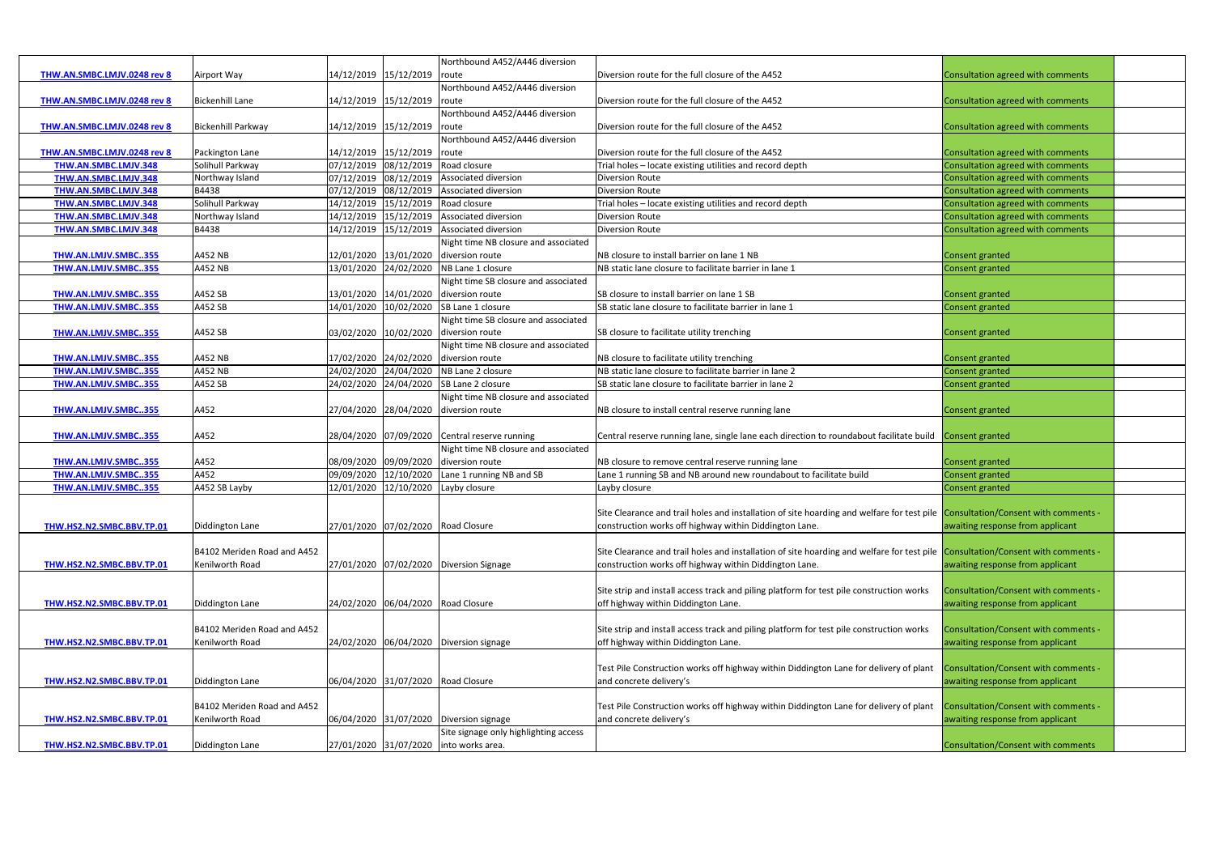|                                    |                             |            |                             | Northbound A452/A446 diversion                 |                                                                                                                                 |                                             |  |
|------------------------------------|-----------------------------|------------|-----------------------------|------------------------------------------------|---------------------------------------------------------------------------------------------------------------------------------|---------------------------------------------|--|
| <b>THW.AN.SMBC.LMJV.0248 rev 8</b> | Airport Way                 |            | 14/12/2019 15/12/2019 route |                                                | Diversion route for the full closure of the A452                                                                                | Consultation agreed with comments           |  |
|                                    |                             |            |                             | Northbound A452/A446 diversion                 |                                                                                                                                 |                                             |  |
| THW.AN.SMBC.LMJV.0248 rev 8        | <b>Bickenhill Lane</b>      |            | 14/12/2019 15/12/2019 route |                                                | Diversion route for the full closure of the A452                                                                                | Consultation agreed with comments           |  |
|                                    |                             |            |                             | Northbound A452/A446 diversion                 |                                                                                                                                 |                                             |  |
|                                    | <b>Bickenhill Parkway</b>   |            | 14/12/2019 15/12/2019 route |                                                | Diversion route for the full closure of the A452                                                                                | Consultation agreed with comments           |  |
| THW.AN.SMBC.LMJV.0248 rev 8        |                             |            |                             |                                                |                                                                                                                                 |                                             |  |
|                                    |                             |            |                             | Northbound A452/A446 diversion                 |                                                                                                                                 |                                             |  |
| THW.AN.SMBC.LMJV.0248 rev 8        | Packington Lane             |            | 14/12/2019 15/12/2019 route |                                                | Diversion route for the full closure of the A452                                                                                | Consultation agreed with comments           |  |
| THW.AN.SMBC.LMJV.348               | Solihull Parkway            | 07/12/2019 | 08/12/2019                  | Road closure                                   | Trial holes - locate existing utilities and record depth                                                                        | Consultation agreed with comments           |  |
| THW.AN.SMBC.LMJV.348               | Northway Island             | 07/12/2019 | 08/12/2019                  | Associated diversion                           | <b>Diversion Route</b>                                                                                                          | Consultation agreed with comments           |  |
| THW.AN.SMBC.LMJV.348               | B4438                       | 07/12/2019 | 08/12/2019                  | Associated diversion                           | <b>Diversion Route</b>                                                                                                          | Consultation agreed with comments           |  |
| THW.AN.SMBC.LMJV.348               | Solihull Parkway            | 14/12/2019 |                             | 15/12/2019 Road closure                        | Trial holes - locate existing utilities and record depth                                                                        | Consultation agreed with comments           |  |
| THW.AN.SMBC.LMJV.348               | Northway Island             | 14/12/2019 | 15/12/2019                  | Associated diversion                           | <b>Diversion Route</b>                                                                                                          | Consultation agreed with comments           |  |
| THW.AN.SMBC.LMJV.348               | B4438                       | 14/12/2019 |                             | 15/12/2019 Associated diversion                | <b>Diversion Route</b>                                                                                                          | Consultation agreed with comments           |  |
|                                    |                             |            |                             | Night time NB closure and associated           |                                                                                                                                 |                                             |  |
| THW.AN.LMJV.SMBC355                | A452 NB                     |            |                             | 12/01/2020 13/01/2020 diversion route          | NB closure to install barrier on lane 1 NB                                                                                      | Consent granted                             |  |
| THW.AN.LMJV.SMBC355                | A452 NB                     |            |                             | 13/01/2020 24/02/2020 NB Lane 1 closure        | NB static lane closure to facilitate barrier in lane 1                                                                          | <b>Consent granted</b>                      |  |
|                                    |                             |            |                             | Night time SB closure and associated           |                                                                                                                                 |                                             |  |
| THW.AN.LMJV.SMBC355                | A452 SB                     |            |                             | 13/01/2020 14/01/2020 diversion route          | SB closure to install barrier on lane 1 SB                                                                                      | Consent granted                             |  |
| THW.AN.LMJV.SMBC355                | A452 SB                     | 14/01/2020 |                             | 10/02/2020 SB Lane 1 closure                   | SB static lane closure to facilitate barrier in lane 1                                                                          | Consent granted                             |  |
|                                    |                             |            |                             | Night time SB closure and associated           |                                                                                                                                 |                                             |  |
|                                    |                             |            |                             |                                                |                                                                                                                                 |                                             |  |
| THW.AN.LMJV.SMBC355                | A452 SB                     |            |                             | 03/02/2020 10/02/2020 diversion route          | SB closure to facilitate utility trenching                                                                                      | <b>Consent granted</b>                      |  |
|                                    |                             |            |                             | Night time NB closure and associated           |                                                                                                                                 |                                             |  |
| THW.AN.LMJV.SMBC355                | A452 NB                     |            |                             | 17/02/2020 24/02/2020 diversion route          | NB closure to facilitate utility trenching                                                                                      | Consent granted                             |  |
| THW.AN.LMJV.SMBC355                | A452 NB                     |            |                             | 24/02/2020 24/04/2020 NB Lane 2 closure        | NB static lane closure to facilitate barrier in lane 2                                                                          | Consent granted                             |  |
| THW.AN.LMJV.SMBC355                | A452 SB                     |            |                             | 24/02/2020 24/04/2020 SB Lane 2 closure        | SB static lane closure to facilitate barrier in lane 2                                                                          | Consent granted                             |  |
|                                    |                             |            |                             | Night time NB closure and associated           |                                                                                                                                 |                                             |  |
| THW.AN.LMJV.SMBC355                | A452                        |            |                             | 27/04/2020 28/04/2020 diversion route          | NB closure to install central reserve running lane                                                                              | Consent granted                             |  |
|                                    |                             |            |                             |                                                |                                                                                                                                 |                                             |  |
| THW.AN.LMJV.SMBC355                | A452                        |            |                             | 28/04/2020 07/09/2020 Central reserve running  | Central reserve running lane, single lane each direction to roundabout facilitate build Consent granted                         |                                             |  |
|                                    |                             |            |                             | Night time NB closure and associated           |                                                                                                                                 |                                             |  |
| THW.AN.LMJV.SMBC355                | A452                        |            |                             | 08/09/2020 09/09/2020 diversion route          | NB closure to remove central reserve running lane                                                                               | <b>Consent granted</b>                      |  |
| THW.AN.LMJV.SMBC355                | A452                        |            |                             | 09/09/2020 12/10/2020 Lane 1 running NB and SB | Lane 1 running SB and NB around new roundabout to facilitate build                                                              | Consent granted                             |  |
| THW.AN.LMJV.SMBC355                | A452 SB Layby               | 12/01/2020 |                             | 12/10/2020 Layby closure                       | Layby closure                                                                                                                   | Consent granted                             |  |
|                                    |                             |            |                             |                                                |                                                                                                                                 |                                             |  |
|                                    |                             |            |                             |                                                | Site Clearance and trail holes and installation of site hoarding and welfare for test pile Consultation/Consent with comments - |                                             |  |
|                                    |                             |            |                             |                                                |                                                                                                                                 |                                             |  |
| THW.HS2.N2.SMBC.BBV.TP.01          | Diddington Lane             |            |                             | 27/01/2020 07/02/2020 Road Closure             | construction works off highway within Diddington Lane.                                                                          | awaiting response from applicant            |  |
|                                    |                             |            |                             |                                                |                                                                                                                                 |                                             |  |
|                                    | B4102 Meriden Road and A452 |            |                             |                                                | Site Clearance and trail holes and installation of site hoarding and welfare for test pile Consultation/Consent with comments - |                                             |  |
| THW.HS2.N2.SMBC.BBV.TP.01          | Kenilworth Road             |            |                             | 27/01/2020 07/02/2020 Diversion Signage        | construction works off highway within Diddington Lane.                                                                          | awaiting response from applicant            |  |
|                                    |                             |            |                             |                                                |                                                                                                                                 |                                             |  |
|                                    |                             |            |                             |                                                | Site strip and install access track and piling platform for test pile construction works                                        | <b>Consultation/Consent with comments -</b> |  |
| THW.HS2.N2.SMBC.BBV.TP.01          | Diddington Lane             |            |                             | 24/02/2020 06/04/2020 Road Closure             | off highway within Diddington Lane.                                                                                             | awaiting response from applicant            |  |
|                                    |                             |            |                             |                                                |                                                                                                                                 |                                             |  |
|                                    | B4102 Meriden Road and A452 |            |                             |                                                | Site strip and install access track and piling platform for test pile construction works                                        | Consultation/Consent with comments -        |  |
| THW.HS2.N2.SMBC.BBV.TP.01          | Kenilworth Road             |            |                             | 24/02/2020 06/04/2020 Diversion signage        | off highway within Diddington Lane.                                                                                             | awaiting response from applicant            |  |
|                                    |                             |            |                             |                                                |                                                                                                                                 |                                             |  |
|                                    |                             |            |                             |                                                | Test Pile Construction works off highway within Diddington Lane for delivery of plant                                           | Consultation/Consent with comments -        |  |
| THW.HS2.N2.SMBC.BBV.TP.01          | Diddington Lane             |            |                             | 06/04/2020 31/07/2020 Road Closure             | and concrete delivery's                                                                                                         | awaiting response from applicant            |  |
|                                    |                             |            |                             |                                                |                                                                                                                                 |                                             |  |
|                                    | B4102 Meriden Road and A452 |            |                             |                                                | Test Pile Construction works off highway within Diddington Lane for delivery of plant                                           | Consultation/Consent with comments -        |  |
|                                    |                             |            |                             |                                                |                                                                                                                                 |                                             |  |
| THW.HS2.N2.SMBC.BBV.TP.01          | Kenilworth Road             |            |                             | 06/04/2020 31/07/2020 Diversion signage        | and concrete delivery's                                                                                                         | awaiting response from applicant            |  |
|                                    |                             |            |                             | Site signage only highlighting access          |                                                                                                                                 |                                             |  |
| THW.HS2.N2.SMBC.BBV.TP.01          | Diddington Lane             |            |                             | 27/01/2020 31/07/2020 into works area.         |                                                                                                                                 | Consultation/Consent with comments          |  |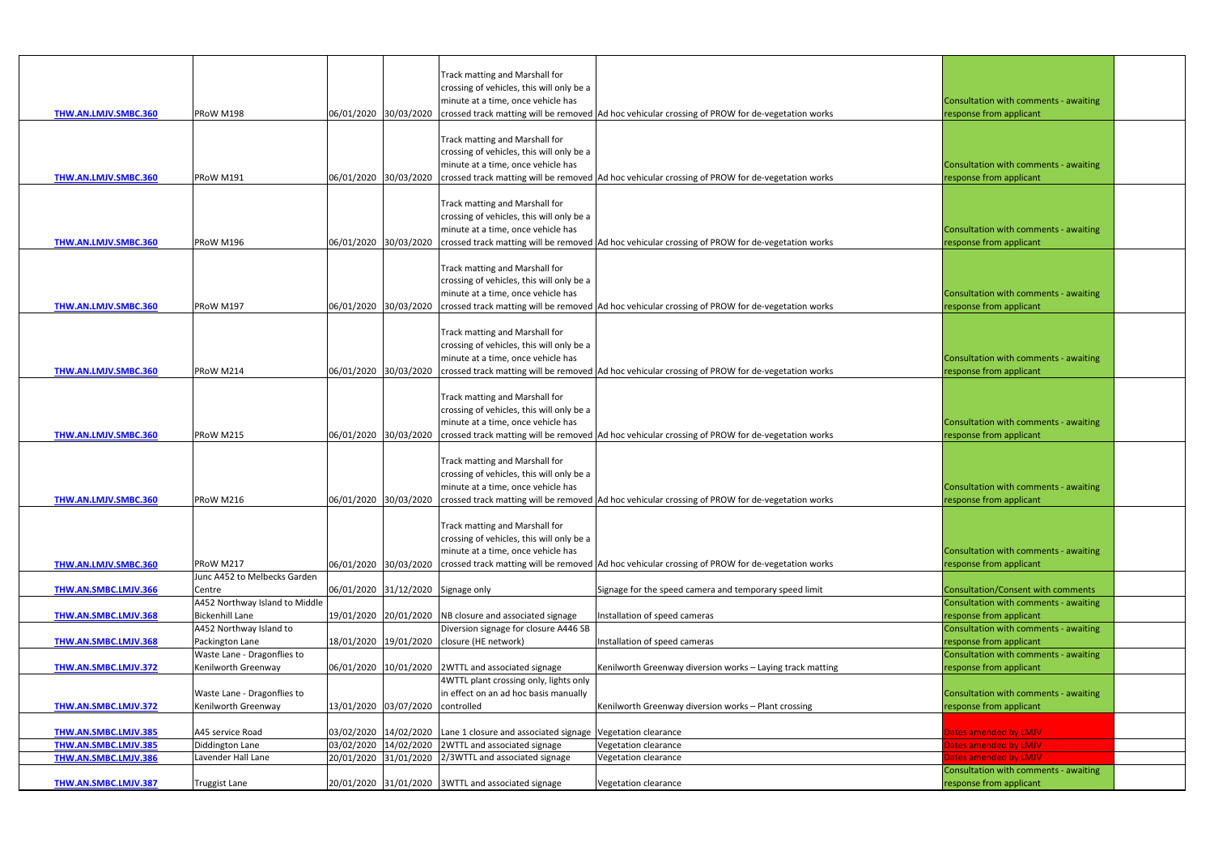| THW.AN.LMJV.SMBC.360                         | PRoW M198                                                |                       |                                    | Track matting and Marshall for<br>crossing of vehicles, this will only be a<br>minute at a time, once vehicle has | 06/01/2020 30/03/2020 crossed track matting will be removed Ad hoc vehicular crossing of PROW for de-vegetation works | Consultation with comments - awaiting<br>response from applicant |  |
|----------------------------------------------|----------------------------------------------------------|-----------------------|------------------------------------|-------------------------------------------------------------------------------------------------------------------|-----------------------------------------------------------------------------------------------------------------------|------------------------------------------------------------------|--|
| THW.AN.LMJV.SMBC.360                         | PRoW M191                                                |                       |                                    | Track matting and Marshall for<br>crossing of vehicles, this will only be a<br>minute at a time, once vehicle has | 06/01/2020 30/03/2020 crossed track matting will be removed Ad hoc vehicular crossing of PROW for de-vegetation works | Consultation with comments - awaiting<br>response from applicant |  |
| THW.AN.LMJV.SMBC.360                         | PRoW M196                                                |                       |                                    | Track matting and Marshall for<br>crossing of vehicles, this will only be a<br>minute at a time, once vehicle has | 06/01/2020 30/03/2020 crossed track matting will be removed Ad hoc vehicular crossing of PROW for de-vegetation works | Consultation with comments - awaiting<br>response from applicant |  |
| <b>THW.AN.LMJV.SMBC.360</b>                  | PRoW M197                                                |                       |                                    | Track matting and Marshall for<br>crossing of vehicles, this will only be a<br>minute at a time, once vehicle has | 06/01/2020 30/03/2020 crossed track matting will be removed Ad hoc vehicular crossing of PROW for de-vegetation works | Consultation with comments - awaiting<br>response from applicant |  |
| THW.AN.LMJV.SMBC.360                         | PRoW M214                                                |                       |                                    | Track matting and Marshall for<br>crossing of vehicles, this will only be a<br>minute at a time, once vehicle has | 06/01/2020 30/03/2020 crossed track matting will be removed Ad hoc vehicular crossing of PROW for de-vegetation works | Consultation with comments - awaiting<br>response from applicant |  |
| THW.AN.LMJV.SMBC.360                         | PRoW M215                                                | 06/01/2020 30/03/2020 |                                    | Track matting and Marshall for<br>crossing of vehicles, this will only be a<br>minute at a time, once vehicle has | crossed track matting will be removed Ad hoc vehicular crossing of PROW for de-vegetation works                       | Consultation with comments - awaiting<br>response from applicant |  |
| THW.AN.LMJV.SMBC.360                         | PRoW M216                                                | 06/01/2020 30/03/2020 |                                    | Track matting and Marshall for<br>crossing of vehicles, this will only be a<br>minute at a time, once vehicle has | crossed track matting will be removed Ad hoc vehicular crossing of PROW for de-vegetation works                       | Consultation with comments - awaiting<br>response from applicant |  |
| THW.AN.LMJV.SMBC.360                         | PRoW M217                                                |                       |                                    | Track matting and Marshall for<br>crossing of vehicles, this will only be a<br>minute at a time, once vehicle has | 06/01/2020 30/03/2020 crossed track matting will be removed Ad hoc vehicular crossing of PROW for de-vegetation works | Consultation with comments - awaiting<br>response from applicant |  |
| THW.AN.SMBC.LMJV.366                         | Junc A452 to Melbecks Garden<br>Centre                   |                       | 06/01/2020 31/12/2020 Signage only |                                                                                                                   | Signage for the speed camera and temporary speed limit                                                                | Consultation/Consent with comments                               |  |
| THW.AN.SMBC.LMJV.368                         | A452 Northway Island to Middle<br><b>Bickenhill Lane</b> |                       |                                    | 19/01/2020 20/01/2020 NB closure and associated signage                                                           | Installation of speed cameras                                                                                         | Consultation with comments - awaiting<br>response from applicant |  |
| THW.AN.SMBC.LMJV.368                         | A452 Northway Island to<br>Packington Lane               |                       |                                    | Diversion signage for closure A446 SB<br>18/01/2020 19/01/2020 closure (HE network)                               | Installation of speed cameras                                                                                         | Consultation with comments - awaiting<br>response from applicant |  |
| <b>THW.AN.SMBC.LMJV.372</b>                  | Waste Lane - Dragonflies to<br>Kenilworth Greenway       |                       |                                    | 06/01/2020 10/01/2020 2WTTL and associated signage                                                                | Kenilworth Greenway diversion works - Laying track matting                                                            | Consultation with comments - awaiting<br>response from applicant |  |
| <b>THW.AN.SMBC.LMJV.372</b>                  | Waste Lane - Dragonflies to<br>Kenilworth Greenway       |                       | 13/01/2020 03/07/2020 controlled   | 4WTTL plant crossing only, lights only<br>in effect on an ad hoc basis manually                                   | Kenilworth Greenway diversion works - Plant crossing                                                                  | Consultation with comments - awaiting<br>response from applicant |  |
| THW.AN.SMBC.LMJV.385                         | A45 service Road                                         |                       |                                    | 03/02/2020 14/02/2020 Lane 1 closure and associated signage Vegetation clearance                                  |                                                                                                                       | Dates amended by LMJV                                            |  |
| THW.AN.SMBC.LMJV.385<br>THW.AN.SMBC.LMJV.386 | Diddington Lane<br>Lavender Hall Lane                    |                       |                                    | 03/02/2020 14/02/2020 2WTTL and associated signage<br>20/01/2020 31/01/2020 2/3WTTL and associated signage        | Vegetation clearance<br>Vegetation clearance                                                                          | Dates amended by LMJV<br>Dates amended by LMJV                   |  |
| THW.AN.SMBC.LMJV.387                         | <b>Truggist Lane</b>                                     |                       |                                    | 20/01/2020 31/01/2020 3WTTL and associated signage                                                                | Vegetation clearance                                                                                                  | Consultation with comments - awaiting<br>response from applicant |  |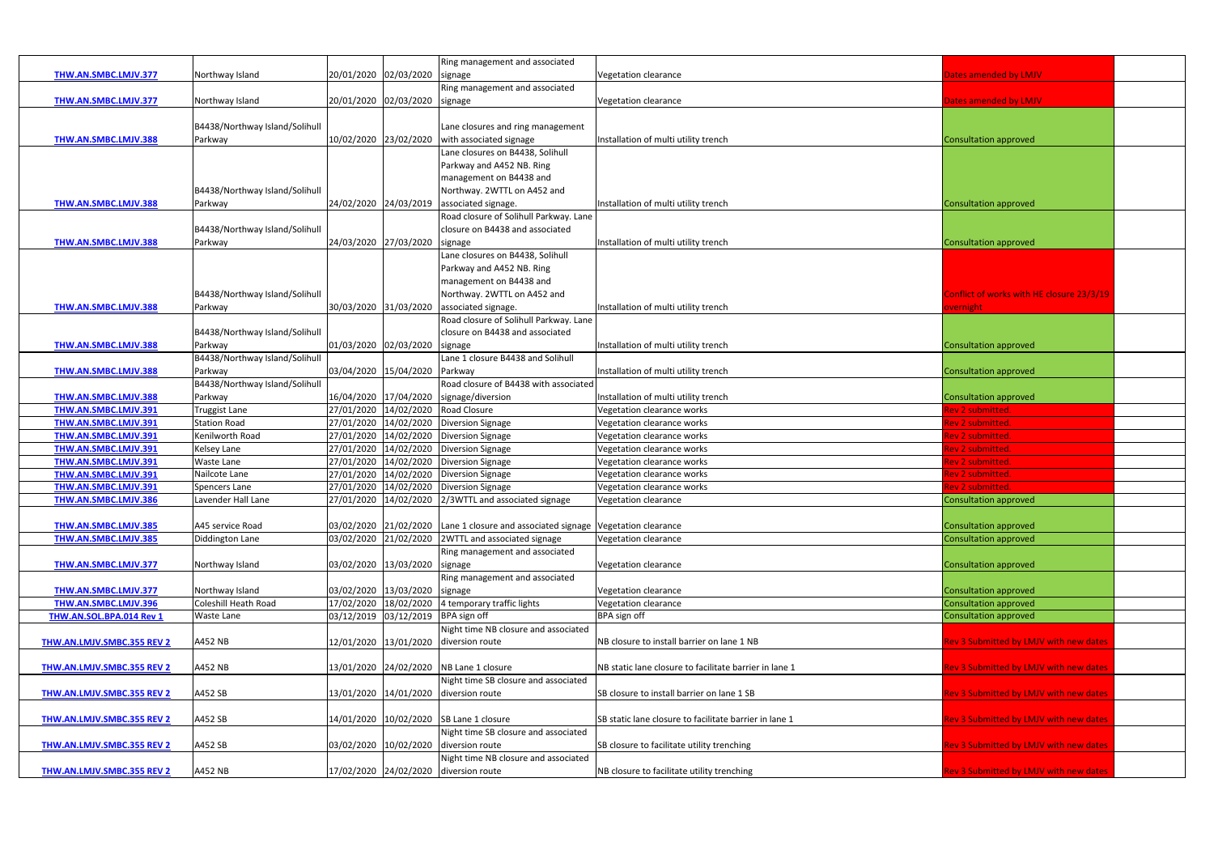|                                   |                                |                       |                       | Ring management and associated                                                   |                                                        |                                               |
|-----------------------------------|--------------------------------|-----------------------|-----------------------|----------------------------------------------------------------------------------|--------------------------------------------------------|-----------------------------------------------|
| THW.AN.SMBC.LMJV.377              | Northway Island                | 20/01/2020 02/03/2020 |                       | signage                                                                          | Vegetation clearance                                   | Dates amended by LMJV                         |
|                                   |                                |                       |                       | Ring management and associated                                                   |                                                        |                                               |
| THW.AN.SMBC.LMJV.377              |                                |                       |                       |                                                                                  | Vegetation clearance                                   |                                               |
|                                   | Northway Island                |                       | 20/01/2020 02/03/2020 | signage                                                                          |                                                        | Dates amended by LMJV                         |
|                                   |                                |                       |                       |                                                                                  |                                                        |                                               |
|                                   | B4438/Northway Island/Solihull |                       |                       | Lane closures and ring management                                                |                                                        |                                               |
| THW.AN.SMBC.LMJV.388              | Parkway                        | 10/02/2020 23/02/2020 |                       | with associated signage                                                          | Installation of multi utility trench                   | <b>Consultation approved</b>                  |
|                                   |                                |                       |                       | Lane closures on B4438, Solihull                                                 |                                                        |                                               |
|                                   |                                |                       |                       | Parkway and A452 NB. Ring                                                        |                                                        |                                               |
|                                   |                                |                       |                       | management on B4438 and                                                          |                                                        |                                               |
|                                   | B4438/Northway Island/Solihull |                       |                       | Northway. 2WTTL on A452 and                                                      |                                                        |                                               |
| <b>THW.AN.SMBC.LMJV.388</b>       | Parkway                        | 24/02/2020 24/03/2019 |                       | associated signage.                                                              | Installation of multi utility trench                   | <b>Consultation approved</b>                  |
|                                   |                                |                       |                       | Road closure of Solihull Parkway. Lane                                           |                                                        |                                               |
|                                   | B4438/Northway Island/Solihull |                       |                       | closure on B4438 and associated                                                  |                                                        |                                               |
| THW.AN.SMBC.LMJV.388              | Parkway                        | 24/03/2020 27/03/2020 |                       | signage                                                                          | Installation of multi utility trench                   | <b>Consultation approved</b>                  |
|                                   |                                |                       |                       | Lane closures on B4438, Solihull                                                 |                                                        |                                               |
|                                   |                                |                       |                       | Parkway and A452 NB. Ring                                                        |                                                        |                                               |
|                                   |                                |                       |                       | management on B4438 and                                                          |                                                        |                                               |
|                                   | B4438/Northway Island/Solihull |                       |                       | Northway. 2WTTL on A452 and                                                      |                                                        | Conflict of works with HE closure 23/3/19     |
| THW.AN.SMBC.LMJV.388              | Parkway                        | 30/03/2020 31/03/2020 |                       | associated signage.                                                              | Installation of multi utility trench                   |                                               |
|                                   |                                |                       |                       |                                                                                  |                                                        | <b>overnight</b>                              |
|                                   |                                |                       |                       | Road closure of Solihull Parkway. Lane                                           |                                                        |                                               |
|                                   | B4438/Northway Island/Solihull |                       |                       | closure on B4438 and associated                                                  |                                                        |                                               |
| THW.AN.SMBC.LMJV.388              | Parkway                        | 01/03/2020 02/03/2020 |                       | signage                                                                          | Installation of multi utility trench                   | <b>Consultation approved</b>                  |
|                                   | B4438/Northway Island/Solihull |                       |                       | Lane 1 closure B4438 and Solihull                                                |                                                        |                                               |
| THW.AN.SMBC.LMJV.388              | Parkway                        | 03/04/2020 15/04/2020 |                       | Parkway                                                                          | Installation of multi utility trench                   | <b>Consultation approved</b>                  |
|                                   | B4438/Northway Island/Solihull |                       |                       | Road closure of B4438 with associated                                            |                                                        |                                               |
| THW.AN.SMBC.LMJV.388              | Parkway                        |                       | 16/04/2020 17/04/2020 | signage/diversion                                                                | Installation of multi utility trench                   | <b>Consultation approved</b>                  |
| THW.AN.SMBC.LMJV.391              | <b>Truggist Lane</b>           |                       | 27/01/2020 14/02/2020 | Road Closure                                                                     | Vegetation clearance works                             | Rev 2 submitted.                              |
| THW.AN.SMBC.LMJV.391              | <b>Station Road</b>            |                       | 27/01/2020 14/02/2020 | <b>Diversion Signage</b>                                                         | Vegetation clearance works                             | Rev 2 submitted.                              |
| THW.AN.SMBC.LMJV.391              | Kenilworth Road                |                       | 27/01/2020 14/02/2020 | <b>Diversion Signage</b>                                                         | Vegetation clearance works                             | Rev 2 submitted.                              |
| THW.AN.SMBC.LMJV.391              | <b>Kelsey Lane</b>             |                       | 27/01/2020 14/02/2020 | <b>Diversion Signage</b>                                                         | Vegetation clearance works                             | Rev 2 submitted.                              |
| THW.AN.SMBC.LMJV.391              | Waste Lane                     |                       | 27/01/2020 14/02/2020 | <b>Diversion Signage</b>                                                         | Vegetation clearance works                             | Rev 2 submitted.                              |
| THW.AN.SMBC.LMJV.391              | Nailcote Lane                  |                       | 27/01/2020 14/02/2020 | <b>Diversion Signage</b>                                                         | Vegetation clearance works                             | <mark>Rev 2 submitted</mark> .                |
| THW.AN.SMBC.LMJV.391              | <b>Spencers Lane</b>           |                       | 27/01/2020 14/02/2020 | <b>Diversion Signage</b>                                                         | Vegetation clearance works                             | Rev 2 submitted.                              |
| <b>THW.AN.SMBC.LMJV.386</b>       | Lavender Hall Lane             |                       | 27/01/2020 14/02/2020 | 2/3WTTL and associated signage                                                   | Vegetation clearance                                   | <b>Consultation approved</b>                  |
|                                   |                                |                       |                       |                                                                                  |                                                        |                                               |
|                                   |                                |                       |                       |                                                                                  |                                                        |                                               |
| THW.AN.SMBC.LMJV.385              | A45 service Road               |                       |                       | 03/02/2020 21/02/2020 Lane 1 closure and associated signage Vegetation clearance |                                                        | <b>Consultation approved</b>                  |
| THW.AN.SMBC.LMJV.385              | Diddington Lane                |                       | 03/02/2020 21/02/2020 | 2WTTL and associated signage                                                     | Vegetation clearance                                   | <b>Consultation approved</b>                  |
|                                   |                                |                       |                       | Ring management and associated                                                   |                                                        |                                               |
| THW.AN.SMBC.LMJV.377              | Northway Island                | 03/02/2020 13/03/2020 |                       | signage                                                                          | Vegetation clearance                                   | <b>Consultation approved</b>                  |
|                                   |                                |                       |                       | Ring management and associated                                                   |                                                        |                                               |
| THW.AN.SMBC.LMJV.377              | Northway Island                |                       | 03/02/2020 13/03/2020 | signage                                                                          | Vegetation clearance                                   | <b>Consultation approved</b>                  |
| THW.AN.SMBC.LMJV.396              | <b>Coleshill Heath Road</b>    |                       |                       | 17/02/2020 18/02/2020 4 temporary traffic lights                                 | Vegetation clearance                                   | <b>Consultation approved</b>                  |
| THW.AN.SOL.BPA.014 Rev 1          | Waste Lane                     |                       | 03/12/2019 03/12/2019 | BPA sign off                                                                     | BPA sign off                                           | <b>Consultation approved</b>                  |
|                                   |                                |                       |                       | Night time NB closure and associated                                             |                                                        |                                               |
| THW.AN.LMJV.SMBC.355 REV 2        | A452 NB                        |                       |                       | 12/01/2020 13/01/2020 diversion route                                            | NB closure to install barrier on lane 1 NB             | Rev 3 Submitted by LMJV with new dates        |
|                                   |                                |                       |                       |                                                                                  |                                                        |                                               |
| THW.AN.LMJV.SMBC.355 REV 2        | A452 NB                        |                       |                       | 13/01/2020 24/02/2020 NB Lane 1 closure                                          | NB static lane closure to facilitate barrier in lane 1 | Rev 3 Submitted by LMJV with new dates        |
|                                   |                                |                       |                       | Night time SB closure and associated                                             |                                                        |                                               |
| <b>THW.AN.LMJV.SMBC.355 REV 2</b> | A452 SB                        |                       | 13/01/2020 14/01/2020 | diversion route                                                                  | SB closure to install barrier on lane 1 SB             | <b>Rev 3 Submitted by LMJV with new dates</b> |
|                                   |                                |                       |                       |                                                                                  |                                                        |                                               |
|                                   |                                |                       |                       |                                                                                  |                                                        |                                               |
| THW.AN.LMJV.SMBC.355 REV 2        | A452 SB                        |                       |                       | 14/01/2020 10/02/2020 SB Lane 1 closure                                          | SB static lane closure to facilitate barrier in lane 1 | <b>Rev 3 Submitted by LMJV with new dates</b> |
|                                   |                                |                       |                       | Night time SB closure and associated                                             |                                                        |                                               |
| <b>THW.AN.LMJV.SMBC.355 REV 2</b> | A452 SB                        |                       |                       | 03/02/2020 10/02/2020 diversion route                                            | SB closure to facilitate utility trenching             | lev 3 Submitted by LMJV with new dates        |
|                                   |                                |                       |                       | Night time NB closure and associated                                             |                                                        |                                               |
| THW.AN.LMJV.SMBC.355 REV 2        | A452 NB                        |                       |                       | 17/02/2020 24/02/2020 diversion route                                            | NB closure to facilitate utility trenching             | lev 3 Submitted by LMJV with new dates        |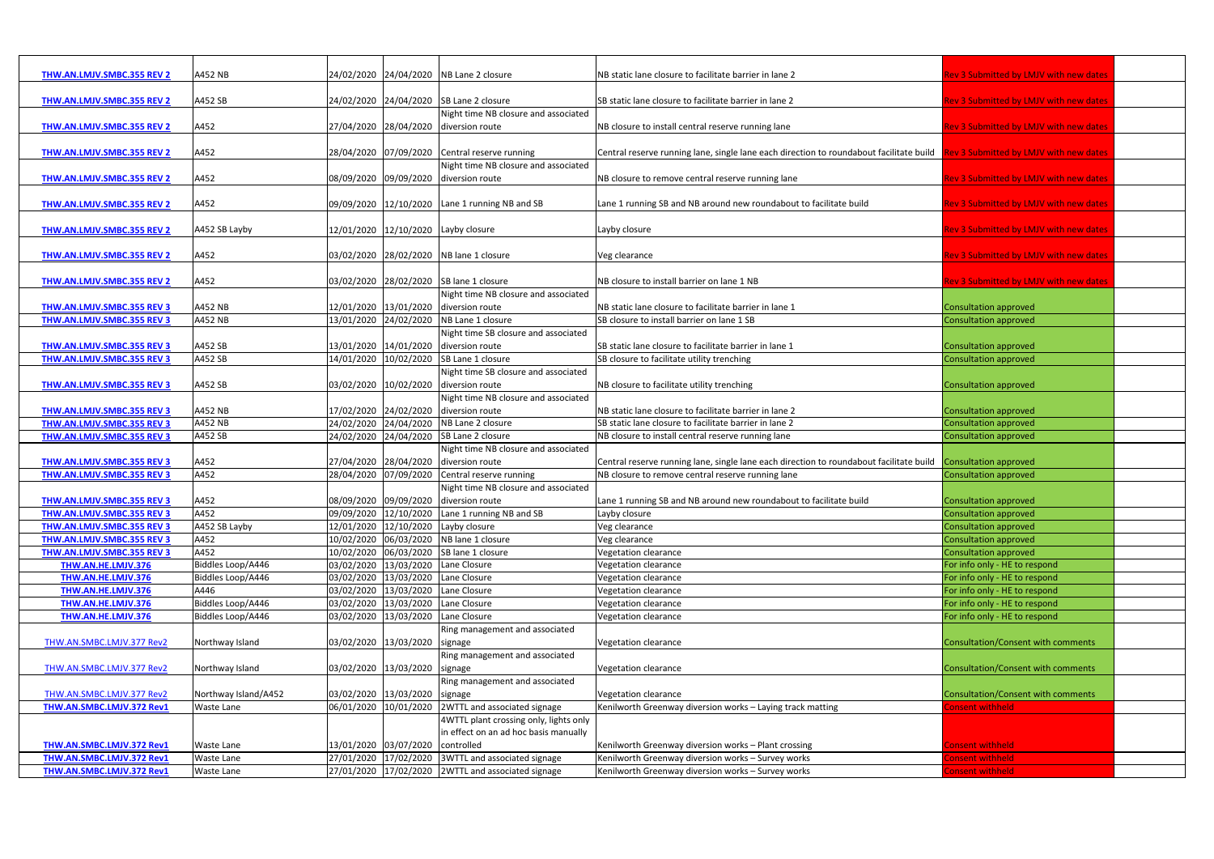| <b>THW.AN.LMJV.SMBC.355 REV 2</b> | A452 NB              |                                       | 24/02/2020 24/04/2020 NB Lane 2 closure            | NB static lane closure to facilitate barrier in lane 2                                                                         | <b>Rev 3 Submitted by LMJV with new dates</b> |  |
|-----------------------------------|----------------------|---------------------------------------|----------------------------------------------------|--------------------------------------------------------------------------------------------------------------------------------|-----------------------------------------------|--|
|                                   |                      |                                       |                                                    |                                                                                                                                |                                               |  |
| THW.AN.LMJV.SMBC.355 REV 2        | A452 SB              |                                       | 24/02/2020 24/04/2020 SB Lane 2 closure            | SB static lane closure to facilitate barrier in lane 2                                                                         | <b>Rev 3 Submitted by LMJV with new dates</b> |  |
|                                   |                      |                                       | Night time NB closure and associated               |                                                                                                                                |                                               |  |
| <b>THW.AN.LMJV.SMBC.355 REV 2</b> | A452                 | 27/04/2020 28/04/2020 diversion route |                                                    | NB closure to install central reserve running lane                                                                             | Rev 3 Submitted by LMJV with new dates        |  |
|                                   |                      |                                       |                                                    |                                                                                                                                |                                               |  |
| THW.AN.LMJV.SMBC.355 REV 2        | A452                 |                                       | 28/04/2020 07/09/2020 Central reserve running      | Central reserve running lane, single lane each direction to roundabout facilitate build Rev 3 Submitted by LMJV with new dates |                                               |  |
|                                   |                      |                                       | Night time NB closure and associated               |                                                                                                                                |                                               |  |
| <b>THW.AN.LMJV.SMBC.355 REV 2</b> | A452                 |                                       | 08/09/2020 09/09/2020 diversion route              | NB closure to remove central reserve running lane                                                                              | Rev 3 Submitted by LMJV with new dates        |  |
|                                   |                      |                                       |                                                    |                                                                                                                                |                                               |  |
| THW.AN.LMJV.SMBC.355 REV 2        | A452                 |                                       | 09/09/2020 12/10/2020 Lane 1 running NB and SB     | Lane 1 running SB and NB around new roundabout to facilitate build                                                             | Rev 3 Submitted by LMJV with new dates        |  |
|                                   |                      |                                       |                                                    |                                                                                                                                |                                               |  |
| THW.AN.LMJV.SMBC.355 REV 2        | A452 SB Layby        | 12/01/2020 12/10/2020 Layby closure   |                                                    | Layby closure                                                                                                                  | Rev 3 Submitted by LMJV with new dates        |  |
|                                   |                      |                                       |                                                    |                                                                                                                                |                                               |  |
| THW.AN.LMJV.SMBC.355 REV 2        | A452                 |                                       | 03/02/2020 28/02/2020 NB lane 1 closure            | Veg clearance                                                                                                                  | <b>Rev 3 Submitted by LMJV with new dates</b> |  |
|                                   |                      |                                       |                                                    |                                                                                                                                |                                               |  |
| THW.AN.LMJV.SMBC.355 REV 2        | A452                 |                                       | 03/02/2020 28/02/2020 SB lane 1 closure            | NB closure to install barrier on lane 1 NB                                                                                     | lev 3 Submitted by LMJV with new dates        |  |
|                                   |                      |                                       | Night time NB closure and associated               |                                                                                                                                |                                               |  |
| THW.AN.LMJV.SMBC.355 REV 3        | A452 NB              |                                       | 12/01/2020 13/01/2020 diversion route              | NB static lane closure to facilitate barrier in lane 1                                                                         | Consultation approved                         |  |
| THW.AN.LMJV.SMBC.355 REV 3        | A452 NB              |                                       | 13/01/2020 24/02/2020 NB Lane 1 closure            | SB closure to install barrier on lane 1 SB                                                                                     | Consultation approved                         |  |
|                                   |                      |                                       | Night time SB closure and associated               |                                                                                                                                |                                               |  |
| THW.AN.LMJV.SMBC.355 REV 3        | A452 SB              |                                       | 13/01/2020 14/01/2020 diversion route              | SB static lane closure to facilitate barrier in lane 1                                                                         | Consultation approved                         |  |
| THW.AN.LMJV.SMBC.355 REV 3        | A452 SB              | 14/01/2020                            | 10/02/2020 SB Lane 1 closure                       | SB closure to facilitate utility trenching                                                                                     | Consultation approved                         |  |
|                                   |                      |                                       | Night time SB closure and associated               |                                                                                                                                |                                               |  |
| THW.AN.LMJV.SMBC.355 REV 3        | A452 SB              | 03/02/2020 10/02/2020 diversion route |                                                    | NB closure to facilitate utility trenching                                                                                     | Consultation approved                         |  |
|                                   |                      |                                       | Night time NB closure and associated               |                                                                                                                                |                                               |  |
| THW.AN.LMJV.SMBC.355 REV 3        | A452 NB              | 17/02/2020 24/02/2020 diversion route |                                                    | NB static lane closure to facilitate barrier in lane 2                                                                         | Consultation approved                         |  |
| THW.AN.LMJV.SMBC.355 REV 3        | A452 NB              | 24/02/2020                            | 24/04/2020 NB Lane 2 closure                       | SB static lane closure to facilitate barrier in lane 2                                                                         | Consultation approved                         |  |
| <b>THW.AN.LMJV.SMBC.355 REV 3</b> | A452 SB              |                                       | 24/02/2020 24/04/2020 SB Lane 2 closure            | NB closure to install central reserve running lane                                                                             | Consultation approved                         |  |
|                                   |                      |                                       | Night time NB closure and associated               |                                                                                                                                |                                               |  |
| THW.AN.LMJV.SMBC.355 REV 3        | A452                 |                                       | 27/04/2020 28/04/2020 diversion route              | Central reserve running lane, single lane each direction to roundabout facilitate build Consultation approved                  |                                               |  |
| THW.AN.LMJV.SMBC.355 REV 3        | A452                 | 28/04/2020                            | 07/09/2020 Central reserve running                 | NB closure to remove central reserve running lane                                                                              | Consultation approved                         |  |
|                                   |                      |                                       | Night time NB closure and associated               |                                                                                                                                |                                               |  |
| THW.AN.LMJV.SMBC.355 REV 3        | A452                 | 08/09/2020 09/09/2020 diversion route |                                                    | Lane 1 running SB and NB around new roundabout to facilitate build                                                             | <b>Consultation approved</b>                  |  |
| THW.AN.LMJV.SMBC.355 REV 3        | A452                 |                                       | 09/09/2020 12/10/2020 Lane 1 running NB and SB     | Layby closure                                                                                                                  | Consultation approved                         |  |
| <b>THW.AN.LMJV.SMBC.355 REV 3</b> | A452 SB Layby        | 12/01/2020 12/10/2020 Layby closure   |                                                    | Veg clearance                                                                                                                  | Consultation approved                         |  |
| THW.AN.LMJV.SMBC.355 REV 3        | A452                 | 10/02/2020                            | 06/03/2020 NB lane 1 closure                       | Veg clearance                                                                                                                  | <b>Consultation approved</b>                  |  |
| THW.AN.LMJV.SMBC.355 REV 3        | A452                 | 10/02/2020                            | 06/03/2020 SB lane 1 closure                       | Vegetation clearance                                                                                                           | Consultation approved                         |  |
| THW.AN.HE.LMJV.376                | Biddles Loop/A446    | 03/02/2020                            | 13/03/2020 Lane Closure                            | Vegetation clearance                                                                                                           | For info only - HE to respond                 |  |
| THW.AN.HE.LMJV.376                | Biddles Loop/A446    | 03/02/2020                            | 13/03/2020 Lane Closure                            | Vegetation clearance                                                                                                           | For info only - HE to respond                 |  |
| THW.AN.HE.LMJV.376                | A446                 | 03/02/2020 13/03/2020 Lane Closure    |                                                    | Vegetation clearance                                                                                                           | For info only - HE to respond                 |  |
| THW.AN.HE.LMJV.376                | Biddles Loop/A446    | 03/02/2020 13/03/2020 Lane Closure    |                                                    | Vegetation clearance                                                                                                           | For info only - HE to respond                 |  |
| THW.AN.HE.LMJV.376                | Biddles Loop/A446    | 03/02/2020 13/03/2020 Lane Closure    |                                                    | Vegetation clearance                                                                                                           | For info only - HE to respond                 |  |
|                                   |                      |                                       | Ring management and associated                     |                                                                                                                                |                                               |  |
| THW.AN.SMBC.LMJV.377 Rev2         | Northway Island      | 03/02/2020 13/03/2020 signage         |                                                    | Vegetation clearance                                                                                                           | Consultation/Consent with comments            |  |
|                                   |                      |                                       | Ring management and associated                     |                                                                                                                                |                                               |  |
| THW.AN.SMBC.LMJV.377 Rev2         | Northway Island      | 03/02/2020 13/03/2020 signage         |                                                    | Vegetation clearance                                                                                                           | Consultation/Consent with comments            |  |
|                                   |                      |                                       | Ring management and associated                     |                                                                                                                                |                                               |  |
| THW.AN.SMBC.LMJV.377 Rev2         | Northway Island/A452 | 03/02/2020 13/03/2020 signage         |                                                    | Vegetation clearance                                                                                                           | Consultation/Consent with comments            |  |
| THW.AN.SMBC.LMJV.372 Rev1         | Waste Lane           | 06/01/2020                            | 10/01/2020 2WTTL and associated signage            | Kenilworth Greenway diversion works - Laying track matting                                                                     | onsent withheld                               |  |
|                                   |                      |                                       | 4WTTL plant crossing only, lights only             |                                                                                                                                |                                               |  |
|                                   |                      |                                       | in effect on an ad hoc basis manually              |                                                                                                                                |                                               |  |
| THW.AN.SMBC.LMJV.372 Rev1         | <b>Waste Lane</b>    | 13/01/2020 03/07/2020 controlled      |                                                    | Kenilworth Greenway diversion works - Plant crossing                                                                           | onsent withheld                               |  |
| THW.AN.SMBC.LMJV.372 Rev1         | Waste Lane           |                                       | 27/01/2020 17/02/2020 3WTTL and associated signage | Kenilworth Greenway diversion works - Survey works                                                                             | onsent withheld                               |  |
| THW.AN.SMBC.LMJV.372 Rev1         | Waste Lane           |                                       | 27/01/2020 17/02/2020 2WTTL and associated signage | Kenilworth Greenway diversion works - Survey works                                                                             | consent withheld                              |  |
|                                   |                      |                                       |                                                    |                                                                                                                                |                                               |  |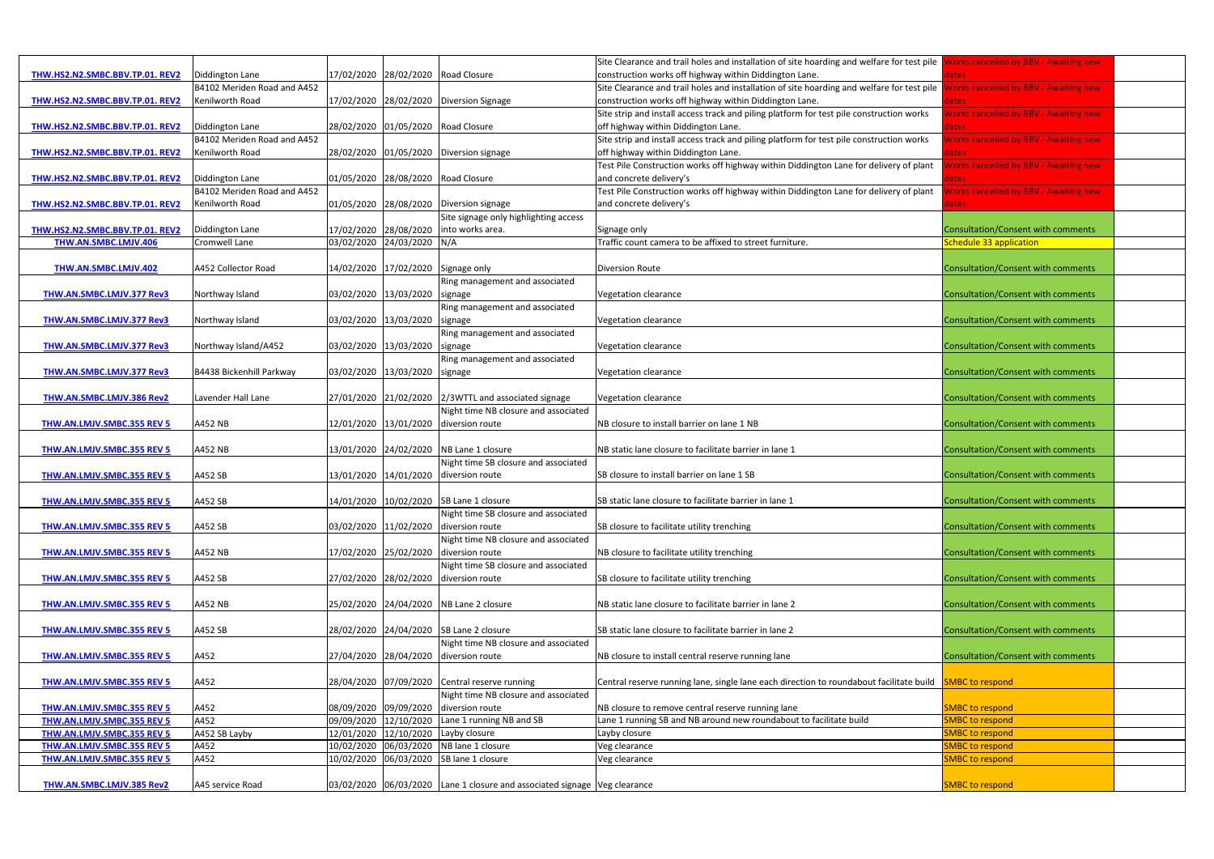|                                   |                             |                       |                                    |                                                                           | Site Clearance and trail holes and installation of site hoarding and welfare for test pile | <b>Vorks cancelled by BBV - Awaiting new</b>          |  |
|-----------------------------------|-----------------------------|-----------------------|------------------------------------|---------------------------------------------------------------------------|--------------------------------------------------------------------------------------------|-------------------------------------------------------|--|
| THW.HS2.N2.SMBC.BBV.TP.01. REV2   | Diddington Lane             |                       |                                    | 17/02/2020 28/02/2020 Road Closure                                        | construction works off highway within Diddington Lane.                                     | ates                                                  |  |
|                                   | B4102 Meriden Road and A452 |                       |                                    |                                                                           | Site Clearance and trail holes and installation of site hoarding and welfare for test pile | <b>Works cancelled by BBV - Awaiting new</b>          |  |
| THW.HS2.N2.SMBC.BBV.TP.01. REV2   | Kenilworth Road             |                       |                                    | 17/02/2020 28/02/2020 Diversion Signage                                   | construction works off highway within Diddington Lane.                                     |                                                       |  |
|                                   |                             |                       |                                    |                                                                           | Site strip and install access track and piling platform for test pile construction works   | lates<br><b>Norks cancelled by BBV - Awaiting new</b> |  |
|                                   | Diddington Lane             |                       |                                    | 28/02/2020 01/05/2020 Road Closure                                        | off highway within Diddington Lane.                                                        |                                                       |  |
| THW.HS2.N2.SMBC.BBV.TP.01. REV2   | B4102 Meriden Road and A452 |                       |                                    |                                                                           | Site strip and install access track and piling platform for test pile construction works   | lates<br><b>Norks cancelled by BBV - Awaiting new</b> |  |
|                                   |                             |                       |                                    |                                                                           |                                                                                            |                                                       |  |
| THW.HS2.N2.SMBC.BBV.TP.01. REV2   | Kenilworth Road             |                       |                                    | 28/02/2020 01/05/2020 Diversion signage                                   | off highway within Diddington Lane.                                                        | dates                                                 |  |
|                                   |                             |                       |                                    |                                                                           | Test Pile Construction works off highway within Diddington Lane for delivery of plant      | <b>Vorks cancelled by BBV - Awaiting new</b>          |  |
| THW.HS2.N2.SMBC.BBV.TP.01. REV2   | Diddington Lane             |                       | 01/05/2020 28/08/2020              | Road Closure                                                              | and concrete delivery's                                                                    | lates                                                 |  |
|                                   | B4102 Meriden Road and A452 |                       |                                    |                                                                           | Test Pile Construction works off highway within Diddington Lane for delivery of plant      | <b>Norks cancelled by BBV - Awaiting new</b>          |  |
| THW.HS2.N2.SMBC.BBV.TP.01. REV2   | <b>Kenilworth Road</b>      |                       |                                    | 01/05/2020 28/08/2020 Diversion signage                                   | and concrete delivery's                                                                    | ates                                                  |  |
|                                   |                             |                       |                                    | Site signage only highlighting access                                     |                                                                                            |                                                       |  |
| THW.HS2.N2.SMBC.BBV.TP.01. REV2   | Diddington Lane             |                       | 17/02/2020 28/08/2020              | into works area.                                                          | Signage only                                                                               | Consultation/Consent with comments                    |  |
| <b>THW.AN.SMBC.LMJV.406</b>       | <b>Cromwell Lane</b>        |                       | 03/02/2020 24/03/2020 N/A          |                                                                           | Traffic count camera to be affixed to street furniture.                                    | Schedule 33 application                               |  |
|                                   |                             |                       |                                    |                                                                           |                                                                                            |                                                       |  |
| THW.AN.SMBC.LMJV.402              | A452 Collector Road         |                       | 14/02/2020 17/02/2020 Signage only |                                                                           | <b>Diversion Route</b>                                                                     | Consultation/Consent with comments                    |  |
|                                   |                             |                       |                                    | Ring management and associated                                            |                                                                                            |                                                       |  |
| <b>THW.AN.SMBC.LMJV.377 Rev3</b>  | Northway Island             | 03/02/2020 13/03/2020 |                                    | signage                                                                   | Vegetation clearance                                                                       | <b>Consultation/Consent with comments</b>             |  |
|                                   |                             |                       |                                    | Ring management and associated                                            |                                                                                            |                                                       |  |
| THW.AN.SMBC.LMJV.377 Rev3         | Northway Island             |                       | 03/02/2020 13/03/2020 signage      |                                                                           | Vegetation clearance                                                                       | <b>Consultation/Consent with comments</b>             |  |
|                                   |                             |                       |                                    | Ring management and associated                                            |                                                                                            |                                                       |  |
| THW.AN.SMBC.LMJV.377 Rev3         | Northway Island/A452        |                       | 03/02/2020 13/03/2020              | signage                                                                   | Vegetation clearance                                                                       | <b>Consultation/Consent with comments</b>             |  |
|                                   |                             |                       |                                    | Ring management and associated                                            |                                                                                            |                                                       |  |
| THW.AN.SMBC.LMJV.377 Rev3         | B4438 Bickenhill Parkway    |                       | 03/02/2020 13/03/2020 signage      |                                                                           | Vegetation clearance                                                                       | Consultation/Consent with comments                    |  |
|                                   |                             |                       |                                    |                                                                           |                                                                                            |                                                       |  |
| THW.AN.SMBC.LMJV.386 Rev2         | Lavender Hall Lane          | 27/01/2020 21/02/2020 |                                    | 2/3WTTL and associated signage                                            | Vegetation clearance                                                                       | Consultation/Consent with comments                    |  |
|                                   |                             |                       |                                    | Night time NB closure and associated                                      |                                                                                            |                                                       |  |
| THW.AN.LMJV.SMBC.355 REV 5        | A452 NB                     |                       | 12/01/2020 13/01/2020              | diversion route                                                           | NB closure to install barrier on lane 1 NB                                                 | Consultation/Consent with comments                    |  |
|                                   |                             |                       |                                    |                                                                           |                                                                                            |                                                       |  |
| THW.AN.LMJV.SMBC.355 REV 5        | A452 NB                     |                       |                                    | 13/01/2020 24/02/2020 NB Lane 1 closure                                   | NB static lane closure to facilitate barrier in lane 1                                     | Consultation/Consent with comments                    |  |
|                                   |                             |                       |                                    | Night time SB closure and associated                                      |                                                                                            |                                                       |  |
| <b>THW.AN.LMJV.SMBC.355 REV 5</b> | A452 SB                     |                       |                                    | 13/01/2020 14/01/2020 diversion route                                     | SB closure to install barrier on lane 1 SB                                                 | Consultation/Consent with comments                    |  |
|                                   |                             |                       |                                    |                                                                           |                                                                                            |                                                       |  |
| THW.AN.LMJV.SMBC.355 REV 5        | A452 SB                     |                       |                                    |                                                                           | SB static lane closure to facilitate barrier in lane 1                                     | Consultation/Consent with comments                    |  |
|                                   |                             |                       |                                    | 14/01/2020 10/02/2020 SB Lane 1 closure                                   |                                                                                            |                                                       |  |
|                                   |                             |                       |                                    | Night time SB closure and associated                                      |                                                                                            |                                                       |  |
| <b>THW.AN.LMJV.SMBC.355 REV 5</b> | A452 SB                     | 03/02/2020 11/02/2020 |                                    | diversion route                                                           | SB closure to facilitate utility trenching                                                 | Consultation/Consent with comments                    |  |
|                                   |                             |                       |                                    | Night time NB closure and associated                                      |                                                                                            |                                                       |  |
| THW.AN.LMJV.SMBC.355 REV 5        | A452 NB                     |                       |                                    | 17/02/2020 25/02/2020 diversion route                                     | NB closure to facilitate utility trenching                                                 | Consultation/Consent with comments                    |  |
|                                   |                             |                       |                                    | Night time SB closure and associated                                      |                                                                                            |                                                       |  |
| <b>THW.AN.LMJV.SMBC.355 REV 5</b> | A452 SB                     |                       |                                    | 27/02/2020 28/02/2020 diversion route                                     | SB closure to facilitate utility trenching                                                 | Consultation/Consent with comments                    |  |
|                                   |                             |                       |                                    |                                                                           |                                                                                            |                                                       |  |
| THW.AN.LMJV.SMBC.355 REV 5        | A452 NB                     |                       |                                    | 25/02/2020 24/04/2020 NB Lane 2 closure                                   | NB static lane closure to facilitate barrier in lane 2                                     | Consultation/Consent with comments                    |  |
|                                   |                             |                       |                                    |                                                                           |                                                                                            |                                                       |  |
| THW.AN.LMJV.SMBC.355 REV 5        | A452 SB                     |                       |                                    | 28/02/2020 24/04/2020 SB Lane 2 closure                                   | SB static lane closure to facilitate barrier in lane 2                                     | Consultation/Consent with comments                    |  |
|                                   |                             |                       |                                    | Night time NB closure and associated                                      |                                                                                            |                                                       |  |
| THW.AN.LMJV.SMBC.355 REV 5        | A452                        |                       | 27/04/2020 28/04/2020              | diversion route                                                           | NB closure to install central reserve running lane                                         | Consultation/Consent with comments                    |  |
|                                   |                             |                       |                                    |                                                                           |                                                                                            |                                                       |  |
| THW.AN.LMJV.SMBC.355 REV 5        | A452                        |                       |                                    | 28/04/2020 07/09/2020 Central reserve running                             | Central reserve running lane, single lane each direction to roundabout facilitate build    | <b>SMBC to respond</b>                                |  |
|                                   |                             |                       |                                    | Night time NB closure and associated                                      |                                                                                            |                                                       |  |
| THW.AN.LMJV.SMBC.355 REV 5        | A452                        |                       |                                    | 08/09/2020 09/09/2020 diversion route                                     | NB closure to remove central reserve running lane                                          | <b>SMBC to respond</b>                                |  |
| THW.AN.LMJV.SMBC.355 REV 5        | A452                        |                       | 09/09/2020 12/10/2020              | Lane 1 running NB and SB                                                  | Lane 1 running SB and NB around new roundabout to facilitate build                         | <b>SMBC to respond</b>                                |  |
| THW.AN.LMJV.SMBC.355 REV 5        | A452 SB Layby               | 12/01/2020            |                                    | 12/10/2020 Layby closure                                                  | Layby closure                                                                              | <b>SMBC to respond</b>                                |  |
| THW.AN.LMJV.SMBC.355 REV 5        | A452                        |                       |                                    | 10/02/2020 06/03/2020 NB lane 1 closure                                   | Veg clearance                                                                              | <b>SMBC to respond</b>                                |  |
| THW.AN.LMJV.SMBC.355 REV 5        | A452                        |                       |                                    | 10/02/2020 06/03/2020 SB lane 1 closure                                   | Veg clearance                                                                              | <b>SMBC to respond</b>                                |  |
|                                   |                             |                       |                                    |                                                                           |                                                                                            |                                                       |  |
| THW.AN.SMBC.LMJV.385 Rev2         | A45 service Road            |                       |                                    | 03/02/2020 06/03/2020 Lane 1 closure and associated signage Veg clearance |                                                                                            | <b>SMBC to respond</b>                                |  |
|                                   |                             |                       |                                    |                                                                           |                                                                                            |                                                       |  |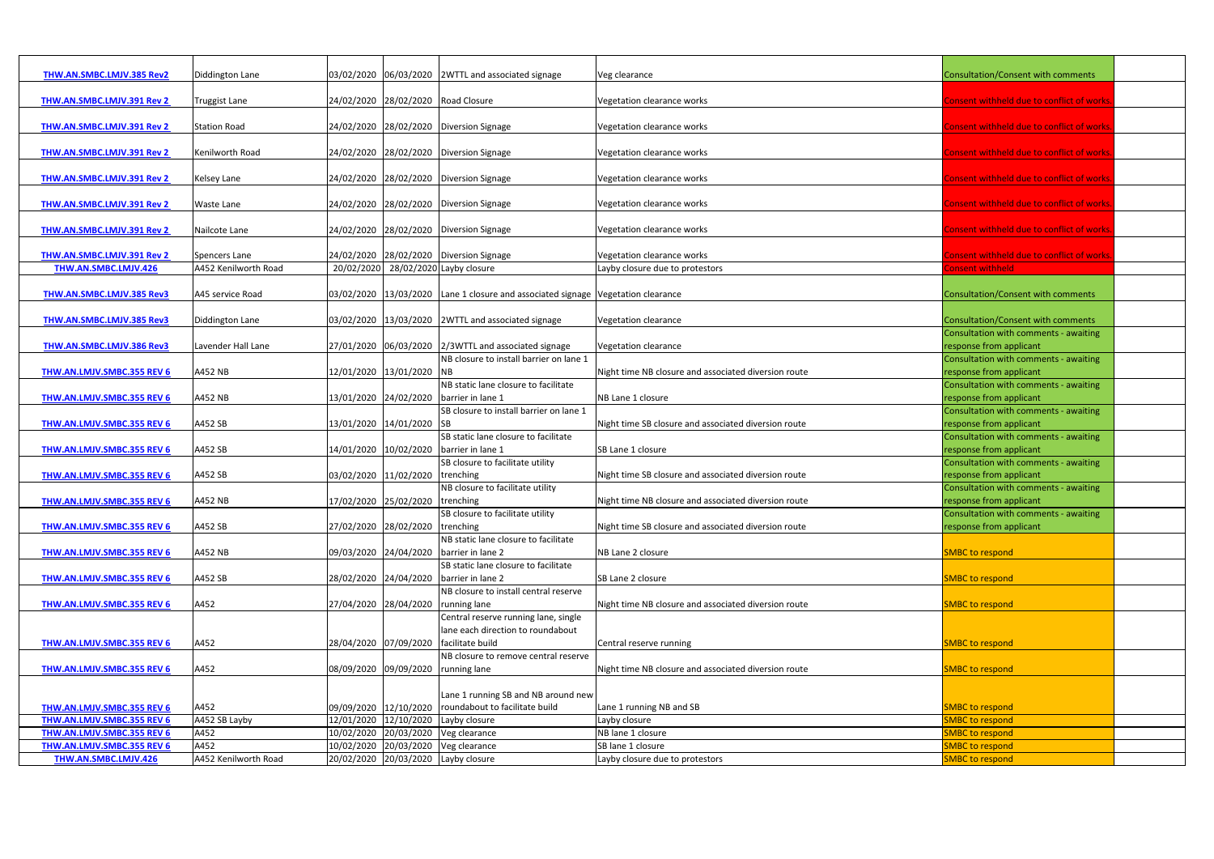| THW.AN.SMBC.LMJV.385 Rev2         | Diddington Lane      |                                    | 03/02/2020 06/03/2020 2WTTL and associated signage                               | Veg clearance                                        | <b>Consultation/Consent with comments</b> |  |
|-----------------------------------|----------------------|------------------------------------|----------------------------------------------------------------------------------|------------------------------------------------------|-------------------------------------------|--|
|                                   |                      |                                    |                                                                                  |                                                      |                                           |  |
|                                   |                      |                                    | 24/02/2020 28/02/2020 Road Closure                                               |                                                      |                                           |  |
| THW.AN.SMBC.LMJV.391 Rev 2        | <b>Truggist Lane</b> |                                    |                                                                                  | Vegetation clearance works                           | onsent withheld due to conflict of works  |  |
|                                   |                      |                                    |                                                                                  |                                                      |                                           |  |
| THW.AN.SMBC.LMJV.391 Rev 2        | <b>Station Road</b>  |                                    | 24/02/2020 28/02/2020 Diversion Signage                                          | Vegetation clearance works                           | onsent withheld due to conflict of works  |  |
|                                   |                      |                                    |                                                                                  |                                                      |                                           |  |
| THW.AN.SMBC.LMJV.391 Rev 2        | Kenilworth Road      |                                    | 24/02/2020 28/02/2020 Diversion Signage                                          | Vegetation clearance works                           | onsent withheld due to conflict of works  |  |
|                                   |                      |                                    |                                                                                  |                                                      |                                           |  |
| THW.AN.SMBC.LMJV.391 Rev 2        | Kelsey Lane          |                                    | 24/02/2020 28/02/2020 Diversion Signage                                          | Vegetation clearance works                           | onsent withheld due to conflict of works  |  |
|                                   |                      |                                    |                                                                                  |                                                      |                                           |  |
| THW.AN.SMBC.LMJV.391 Rev 2        | <b>Waste Lane</b>    |                                    | 24/02/2020 28/02/2020 Diversion Signage                                          | Vegetation clearance works                           | onsent withheld due to conflict of works  |  |
|                                   |                      |                                    |                                                                                  |                                                      |                                           |  |
| THW.AN.SMBC.LMJV.391 Rev 2        | Nailcote Lane        |                                    | 24/02/2020 28/02/2020 Diversion Signage                                          | Vegetation clearance works                           | onsent withheld due to conflict of works  |  |
|                                   |                      |                                    |                                                                                  |                                                      |                                           |  |
| THW.AN.SMBC.LMJV.391 Rev 2        | Spencers Lane        |                                    | 24/02/2020 28/02/2020 Diversion Signage                                          | Vegetation clearance works                           | onsent withheld due to conflict of works  |  |
| THW.AN.SMBC.LMJV.426              | A452 Kenilworth Road |                                    | 20/02/2020 28/02/2020 Layby closure                                              | Layby closure due to protestors                      | onsent withheld                           |  |
|                                   |                      |                                    |                                                                                  |                                                      |                                           |  |
| THW.AN.SMBC.LMJV.385 Rev3         | A45 service Road     |                                    | 03/02/2020 13/03/2020 Lane 1 closure and associated signage Vegetation clearance |                                                      | <b>Consultation/Consent with comments</b> |  |
|                                   |                      |                                    |                                                                                  |                                                      |                                           |  |
| THW.AN.SMBC.LMJV.385 Rev3         | Diddington Lane      |                                    | 03/02/2020 13/03/2020 2WTTL and associated signage                               | Vegetation clearance                                 | Consultation/Consent with comments        |  |
|                                   |                      |                                    |                                                                                  |                                                      |                                           |  |
|                                   |                      |                                    |                                                                                  |                                                      | Consultation with comments - awaiting     |  |
| THW.AN.SMBC.LMJV.386 Rev3         | Lavender Hall Lane   |                                    | 27/01/2020 06/03/2020 2/3WTTL and associated signage                             | Vegetation clearance                                 | response from applicant                   |  |
|                                   |                      |                                    | NB closure to install barrier on lane 1                                          |                                                      | Consultation with comments - awaiting     |  |
| THW.AN.LMJV.SMBC.355 REV 6        | A452 NB              | 12/01/2020 13/01/2020 NB           |                                                                                  | Night time NB closure and associated diversion route | response from applicant                   |  |
|                                   |                      |                                    | NB static lane closure to facilitate                                             |                                                      | Consultation with comments - awaiting     |  |
| THW.AN.LMJV.SMBC.355 REV 6        | A452 NB              |                                    | 13/01/2020 24/02/2020 barrier in lane 1                                          | NB Lane 1 closure                                    | response from applicant                   |  |
|                                   |                      |                                    | SB closure to install barrier on lane 1                                          |                                                      | Consultation with comments - awaiting     |  |
| THW.AN.LMJV.SMBC.355 REV 6        | A452 SB              | 13/01/2020 14/01/2020 SB           |                                                                                  | Night time SB closure and associated diversion route | response from applicant                   |  |
|                                   |                      |                                    | SB static lane closure to facilitate                                             |                                                      | Consultation with comments - awaiting     |  |
| THW.AN.LMJV.SMBC.355 REV 6        | A452 SB              |                                    | 14/01/2020 10/02/2020 barrier in lane 1                                          | SB Lane 1 closure                                    | response from applicant                   |  |
|                                   |                      |                                    | SB closure to facilitate utility                                                 |                                                      | Consultation with comments - awaiting     |  |
| <b>THW.AN.LMJV.SMBC.355 REV 6</b> | A452 SB              | 03/02/2020 11/02/2020 trenching    |                                                                                  | Night time SB closure and associated diversion route | response from applicant                   |  |
|                                   |                      |                                    | NB closure to facilitate utility                                                 |                                                      | Consultation with comments - awaiting     |  |
| THW.AN.LMJV.SMBC.355 REV 6        | A452 NB              | 17/02/2020 25/02/2020 trenching    |                                                                                  | Night time NB closure and associated diversion route | response from applicant                   |  |
|                                   |                      |                                    | SB closure to facilitate utility                                                 |                                                      | Consultation with comments - awaiting     |  |
| THW.AN.LMJV.SMBC.355 REV 6        | A452 SB              | 27/02/2020 28/02/2020 trenching    |                                                                                  | Night time SB closure and associated diversion route | response from applicant                   |  |
|                                   |                      |                                    | NB static lane closure to facilitate                                             |                                                      |                                           |  |
| THW.AN.LMJV.SMBC.355 REV 6        | A452 NB              |                                    | 09/03/2020 24/04/2020 barrier in lane 2                                          | NB Lane 2 closure                                    | <b>SMBC to respond</b>                    |  |
|                                   |                      |                                    |                                                                                  |                                                      |                                           |  |
|                                   |                      |                                    | SB static lane closure to facilitate                                             |                                                      |                                           |  |
| THW.AN.LMJV.SMBC.355 REV 6        | A452 SB              |                                    | 28/02/2020 24/04/2020 barrier in lane 2                                          | SB Lane 2 closure                                    | <b>SMBC to respond</b>                    |  |
|                                   |                      |                                    | NB closure to install central reserve                                            |                                                      |                                           |  |
| THW.AN.LMJV.SMBC.355 REV 6        | A452                 | 27/04/2020 28/04/2020 running lane |                                                                                  | Night time NB closure and associated diversion route | <b>SMBC</b> to respond                    |  |
|                                   |                      |                                    | Central reserve running lane, single                                             |                                                      |                                           |  |
|                                   |                      |                                    | lane each direction to roundabout                                                |                                                      |                                           |  |
| THW.AN.LMJV.SMBC.355 REV 6        | A452                 |                                    | 28/04/2020 07/09/2020 facilitate build                                           | Central reserve running                              | <b>SMBC to respond</b>                    |  |
|                                   |                      |                                    | NB closure to remove central reserve                                             |                                                      |                                           |  |
| THW.AN.LMJV.SMBC.355 REV 6        | A452                 | 08/09/2020 09/09/2020 running lane |                                                                                  | Night time NB closure and associated diversion route | <b>SMBC</b> to respond                    |  |
|                                   |                      |                                    |                                                                                  |                                                      |                                           |  |
|                                   |                      |                                    | Lane 1 running SB and NB around new                                              |                                                      |                                           |  |
| THW.AN.LMJV.SMBC.355 REV 6        | A452                 |                                    | 09/09/2020 12/10/2020 roundabout to facilitate build                             | Lane 1 running NB and SB                             | <b>SMBC to respond</b>                    |  |
| THW.AN.LMJV.SMBC.355 REV 6        | A452 SB Layby        |                                    | 12/01/2020 12/10/2020 Layby closure                                              | Layby closure                                        | <b>SMBC</b> to respond                    |  |
| THW.AN.LMJV.SMBC.355 REV 6        | A452                 | 10/02/2020                         | 20/03/2020 Veg clearance                                                         | NB lane 1 closure                                    | <b>SMBC</b> to respond                    |  |
| THW.AN.LMJV.SMBC.355 REV 6        | A452                 |                                    | 10/02/2020 20/03/2020 Veg clearance                                              | SB lane 1 closure                                    | <b>SMBC</b> to respond                    |  |
| THW.AN.SMBC.LMJV.426              | A452 Kenilworth Road |                                    | 20/02/2020 20/03/2020 Layby closure                                              | Layby closure due to protestors                      | <b>SMBC</b> to respond                    |  |
|                                   |                      |                                    |                                                                                  |                                                      |                                           |  |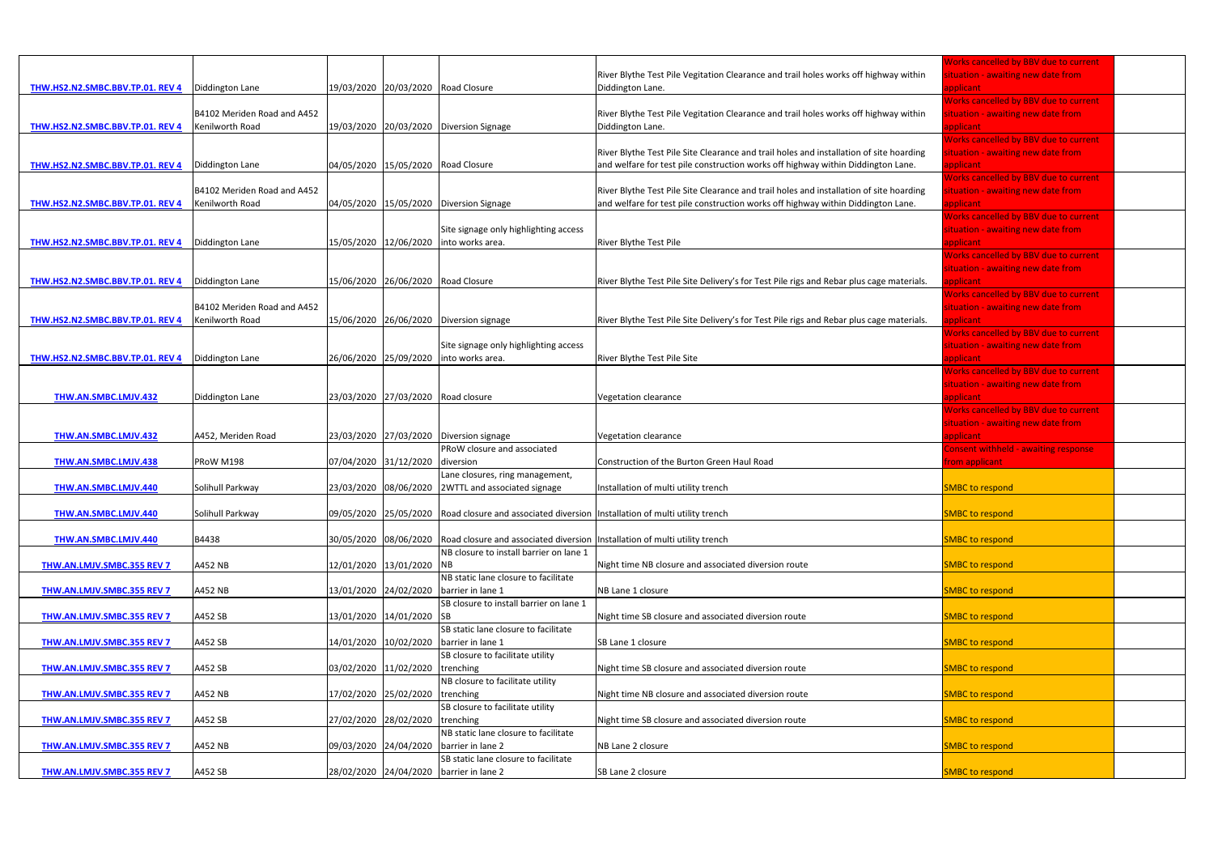|                                                    |                             |                       |                                    |                                                                                                  |                                                                                          | <b>Norks cancelled by BBV due to current</b> |  |
|----------------------------------------------------|-----------------------------|-----------------------|------------------------------------|--------------------------------------------------------------------------------------------------|------------------------------------------------------------------------------------------|----------------------------------------------|--|
|                                                    |                             |                       |                                    |                                                                                                  | River Blythe Test Pile Vegitation Clearance and trail holes works off highway within     | ituation - awaiting new date from            |  |
| THW.HS2.N2.SMBC.BBV.TP.01. REV 4   Diddington Lane |                             |                       | 19/03/2020 20/03/2020 Road Closure |                                                                                                  | Diddington Lane.                                                                         | applicant                                    |  |
|                                                    |                             |                       |                                    |                                                                                                  |                                                                                          | <b>Works cancelled by BBV due to current</b> |  |
|                                                    | B4102 Meriden Road and A452 |                       |                                    |                                                                                                  | River Blythe Test Pile Vegitation Clearance and trail holes works off highway within     | ituation - awaiting new date from            |  |
| THW.HS2.N2.SMBC.BBV.TP.01. REV 4                   | Kenilworth Road             |                       |                                    | 19/03/2020 20/03/2020 Diversion Signage                                                          | Diddington Lane.                                                                         | applicant                                    |  |
|                                                    |                             |                       |                                    |                                                                                                  |                                                                                          | <b>Norks cancelled by BBV due to current</b> |  |
|                                                    |                             |                       |                                    |                                                                                                  | River Blythe Test Pile Site Clearance and trail holes and installation of site hoarding  | ituation - awaiting new date from            |  |
| THW.HS2.N2.SMBC.BBV.TP.01. REV 4                   | Diddington Lane             |                       | 04/05/2020 15/05/2020 Road Closure |                                                                                                  | and welfare for test pile construction works off highway within Diddington Lane.         | applicant                                    |  |
|                                                    |                             |                       |                                    |                                                                                                  |                                                                                          | Works cancelled by BBV due to current        |  |
|                                                    | B4102 Meriden Road and A452 |                       |                                    |                                                                                                  | River Blythe Test Pile Site Clearance and trail holes and installation of site hoarding  | ituation - awaiting new date from            |  |
| THW.HS2.N2.SMBC.BBV.TP.01. REV 4                   | Kenilworth Road             |                       |                                    | 04/05/2020 15/05/2020 Diversion Signage                                                          | and welfare for test pile construction works off highway within Diddington Lane.         | applicant                                    |  |
|                                                    |                             |                       |                                    |                                                                                                  |                                                                                          | <b>Works cancelled by BBV due to current</b> |  |
|                                                    |                             |                       |                                    | Site signage only highlighting access                                                            |                                                                                          | situation - awaiting new date from           |  |
| THW.HS2.N2.SMBC.BBV.TP.01. REV 4                   | Diddington Lane             |                       |                                    | 15/05/2020 12/06/2020 into works area.                                                           | River Blythe Test Pile                                                                   | applicant                                    |  |
|                                                    |                             |                       |                                    |                                                                                                  |                                                                                          | <b>Norks cancelled by BBV due to current</b> |  |
|                                                    |                             |                       |                                    |                                                                                                  |                                                                                          | ituation - awaiting new date from            |  |
| THW.HS2.N2.SMBC.BBV.TP.01. REV 4   Diddington Lane |                             |                       |                                    | 15/06/2020 26/06/2020 Road Closure                                                               | River Blythe Test Pile Site Delivery's for Test Pile rigs and Rebar plus cage materials. | pplicant                                     |  |
|                                                    |                             |                       |                                    |                                                                                                  |                                                                                          | <b>Works cancelled by BBV due to current</b> |  |
|                                                    | B4102 Meriden Road and A452 |                       |                                    |                                                                                                  |                                                                                          | situation - awaiting new date from           |  |
| THW.HS2.N2.SMBC.BBV.TP.01. REV 4                   | Kenilworth Road             |                       |                                    | 15/06/2020 26/06/2020 Diversion signage                                                          | River Blythe Test Pile Site Delivery's for Test Pile rigs and Rebar plus cage materials. | applicant                                    |  |
|                                                    |                             |                       |                                    |                                                                                                  |                                                                                          | Works cancelled by BBV due to current        |  |
|                                                    |                             |                       |                                    | Site signage only highlighting access                                                            |                                                                                          | situation - awaiting new date from           |  |
|                                                    |                             | 26/06/2020 25/09/2020 |                                    | into works area.                                                                                 | River Blythe Test Pile Site                                                              |                                              |  |
| THW.HS2.N2.SMBC.BBV.TP.01. REV 4                   | Diddington Lane             |                       |                                    |                                                                                                  |                                                                                          | applicant                                    |  |
|                                                    |                             |                       |                                    |                                                                                                  |                                                                                          | <b>Norks cancelled by BBV due to current</b> |  |
|                                                    |                             |                       |                                    |                                                                                                  |                                                                                          | ituation - awaiting new date from            |  |
| THW.AN.SMBC.LMJV.432                               | Diddington Lane             |                       | 23/03/2020 27/03/2020 Road closure |                                                                                                  | Vegetation clearance                                                                     | pplicant.                                    |  |
|                                                    |                             |                       |                                    |                                                                                                  |                                                                                          | <b>Norks cancelled by BBV due to current</b> |  |
|                                                    |                             |                       |                                    |                                                                                                  |                                                                                          | ituation - awaiting new date from            |  |
| <b>THW.AN.SMBC.LMJV.432</b>                        | A452, Meriden Road          |                       |                                    | 23/03/2020 27/03/2020 Diversion signage                                                          | Vegetation clearance                                                                     | applicant                                    |  |
|                                                    |                             |                       |                                    | PRoW closure and associated                                                                      |                                                                                          | Consent withheld - awaiting response         |  |
| THW.AN.SMBC.LMJV.438                               | PRoW M198                   |                       | 07/04/2020 31/12/2020 diversion    |                                                                                                  | Construction of the Burton Green Haul Road                                               | rom applicant                                |  |
|                                                    |                             |                       |                                    | Lane closures, ring management,                                                                  |                                                                                          |                                              |  |
| THW.AN.SMBC.LMJV.440                               | Solihull Parkway            |                       |                                    | 23/03/2020 08/06/2020 2WTTL and associated signage                                               | Installation of multi utility trench                                                     | <b>SMBC to respond</b>                       |  |
|                                                    |                             |                       |                                    |                                                                                                  |                                                                                          |                                              |  |
| THW.AN.SMBC.LMJV.440                               | Solihull Parkway            |                       |                                    | 09/05/2020 25/05/2020 Road closure and associated diversion Installation of multi utility trench |                                                                                          | <b>SMBC</b> to respond                       |  |
|                                                    |                             |                       |                                    |                                                                                                  |                                                                                          |                                              |  |
| THW.AN.SMBC.LMJV.440                               | B4438                       |                       |                                    | 30/05/2020 08/06/2020 Road closure and associated diversion Installation of multi utility trench |                                                                                          | <b>SMBC to respond</b>                       |  |
|                                                    |                             |                       |                                    | NB closure to install barrier on lane 1                                                          |                                                                                          |                                              |  |
| THW.AN.LMJV.SMBC.355 REV 7                         | A452 NB                     |                       | 12/01/2020 13/01/2020 NB           |                                                                                                  | Night time NB closure and associated diversion route                                     | <b>SMBC to respond</b>                       |  |
|                                                    |                             |                       |                                    | NB static lane closure to facilitate                                                             |                                                                                          |                                              |  |
| THW.AN.LMJV.SMBC.355 REV 7                         | A452 NB                     |                       | 13/01/2020 24/02/2020              | barrier in lane 1                                                                                | NB Lane 1 closure                                                                        | <b>SMBC to respond</b>                       |  |
|                                                    |                             |                       |                                    | SB closure to install barrier on lane 1                                                          |                                                                                          |                                              |  |
| <b>THW.AN.LMJV.SMBC.355 REV 7</b>                  | A452 SB                     |                       | 13/01/2020 14/01/2020 SB           |                                                                                                  | Night time SB closure and associated diversion route                                     | <b>SMBC to respond</b>                       |  |
|                                                    |                             |                       |                                    | SB static lane closure to facilitate                                                             |                                                                                          |                                              |  |
|                                                    |                             |                       |                                    |                                                                                                  |                                                                                          |                                              |  |
| THW.AN.LMJV.SMBC.355 REV 7                         | A452 SB                     |                       | 14/01/2020 10/02/2020              | barrier in lane 1                                                                                | SB Lane 1 closure                                                                        | <b>SMBC to respond</b>                       |  |
|                                                    |                             |                       |                                    | SB closure to facilitate utility                                                                 |                                                                                          |                                              |  |
| THW.AN.LMJV.SMBC.355 REV 7                         | A452 SB                     | 03/02/2020 11/02/2020 |                                    | trenching                                                                                        | Night time SB closure and associated diversion route                                     | <b>SMBC to respond</b>                       |  |
|                                                    |                             |                       |                                    | NB closure to facilitate utility                                                                 |                                                                                          |                                              |  |
| THW.AN.LMJV.SMBC.355 REV 7                         | A452 NB                     |                       | 17/02/2020 25/02/2020 trenching    |                                                                                                  | Night time NB closure and associated diversion route                                     | <b>SMBC to respond</b>                       |  |
|                                                    |                             |                       |                                    | SB closure to facilitate utility                                                                 |                                                                                          |                                              |  |
| THW.AN.LMJV.SMBC.355 REV 7                         | A452 SB                     |                       | 27/02/2020 28/02/2020 trenching    |                                                                                                  | Night time SB closure and associated diversion route                                     | <b>SMBC</b> to respond                       |  |
|                                                    |                             |                       |                                    | NB static lane closure to facilitate                                                             |                                                                                          |                                              |  |
| THW.AN.LMJV.SMBC.355 REV 7                         | A452 NB                     |                       |                                    | 09/03/2020 24/04/2020 barrier in lane 2                                                          | NB Lane 2 closure                                                                        | <b>SMBC to respond</b>                       |  |
|                                                    |                             |                       |                                    | SB static lane closure to facilitate                                                             |                                                                                          |                                              |  |
| THW.AN.LMJV.SMBC.355 REV 7                         | A452 SB                     |                       |                                    | 28/02/2020 24/04/2020 barrier in lane 2                                                          | SB Lane 2 closure                                                                        | <b>SMBC to respond</b>                       |  |
|                                                    |                             |                       |                                    |                                                                                                  |                                                                                          |                                              |  |